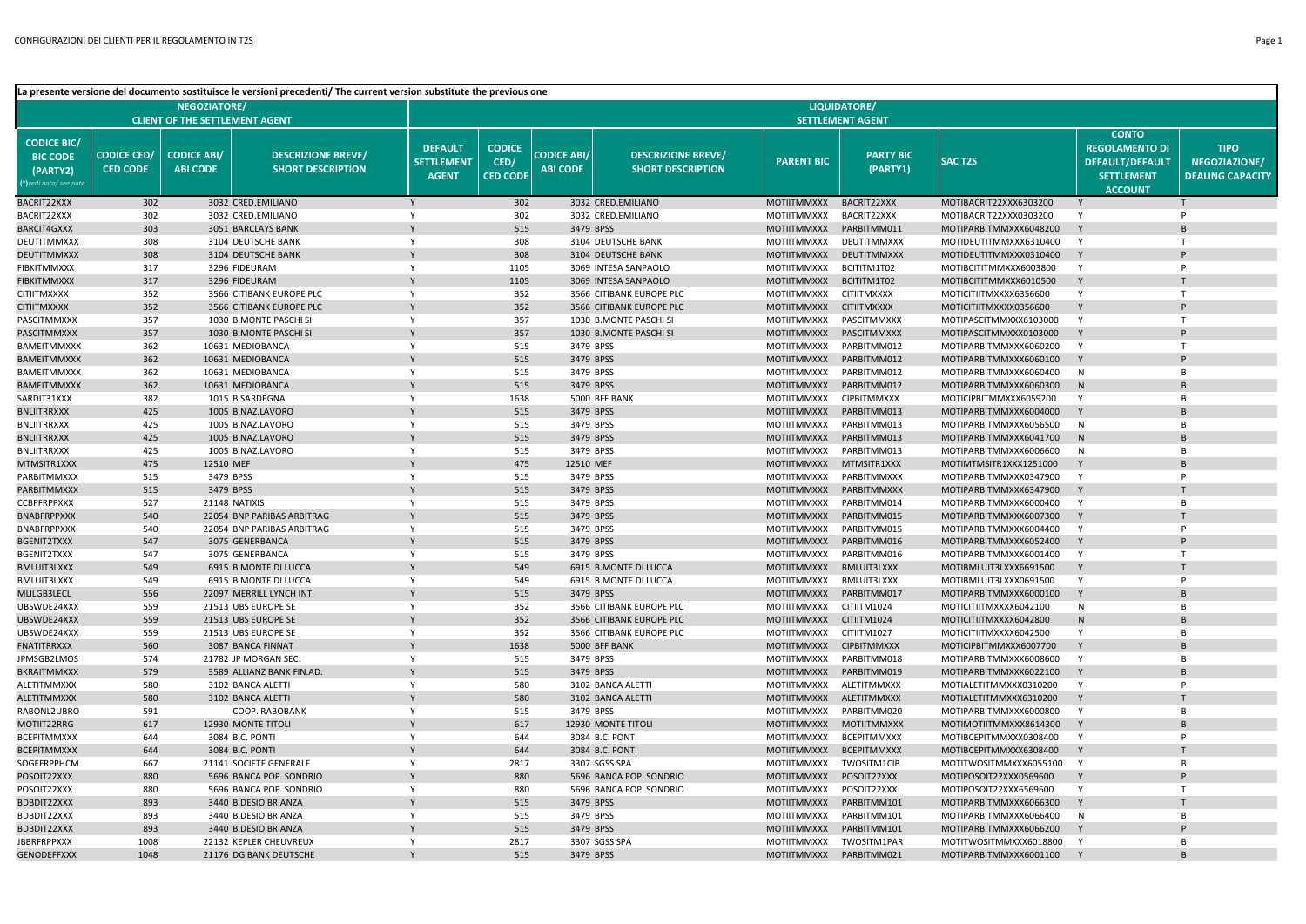|                                                                             |                                       |                                       | La presente versione del documento sostituisce le versioni precedenti/ The current version substitute the previous one |                                                     |                                          |                                       |                                                       |                                          |                                   |                                                  |                                                                                                        |                                                         |
|-----------------------------------------------------------------------------|---------------------------------------|---------------------------------------|------------------------------------------------------------------------------------------------------------------------|-----------------------------------------------------|------------------------------------------|---------------------------------------|-------------------------------------------------------|------------------------------------------|-----------------------------------|--------------------------------------------------|--------------------------------------------------------------------------------------------------------|---------------------------------------------------------|
|                                                                             |                                       | <b>NEGOZIATORE/</b>                   |                                                                                                                        |                                                     |                                          |                                       |                                                       |                                          | LIQUIDATORE/                      |                                                  |                                                                                                        |                                                         |
|                                                                             |                                       | <b>CLIENT OF THE SETTLEMENT AGENT</b> |                                                                                                                        |                                                     |                                          |                                       |                                                       |                                          | <b>SETTLEMENT AGENT</b>           |                                                  |                                                                                                        |                                                         |
| <b>CODICE BIC/</b><br><b>BIC CODE</b><br>(PARTY2)<br>(*)vedi nota/ see note | <b>CODICE CED/</b><br><b>CED CODE</b> | <b>CODICE ABI/</b><br><b>ABI CODE</b> | <b>DESCRIZIONE BREVE/</b><br><b>SHORT DESCRIPTION</b>                                                                  | <b>DEFAULT</b><br><b>SETTLEMENT</b><br><b>AGENT</b> | <b>CODICE</b><br>CED/<br><b>CED CODE</b> | <b>CODICE ABI/</b><br><b>ABI CODE</b> | <b>DESCRIZIONE BREVE/</b><br><b>SHORT DESCRIPTION</b> | <b>PARENT BIC</b>                        | <b>PARTY BIC</b><br>(PARTY1)      | <b>SACT2S</b>                                    | <b>CONTO</b><br><b>REGOLAMENTO DI</b><br><b>DEFAULT/DEFAULT</b><br><b>SETTLEMENT</b><br><b>ACCOUNT</b> | <b>TIPO</b><br>NEGOZIAZIONE/<br><b>DEALING CAPACITY</b> |
| BACRIT22XXX                                                                 | 302                                   |                                       | 3032 CRED.EMILIANO                                                                                                     | Y                                                   | 302                                      |                                       | 3032 CRED.EMILIANO                                    | <b>MOTIITMMXXX</b>                       | BACRIT22XXX                       | MOTIBACRIT22XXX6303200                           |                                                                                                        |                                                         |
| BACRIT22XXX                                                                 | 302                                   |                                       | 3032 CRED.EMILIANO                                                                                                     | Y                                                   | 302                                      |                                       | 3032 CRED.EMILIANO                                    | <b>MOTIITMMXXX</b>                       | BACRIT22XXX                       | MOTIBACRIT22XXX0303200                           | Y                                                                                                      | P                                                       |
| <b>BARCIT4GXXX</b>                                                          | 303                                   |                                       | 3051 BARCLAYS BANK                                                                                                     |                                                     | 515                                      |                                       | 3479 BPSS                                             | <b>MOTIITMMXXX</b>                       | PARBITMM011                       | MOTIPARBITMMXXX6048200                           | Y                                                                                                      |                                                         |
| DEUTITMMXXX                                                                 | 308                                   |                                       | 3104 DEUTSCHE BANK                                                                                                     | Y                                                   | 308                                      |                                       | 3104 DEUTSCHE BANK                                    | <b>MOTIITMMXXX</b>                       | DEUTITMMXXX                       | MOTIDEUTITMMXXX6310400                           | Y                                                                                                      | T                                                       |
| DEUTITMMXXX                                                                 | 308                                   |                                       | 3104 DEUTSCHE BANK                                                                                                     |                                                     | 308                                      |                                       | 3104 DEUTSCHE BANK                                    | <b>MOTIITMMXXX</b>                       | DEUTITMMXXX                       | MOTIDEUTITMMXXX0310400                           |                                                                                                        |                                                         |
| <b>FIBKITMMXXX</b>                                                          | 317                                   |                                       | 3296 FIDEURAM                                                                                                          | Y                                                   | 1105                                     |                                       | 3069 INTESA SANPAOLO                                  | <b>MOTIITMMXXX</b>                       | BCITITM1T02                       | MOTIBCITITMMXXX6003800                           | Y                                                                                                      | P                                                       |
| <b>FIBKITMMXXX</b>                                                          | 317                                   |                                       | 3296 FIDEURAM                                                                                                          |                                                     | 1105                                     |                                       | 3069 INTESA SANPAOLO                                  | <b>MOTIITMMXXX</b>                       | BCITITM1T02                       | MOTIBCITITMMXXX6010500                           | Y                                                                                                      |                                                         |
| <b>CITIITMXXXX</b>                                                          | 352                                   |                                       | 3566 CITIBANK EUROPE PLC                                                                                               | Y                                                   | 352                                      |                                       | 3566 CITIBANK EUROPE PLC                              | <b>MOTIITMMXXX</b>                       | <b>CITIITMXXXX</b>                | MOTICITIITMXXXX6356600                           | Y                                                                                                      | T                                                       |
| <b>CITIITMXXXX</b>                                                          | 352                                   |                                       | 3566 CITIBANK EUROPE PLC                                                                                               |                                                     | 352                                      |                                       | 3566 CITIBANK EUROPE PLC                              | <b>MOTIITMMXXX</b>                       | <b>CITIITMXXXX</b>                | MOTICITIITMXXXX0356600                           |                                                                                                        |                                                         |
| PASCITMMXXX                                                                 | 357                                   |                                       | 1030 B.MONTE PASCHI SI                                                                                                 | Y                                                   | 357                                      |                                       | 1030 B.MONTE PASCHI SI                                | <b>MOTIITMMXXX</b>                       | PASCITMMXXX                       | MOTIPASCITMMXXX6103000                           | Y                                                                                                      | T                                                       |
| PASCITMMXXX                                                                 | 357                                   |                                       | 1030 B.MONTE PASCHI SI                                                                                                 |                                                     | 357                                      |                                       | 1030 B.MONTE PASCHI SI                                | <b>MOTIITMMXXX</b>                       | PASCITMMXXX                       | MOTIPASCITMMXXX0103000                           | Y                                                                                                      |                                                         |
| BAMEITMMXXX                                                                 | 362                                   |                                       | 10631 MEDIOBANCA                                                                                                       | Y                                                   | 515                                      |                                       | 3479 BPSS                                             | <b>MOTIITMMXXX</b>                       | PARBITMM012                       | MOTIPARBITMMXXX6060200                           | Y                                                                                                      | T                                                       |
| <b>BAMEITMMXXX</b>                                                          | 362                                   |                                       | 10631 MEDIOBANCA                                                                                                       | Y                                                   | 515                                      |                                       | 3479 BPSS                                             | <b>MOTIITMMXXX</b>                       | PARBITMM012                       | MOTIPARBITMMXXX6060100                           |                                                                                                        | $\overline{B}$                                          |
| BAMEITMMXXX<br><b>BAMEITMMXXX</b>                                           | 362<br>362                            |                                       | 10631 MEDIOBANCA<br>10631 MEDIOBANCA                                                                                   |                                                     | 515<br>515                               |                                       | 3479 BPSS<br>3479 BPSS                                | MOTIITMMXXX<br><b>MOTIITMMXXX</b>        | PARBITMM012<br>PARBITMM012        | MOTIPARBITMMXXX6060400<br>MOTIPARBITMMXXX6060300 | N<br>N                                                                                                 | $\overline{R}$                                          |
|                                                                             | 382                                   |                                       |                                                                                                                        | Y                                                   | 1638                                     |                                       | 5000 BFF BANK                                         | MOTIITMMXXX                              | <b>CIPBITMMXXX</b>                |                                                  | Y                                                                                                      | B                                                       |
| SARDIT31XXX<br><b>BNLIITRRXXX</b>                                           | 425                                   |                                       | 1015 B.SARDEGNA<br>1005 B.NAZ.LAVORO                                                                                   |                                                     | 515                                      |                                       | 3479 BPSS                                             | <b>MOTIITMMXXX</b>                       | PARBITMM013                       | MOTICIPBITMMXXX6059200<br>MOTIPARBITMMXXX6004000 | Y                                                                                                      |                                                         |
| <b>BNLIITRRXXX</b>                                                          | 425                                   |                                       | 1005 B.NAZ.LAVORO                                                                                                      | Y                                                   | 515                                      |                                       | 3479 BPSS                                             | MOTIITMMXXX                              | PARBITMM013                       | MOTIPARBITMMXXX6056500                           | N                                                                                                      | $\overline{B}$                                          |
| <b>BNLIITRRXXX</b>                                                          | 425                                   |                                       | 1005 B.NAZ.LAVORO                                                                                                      |                                                     | 515                                      |                                       | 3479 BPSS                                             | <b>MOTIITMMXXX</b>                       | PARBITMM013                       | MOTIPARBITMMXXX6041700                           | N                                                                                                      |                                                         |
| BNLIITRRXXX                                                                 | 425                                   |                                       | 1005 B.NAZ.LAVORO                                                                                                      | Y                                                   | 515                                      |                                       | 3479 BPSS                                             | <b>MOTIITMMXXX</b>                       | PARBITMM013                       | MOTIPARBITMMXXX6006600                           | N                                                                                                      | B                                                       |
| MTMSITR1XXX                                                                 | 475                                   | 12510 MEF                             |                                                                                                                        |                                                     | 475                                      |                                       | 12510 MEF                                             | <b>MOTIITMMXXX</b>                       | MTMSITR1XXX                       | MOTIMTMSITR1XXX1251000                           | Y                                                                                                      |                                                         |
| PARBITMMXXX                                                                 | 515                                   |                                       | 3479 BPSS                                                                                                              | Y                                                   | 515                                      |                                       | 3479 BPSS                                             | <b>MOTIITMMXXX</b>                       | PARBITMMXXX                       | MOTIPARBITMMXXX0347900                           | Y                                                                                                      | P                                                       |
| PARBITMMXXX                                                                 | 515                                   |                                       | 3479 BPSS                                                                                                              |                                                     | 515                                      |                                       | 3479 BPSS                                             | <b>MOTIITMMXXX</b>                       | PARBITMMXXX                       | MOTIPARBITMMXXX6347900                           | Y                                                                                                      |                                                         |
| CCBPFRPPXXX                                                                 | 527                                   |                                       | 21148 NATIXIS                                                                                                          | Y                                                   | 515                                      |                                       | 3479 BPSS                                             | MOTIITMMXXX                              | PARBITMM014                       | MOTIPARBITMMXXX6000400                           | Y                                                                                                      | B                                                       |
| BNABFRPPXXX                                                                 | 540                                   |                                       | 22054 BNP PARIBAS ARBITRAG                                                                                             |                                                     | 515                                      |                                       | 3479 BPSS                                             | <b>MOTIITMMXXX</b>                       | PARBITMM015                       | MOTIPARBITMMXXX6007300                           | Y                                                                                                      |                                                         |
| <b>BNABFRPPXXX</b>                                                          | 540                                   |                                       | 22054 BNP PARIBAS ARBITRAG                                                                                             | Y                                                   | 515                                      |                                       | 3479 BPSS                                             | <b>MOTIITMMXXX</b>                       | PARBITMM015                       | MOTIPARBITMMXXX6004400                           | Y                                                                                                      | P                                                       |
| <b>BGENIT2TXXX</b>                                                          | 547                                   |                                       | 3075 GENERBANCA                                                                                                        | Y                                                   | 515                                      |                                       | 3479 BPSS                                             | <b>MOTIITMMXXX</b>                       | PARBITMM016                       | MOTIPARBITMMXXX6052400                           | Y                                                                                                      |                                                         |
| <b>BGENIT2TXXX</b>                                                          | 547                                   |                                       | 3075 GENERBANCA                                                                                                        | Y                                                   | 515                                      |                                       | 3479 BPSS                                             | <b>MOTIITMMXXX</b>                       | PARBITMM016                       | MOTIPARBITMMXXX6001400                           | Y                                                                                                      | $\mathsf{T}$                                            |
| <b>BMLUIT3LXXX</b>                                                          | 549                                   |                                       | 6915 B.MONTE DI LUCCA                                                                                                  |                                                     | 549                                      |                                       | 6915 B.MONTE DI LUCCA                                 | <b>MOTIITMMXXX</b>                       | <b>BMLUIT3LXXX</b>                | MOTIBMLUIT3LXXX6691500                           | Y                                                                                                      |                                                         |
| <b>BMLUIT3LXXX</b>                                                          | 549                                   |                                       | 6915 B.MONTE DI LUCCA                                                                                                  | Y                                                   | 549                                      |                                       | 6915 B.MONTE DI LUCCA                                 | <b>MOTIITMMXXX</b>                       | <b>BMLUIT3LXXX</b>                | MOTIBMLUIT3LXXX0691500                           | Y                                                                                                      | P                                                       |
| MLILGB3LECL                                                                 | 556                                   |                                       | 22097 MERRILL LYNCH INT.                                                                                               |                                                     | 515                                      |                                       | 3479 BPSS                                             | <b>MOTIITMMXXX</b>                       | PARBITMM017                       | MOTIPARBITMMXXX6000100                           | Y                                                                                                      |                                                         |
| UBSWDE24XXX                                                                 | 559                                   |                                       | 21513 UBS EUROPE SE                                                                                                    | Y                                                   | 352                                      |                                       | 3566 CITIBANK EUROPE PLC                              | <b>MOTIITMMXXX</b>                       | CITIITM1024                       | MOTICITIITMXXXX6042100                           | N                                                                                                      | <b>B</b>                                                |
| UBSWDE24XXX                                                                 | 559                                   |                                       | 21513 UBS EUROPE SE                                                                                                    | Y                                                   | 352                                      |                                       | 3566 CITIBANK EUROPE PLC                              | <b>MOTIITMMXXX</b>                       | CITIITM1024                       | MOTICITIITMXXXX6042800                           | N                                                                                                      |                                                         |
| UBSWDE24XXX                                                                 | 559                                   |                                       | 21513 UBS EUROPE SE                                                                                                    | Y                                                   | 352                                      |                                       | 3566 CITIBANK EUROPE PLC                              | <b>MOTIITMMXXX</b>                       | CITIITM1027                       | MOTICITIITMXXXX6042500                           | Y                                                                                                      | $\overline{B}$                                          |
| <b>FNATITRRXXX</b>                                                          | 560                                   |                                       | 3087 BANCA FINNAT                                                                                                      |                                                     | 1638                                     |                                       | 5000 BFF BANK                                         | <b>MOTIITMMXXX</b>                       | <b>CIPBITMMXXX</b>                | MOTICIPBITMMXXX6007700                           | Y                                                                                                      |                                                         |
| JPMSGB2LMOS                                                                 | 574                                   |                                       | 21782 JP MORGAN SEC.                                                                                                   | Y                                                   | 515                                      |                                       | 3479 BPSS                                             | <b>MOTIITMMXXX</b>                       | PARBITMM018                       | MOTIPARBITMMXXX6008600                           | Y                                                                                                      | $\overline{B}$                                          |
| <b>BKRAITMMXXX</b>                                                          | 579                                   |                                       | 3589 ALLIANZ BANK FIN.AD                                                                                               |                                                     | 515                                      |                                       | 3479 BPSS                                             | <b>MOTIITMMXXX</b>                       | PARBITMM019                       | MOTIPARBITMMXXX6022100                           | Y                                                                                                      |                                                         |
| <b>ALETITMMXXX</b>                                                          | 580                                   |                                       | 3102 BANCA ALETTI                                                                                                      | Y                                                   | 580                                      |                                       | 3102 BANCA ALETTI                                     | <b>MOTIITMMXXX</b>                       | ALETITMMXXX                       | MOTIALETITMMXXX0310200                           | Y                                                                                                      | P                                                       |
| <b>ALETITMMXXX</b>                                                          | 580                                   |                                       | 3102 BANCA ALETTI                                                                                                      | Y                                                   | 580                                      |                                       | 3102 BANCA ALETTI                                     | <b>MOTIITMMXXX</b>                       | ALETITMMXXX                       | MOTIALETITMMXXX6310200                           | Y<br>Y                                                                                                 | $\overline{B}$                                          |
| RABONL2UBRO<br>MOTIIT22RRG                                                  | 591<br>617                            |                                       | COOP. RABOBANK<br>12930 MONTE TITOLI                                                                                   |                                                     | 515<br>617                               |                                       | 3479 BPSS<br>12930 MONTE TITOLI                       | <b>MOTIITMMXXX</b><br><b>MOTIITMMXXX</b> | PARBITMM020<br><b>MOTIITMMXXX</b> | MOTIPARBITMMXXX6000800<br>MOTIMOTIITMMXXX8614300 | Y                                                                                                      | $\overline{R}$                                          |
| BCEPITMMXXX                                                                 | 644                                   |                                       | 3084 B.C. PONTI                                                                                                        | Y                                                   | 644                                      |                                       | 3084 B.C. PONTI                                       | MOTIITMMXXX                              | <b>BCEPITMMXXX</b>                | MOTIBCEPITMMXXX0308400                           | Y                                                                                                      | D                                                       |
| BCEPITMMXXX                                                                 | 644                                   |                                       | 3084 B.C. PONTI                                                                                                        |                                                     | 644                                      |                                       | 3084 B.C. PONTI                                       | <b>MOTIITMMXXX</b>                       | <b>BCEPITMMXXX</b>                | MOTIBCEPITMMXXX6308400                           | Y                                                                                                      |                                                         |
| SOGEFRPPHCM                                                                 | 667                                   |                                       | 21141 SOCIETE GENERALE                                                                                                 | Y                                                   | 2817                                     |                                       | 3307 SGSS SPA                                         | MOTIITMMXXX                              | TWOSITM1CIB                       | MOTITWOSITMMXXX6055100                           | Y                                                                                                      | $\overline{B}$                                          |
| POSOIT22XXX                                                                 | 880                                   |                                       | 5696 BANCA POP. SONDRIO                                                                                                |                                                     | 880                                      |                                       | 5696 BANCA POP. SONDRIO                               | <b>MOTIITMMXXX</b>                       | POSOIT22XXX                       | MOTIPOSOIT22XXX0569600                           | Y                                                                                                      |                                                         |
| POSOIT22XXX                                                                 | 880                                   |                                       | 5696 BANCA POP. SONDRIO                                                                                                | Y                                                   | 880                                      |                                       | 5696 BANCA POP. SONDRIO                               | MOTIITMMXXX                              | POSOIT22XXX                       | MOTIPOSOIT22XXX6569600                           | Y                                                                                                      | т.                                                      |
| BDBDIT22XXX                                                                 | 893                                   |                                       | 3440 B.DESIO BRIANZA                                                                                                   |                                                     | 515                                      |                                       | 3479 BPSS                                             | <b>MOTIITMMXXX</b>                       | PARBITMM101                       | MOTIPARBITMMXXX6066300                           | Y                                                                                                      |                                                         |
| BDBDIT22XXX                                                                 | 893                                   |                                       | 3440 B.DESIO BRIANZA                                                                                                   | Y                                                   | 515                                      |                                       | 3479 BPSS                                             | <b>MOTIITMMXXX</b>                       | PARBITMM101                       | MOTIPARBITMMXXX6066400                           | N                                                                                                      | $\overline{B}$                                          |
| BDBDIT22XXX                                                                 | 893                                   |                                       | 3440 B.DESIO BRIANZA                                                                                                   |                                                     | 515                                      |                                       | 3479 BPSS                                             | <b>MOTIITMMXXX</b>                       | PARBITMM101                       | MOTIPARBITMMXXX6066200                           |                                                                                                        |                                                         |
| <b>JBBRFRPPXXX</b>                                                          | 1008                                  |                                       | 22132 KEPLER CHEUVREUX                                                                                                 | Y                                                   | 2817                                     |                                       | 3307 SGSS SPA                                         | MOTIITMMXXX                              | TWOSITM1PAR                       | MOTITWOSITMMXXX6018800                           | Y                                                                                                      | <b>B</b>                                                |
| <b>GENODEFFXXX</b>                                                          | 1048                                  |                                       | 21176 DG BANK DEUTSCHE                                                                                                 |                                                     | 515                                      |                                       | 3479 BPSS                                             | <b>MOTIITMMXXX</b>                       | PARBITMM021                       | MOTIPARBITMMXXX6001100                           |                                                                                                        |                                                         |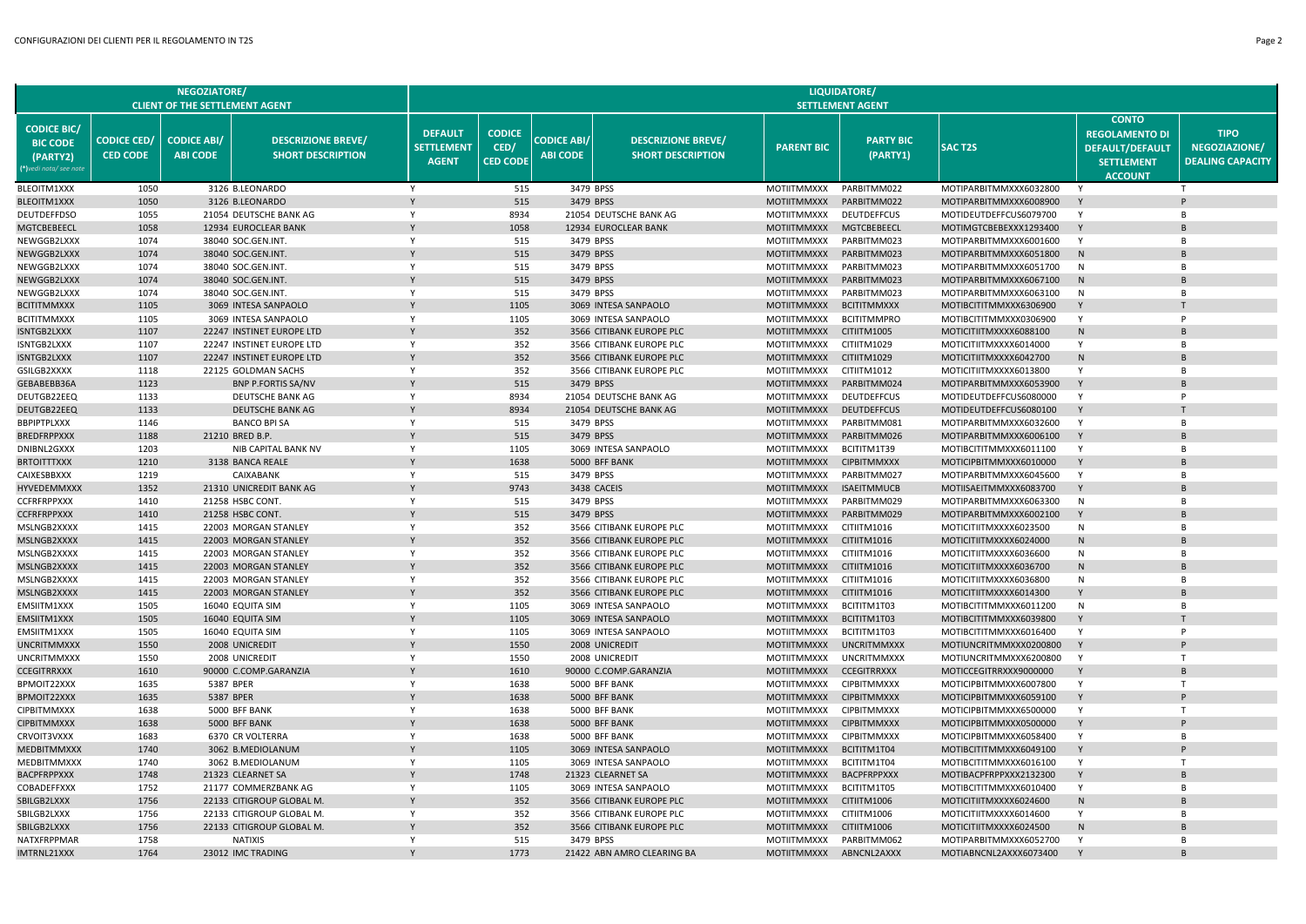|                                                                             |                                       | <b>NEGOZIATORE</b><br><b>CLIENT OF THE SETTLEMENT AGENT</b> |                                                        |                                                     |                                          |                                       |                                                       |                                   | <b>LIQUIDATORE/</b><br><b>SETTLEMENT AGENT</b> |                                                  |                                                                                                        |                                                         |
|-----------------------------------------------------------------------------|---------------------------------------|-------------------------------------------------------------|--------------------------------------------------------|-----------------------------------------------------|------------------------------------------|---------------------------------------|-------------------------------------------------------|-----------------------------------|------------------------------------------------|--------------------------------------------------|--------------------------------------------------------------------------------------------------------|---------------------------------------------------------|
| <b>CODICE BIC/</b><br><b>BIC CODE</b><br>(PARTY2)<br>(*)vedi nota/ see noti | <b>CODICE CED/</b><br><b>CED CODE</b> | <b>CODICE ABI/</b><br><b>ABI CODE</b>                       | <b>DESCRIZIONE BREVE/</b><br><b>SHORT DESCRIPTION</b>  | <b>DEFAULT</b><br><b>SETTLEMENT</b><br><b>AGENT</b> | <b>CODICE</b><br>CED/<br><b>CED CODE</b> | <b>CODICE ABI/</b><br><b>ABI CODE</b> | <b>DESCRIZIONE BREVE/</b><br><b>SHORT DESCRIPTION</b> | <b>PARENT BIC</b>                 | <b>PARTY BIC</b><br>(PARTY1)                   | <b>SACT2S</b>                                    | <b>CONTO</b><br><b>REGOLAMENTO DI</b><br><b>DEFAULT/DEFAULT</b><br><b>SETTLEMENT</b><br><b>ACCOUNT</b> | <b>TIPO</b><br>NEGOZIAZIONE/<br><b>DEALING CAPACITY</b> |
| BLEOITM1XXX                                                                 | 1050                                  |                                                             | 3126 B.LEONARDO                                        | Y                                                   | 515                                      |                                       | 3479 BPSS                                             | MOTIITMMXXX                       | PARBITMM022                                    | MOTIPARBITMMXXX6032800                           | Y                                                                                                      |                                                         |
| <b>BLEOITM1XXX</b>                                                          | 1050                                  |                                                             | 3126 B.LEONARDO                                        |                                                     | 515                                      |                                       | 3479 BPSS                                             | <b>MOTIITMMXXX</b>                | PARBITMM022                                    | MOTIPARBITMMXXX6008900                           | Y                                                                                                      |                                                         |
| <b>DEUTDEFFDSO</b>                                                          | 1055                                  |                                                             | 21054 DEUTSCHE BANK AG                                 | Y                                                   | 8934                                     |                                       | 21054 DEUTSCHE BANK AG                                | <b>MOTIITMMXXX</b>                | <b>DEUTDEFFCUS</b>                             | MOTIDEUTDEFFCUS6079700                           | Y                                                                                                      | $\overline{B}$                                          |
| MGTCBEBEECL                                                                 | 1058                                  |                                                             | 12934 EUROCLEAR BANK                                   |                                                     | 1058                                     |                                       | 12934 EUROCLEAR BANK                                  | MOTIITMMXXX                       | MGTCBEBEECL                                    | MOTIMGTCBEBEXXX1293400                           | Y                                                                                                      |                                                         |
| NEWGGB2LXXX                                                                 | 1074                                  |                                                             | 38040 SOC.GEN.INT.                                     | Y                                                   | 515                                      |                                       | 3479 BPSS                                             | MOTIITMMXXX                       | PARBITMM023                                    | MOTIPARBITMMXXX6001600                           | Y                                                                                                      | $\overline{B}$                                          |
| NEWGGB2LXXX                                                                 | 1074                                  |                                                             | 38040 SOC.GEN.INT.                                     |                                                     | 515                                      |                                       | 3479 BPSS                                             | MOTIITMMXXX                       | PARBITMM023                                    | MOTIPARBITMMXXX6051800                           | N                                                                                                      |                                                         |
| NEWGGB2LXXX                                                                 | 1074                                  |                                                             | 38040 SOC.GEN.INT.                                     | Y                                                   | 515                                      |                                       | 3479 BPSS                                             | MOTIITMMXXX                       | PARBITMM023                                    | MOTIPARBITMMXXX6051700                           | N                                                                                                      | $\overline{B}$                                          |
| NEWGGB2LXXX                                                                 | 1074                                  |                                                             | 38040 SOC.GEN.INT.                                     |                                                     | 515                                      |                                       | 3479 BPSS                                             | <b>MOTIITMMXXX</b>                | PARBITMM023                                    | MOTIPARBITMMXXX6067100                           | N                                                                                                      |                                                         |
| NEWGGB2LXXX                                                                 | 1074                                  |                                                             | 38040 SOC.GEN.INT.                                     | Y                                                   | 515                                      |                                       | 3479 BPSS                                             | <b>MOTIITMMXXX</b>                | PARBITMM023                                    | MOTIPARBITMMXXX6063100                           | N                                                                                                      | $\overline{B}$                                          |
| <b>BCITITMMXXX</b>                                                          | 1105                                  |                                                             | 3069 INTESA SANPAOLO                                   |                                                     | 1105                                     |                                       | 3069 INTESA SANPAOLO                                  | <b>MOTIITMMXXX</b>                | <b>BCITITMMXXX</b>                             | MOTIBCITITMMXXX6306900                           | Y                                                                                                      |                                                         |
| BCITITMMXXX                                                                 | 1105<br>1107                          |                                                             | 3069 INTESA SANPAOLO                                   | Y                                                   | 1105                                     |                                       | 3069 INTESA SANPAOLO                                  | MOTIITMMXXX                       | <b>BCITITMMPRO</b>                             | MOTIBCITITMMXXX0306900                           | Y<br>N                                                                                                 | P                                                       |
| ISNTGB2LXXX                                                                 | 1107                                  |                                                             | 22247 INSTINET EUROPE LTD<br>22247 INSTINET EUROPE LTD | Y                                                   | 352<br>352                               |                                       | 3566 CITIBANK EUROPE PLC<br>3566 CITIBANK EUROPE PLC  | MOTIITMMXXX                       | CITIITM1005<br>CITIITM1029                     | MOTICITIITMXXXX6088100                           | Y                                                                                                      | R                                                       |
| ISNTGB2LXXX<br>ISNTGB2LXXX                                                  | 1107                                  |                                                             | 22247 INSTINET EUROPE LTD                              |                                                     | 352                                      |                                       | 3566 CITIBANK EUROPE PLC                              | MOTIITMMXXX<br>MOTIITMMXXX        | CITIITM1029                                    | MOTICITIITMXXXX6014000<br>MOTICITIITMXXXX6042700 | N                                                                                                      |                                                         |
| GSILGB2XXXX                                                                 | 1118                                  |                                                             | 22125 GOLDMAN SACHS                                    | Y                                                   | 352                                      |                                       | 3566 CITIBANK EUROPE PLC                              | <b>MOTIITMMXXX</b>                | CITIITM1012                                    | MOTICITIITMXXXX6013800                           | Y                                                                                                      | $\overline{B}$                                          |
| GEBABEBB36A                                                                 | 1123                                  |                                                             | <b>BNP P.FORTIS SA/NV</b>                              |                                                     | 515                                      |                                       | 3479 BPSS                                             | <b>MOTIITMMXXX</b>                | PARBITMM024                                    | MOTIPARBITMMXXX6053900                           | Y                                                                                                      |                                                         |
| DEUTGB22EEQ                                                                 | 1133                                  |                                                             | DEUTSCHE BANK AG                                       | Y                                                   | 8934                                     |                                       | 21054 DEUTSCHE BANK AG                                | MOTIITMMXXX                       | <b>DEUTDEFFCUS</b>                             | MOTIDEUTDEFFCUS6080000                           | Y                                                                                                      | P                                                       |
| DEUTGB22EEQ                                                                 | 1133                                  |                                                             | DEUTSCHE BANK AG                                       |                                                     | 8934                                     |                                       | 21054 DEUTSCHE BANK AG                                | <b>MOTIITMMXXX</b>                | <b>DEUTDEFFCUS</b>                             | MOTIDEUTDEFFCUS6080100                           | Y                                                                                                      |                                                         |
| BBPIPTPLXXX                                                                 | 1146                                  |                                                             | <b>BANCO BPI SA</b>                                    | Y                                                   | 515                                      |                                       | 3479 BPSS                                             | MOTIITMMXXX                       | PARBITMM081                                    | MOTIPARBITMMXXX6032600                           | Y                                                                                                      | B                                                       |
| BREDFRPPXXX                                                                 | 1188                                  |                                                             | 21210 BRED B.P.                                        |                                                     | 515                                      |                                       | 3479 BPSS                                             | <b>MOTIITMMXXX</b>                | PARBITMM026                                    | MOTIPARBITMMXXX6006100                           | Y                                                                                                      |                                                         |
| DNIBNL2GXXX                                                                 | 1203                                  |                                                             | NIB CAPITAL BANK NV                                    | Y                                                   | 1105                                     |                                       | 3069 INTESA SANPAOLO                                  | MOTIITMMXXX                       | BCITITM1T39                                    | MOTIBCITITMMXXX6011100                           | Y                                                                                                      | R                                                       |
| <b>BRTOITTTXXX</b>                                                          | 1210                                  |                                                             | 3138 BANCA REALE                                       |                                                     | 1638                                     |                                       | 5000 BFF BANK                                         | <b>MOTIITMMXXX</b>                | <b>CIPBITMMXXX</b>                             | MOTICIPBITMMXXX6010000                           | Y                                                                                                      |                                                         |
| CAIXESBBXXX                                                                 | 1219                                  |                                                             | CAIXABANK                                              | Y                                                   | 515                                      |                                       | 3479 BPSS                                             | MOTIITMMXXX                       | PARBITMM027                                    | MOTIPARBITMMXXX6045600                           | Y                                                                                                      | B                                                       |
| HYVEDEMMXXX                                                                 | 1352                                  |                                                             | 21310 UNICREDIT BANK AG                                |                                                     | 9743                                     |                                       | 3438 CACEIS                                           | <b>MOTIITMMXXX</b>                | <b>ISAEITMMUCB</b>                             | MOTIISAEITMMXXX6083700                           | Y                                                                                                      | R                                                       |
| <b>CCFRFRPPXXX</b>                                                          | 1410                                  |                                                             | 21258 HSBC CONT.                                       | Y                                                   | 515                                      |                                       | 3479 BPSS                                             | <b>MOTIITMMXXX</b>                | PARBITMM029                                    | MOTIPARBITMMXXX6063300                           | N                                                                                                      | $\overline{B}$                                          |
| <b>CCFRFRPPXXX</b>                                                          | 1410                                  |                                                             | 21258 HSBC CONT.                                       |                                                     | 515                                      |                                       | 3479 BPSS                                             | <b>MOTIITMMXXX</b>                | PARBITMM029                                    | MOTIPARBITMMXXX6002100                           | Y                                                                                                      | R                                                       |
| MSLNGB2XXXX                                                                 | 1415                                  |                                                             | 22003 MORGAN STANLEY                                   | Y                                                   | 352                                      |                                       | 3566 CITIBANK EUROPE PLC                              | MOTIITMMXXX                       | CITIITM1016                                    | MOTICITIITMXXXX6023500                           | N                                                                                                      | <b>B</b>                                                |
| MSLNGB2XXXX                                                                 | 1415                                  |                                                             | 22003 MORGAN STANLEY                                   |                                                     | 352                                      |                                       | 3566 CITIBANK EUROPE PLC                              | <b>MOTIITMMXXX</b>                | CITIITM1016                                    | MOTICITIITMXXXX6024000                           | N                                                                                                      |                                                         |
| MSLNGB2XXXX                                                                 | 1415                                  |                                                             | 22003 MORGAN STANLEY                                   | Y                                                   | 352                                      |                                       | 3566 CITIBANK EUROPE PLC                              | MOTIITMMXXX                       | CITIITM1016                                    | MOTICITIITMXXXX6036600                           | N                                                                                                      | R                                                       |
| MSLNGB2XXXX                                                                 | 1415                                  |                                                             | 22003 MORGAN STANLEY                                   |                                                     | 352                                      |                                       | 3566 CITIBANK EUROPE PLC                              | <b>MOTIITMMXXX</b>                | CITIITM1016                                    | MOTICITIITMXXXX6036700                           | N                                                                                                      |                                                         |
| MSLNGB2XXXX                                                                 | 1415                                  |                                                             | 22003 MORGAN STANLEY                                   | Y                                                   | 352                                      |                                       | 3566 CITIBANK EUROPE PLC                              | <b>MOTIITMMXXX</b>                | CITIITM1016                                    | MOTICITIITMXXXX6036800                           | N                                                                                                      | B                                                       |
| MSLNGB2XXXX<br>EMSIITM1XXX                                                  | 1415<br>1505                          |                                                             | 22003 MORGAN STANLEY                                   | Y                                                   | 352<br>1105                              |                                       | 3566 CITIBANK EUROPE PLC                              | <b>MOTIITMMXXX</b>                | CITIITM1016                                    | MOTICITIITMXXXX6014300                           | N                                                                                                      | $\overline{B}$                                          |
| EMSIITM1XXX                                                                 | 1505                                  |                                                             | 16040 EQUITA SIM<br>16040 EQUITA SIM                   |                                                     | 1105                                     |                                       | 3069 INTESA SANPAOLO<br>3069 INTESA SANPAOLO          | MOTIITMMXXX<br><b>MOTIITMMXXX</b> | BCITITM1T03<br>BCITITM1T03                     | MOTIBCITITMMXXX6011200<br>MOTIBCITITMMXXX6039800 | Y                                                                                                      |                                                         |
| EMSIITM1XXX                                                                 | 1505                                  |                                                             | 16040 EQUITA SIM                                       | Y                                                   | 1105                                     |                                       | 3069 INTESA SANPAOLO                                  | <b>MOTIITMMXXX</b>                | BCITITM1T03                                    | MOTIBCITITMMXXX6016400                           | Y                                                                                                      | P                                                       |
| UNCRITMMXX)                                                                 | 1550                                  |                                                             | 2008 UNICREDIT                                         |                                                     | 1550                                     |                                       | 2008 UNICREDIT                                        | <b>MOTIITMMXXX</b>                | <b>UNCRITMMXXX</b>                             | MOTIUNCRITMMXXX0200800                           | Y                                                                                                      |                                                         |
| UNCRITMMXXX                                                                 | 1550                                  |                                                             | 2008 UNICREDIT                                         | Y                                                   | 1550                                     |                                       | 2008 UNICREDIT                                        | <b>MOTIITMMXXX</b>                | <b>UNCRITMMXXX</b>                             | MOTIUNCRITMMXXX6200800                           | Y                                                                                                      | T                                                       |
| CCEGITRRXXX                                                                 | 1610                                  |                                                             | 90000 C.COMP.GARANZIA                                  |                                                     | 1610                                     |                                       | 90000 C.COMP.GARANZIA                                 | <b>MOTIITMMXXX</b>                | <b>CCEGITRRXXX</b>                             | MOTICCEGITRRXXX9000000                           | Y                                                                                                      | B                                                       |
| BPMOIT22XXX                                                                 | 1635                                  | 5387 BPER                                                   |                                                        | Y                                                   | 1638                                     |                                       | 5000 BFF BANK                                         | <b>MOTIITMMXXX</b>                | <b>CIPBITMMXXX</b>                             | MOTICIPBITMMXXX6007800                           | Y                                                                                                      | $\mathsf{T}$                                            |
| <b>BPMOIT22XXX</b>                                                          | 1635                                  |                                                             | 5387 BPER                                              |                                                     | 1638                                     |                                       | 5000 BFF BANK                                         | <b>MOTIITMMXXX</b>                | <b>CIPBITMMXXX</b>                             | MOTICIPBITMMXXX6059100                           | Y                                                                                                      |                                                         |
| CIPBITMMXXX                                                                 | 1638                                  |                                                             | 5000 BFF BANK                                          | Y                                                   | 1638                                     |                                       | 5000 BFF BANK                                         | MOTIITMMXXX                       | <b>CIPBITMMXXX</b>                             | MOTICIPBITMMXXX6500000                           | Y                                                                                                      | $\mathsf{T}$                                            |
| <b>CIPBITMMXXX</b>                                                          | 1638                                  |                                                             | 5000 BFF BANK                                          |                                                     | 1638                                     |                                       | 5000 BFF BANK                                         | <b>MOTIITMMXXX</b>                | <b>CIPBITMMXXX</b>                             | MOTICIPBITMMXXX0500000                           | Y                                                                                                      |                                                         |
| CRVOIT3VXXX                                                                 | 1683                                  |                                                             | 6370 CR VOLTERRA                                       | Y                                                   | 1638                                     |                                       | 5000 BFF BANK                                         | <b>MOTIITMMXXX</b>                | <b>CIPBITMMXXX</b>                             | MOTICIPBITMMXXX6058400                           | Y                                                                                                      | B                                                       |
| MEDBITMMXXX                                                                 | 1740                                  |                                                             | 3062 B.MEDIOLANUM                                      |                                                     | 1105                                     |                                       | 3069 INTESA SANPAOLO                                  | <b>MOTIITMMXXX</b>                | BCITITM1T04                                    | MOTIBCITITMMXXX6049100                           |                                                                                                        |                                                         |
| MEDBITMMXXX                                                                 | 1740                                  |                                                             | 3062 B.MEDIOLANUM                                      | Y                                                   | 1105                                     |                                       | 3069 INTESA SANPAOLO                                  | <b>MOTIITMMXXX</b>                | BCITITM1T04                                    | MOTIBCITITMMXXX6016100                           | Y                                                                                                      | T                                                       |
| <b>BACPFRPPXXX</b>                                                          | 1748                                  |                                                             | 21323 CLEARNET SA                                      |                                                     | 1748                                     |                                       | 21323 CLEARNET SA                                     | <b>MOTIITMMXXX</b>                | <b>BACPFRPPXXX</b>                             | MOTIBACPFRPPXXX2132300                           | Y                                                                                                      |                                                         |
| COBADEFFXXX                                                                 | 1752                                  |                                                             | 21177 COMMERZBANK AG                                   | Y                                                   | 1105                                     |                                       | 3069 INTESA SANPAOLO                                  | <b>MOTIITMMXXX</b>                | BCITITM1T05                                    | MOTIBCITITMMXXX6010400                           | Y                                                                                                      | B                                                       |
| SBILGB2LXXX                                                                 | 1756                                  |                                                             | 22133 CITIGROUP GLOBAL M                               |                                                     | 352                                      |                                       | 3566 CITIBANK EUROPE PLC                              | <b>MOTIITMMXXX</b>                | CITIITM1006                                    | MOTICITIITMXXXX6024600                           | N                                                                                                      |                                                         |
| SBILGB2LXXX                                                                 | 1756                                  |                                                             | 22133 CITIGROUP GLOBAL M                               | Y                                                   | 352                                      |                                       | 3566 CITIBANK EUROPE PLC                              | <b>MOTIITMMXXX</b>                | CITIITM1006                                    | MOTICITIITMXXXX6014600                           | Y                                                                                                      | B                                                       |
| SBILGB2LXXX                                                                 | 1756                                  |                                                             | 22133 CITIGROUP GLOBAL M.                              |                                                     | 352                                      |                                       | 3566 CITIBANK EUROPE PLC                              | <b>MOTIITMMXXX</b>                | CITIITM1006                                    | MOTICITIITMXXXX6024500                           | N<br>Y                                                                                                 |                                                         |
| NATXFRPPMAR                                                                 | 1758                                  |                                                             | <b>NATIXIS</b>                                         | Y                                                   | 515<br>1773                              |                                       | 3479 BPSS                                             | <b>MOTIITMMXXX</b>                | PARBITMM062                                    | MOTIPARBITMMXXX6052700                           |                                                                                                        |                                                         |
| IMTRNL21XXX                                                                 | 1764                                  |                                                             | 23012 IMC TRADING                                      |                                                     |                                          |                                       | 21422 ABN AMRO CLEARING BA                            | <b>MOTIITMMXXX</b>                | ABNCNL2AXXX                                    | MOTIABNCNL2AXXX6073400                           |                                                                                                        |                                                         |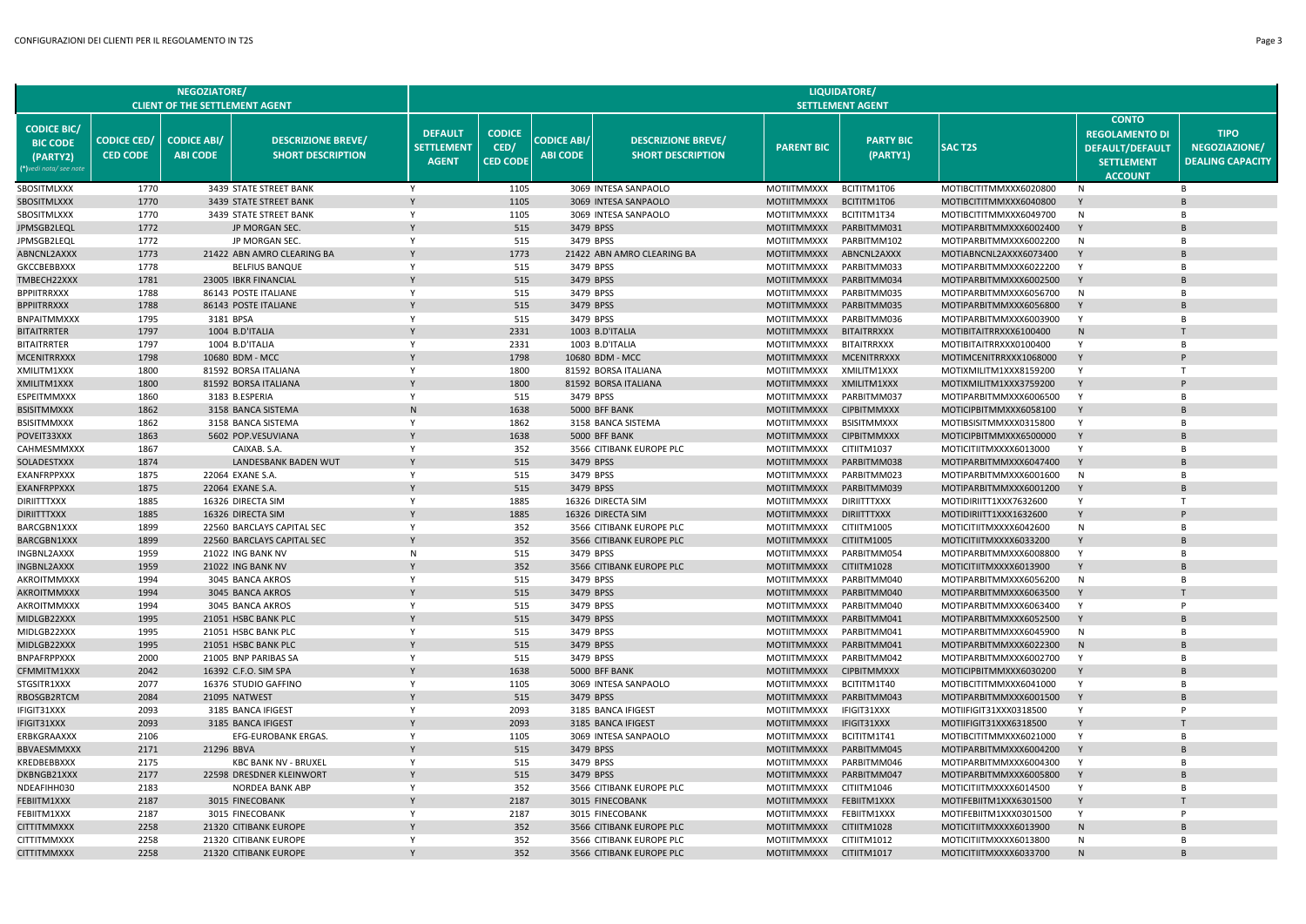|                                                                             |                                       | NEGOZIATORE/<br><b>CLIENT OF THE SETTLEMENT AGENT</b> |                                                       |                                                     |                                          |                                       |                                                       |                                          | LIQUIDATORE/<br><b>SETTLEMENT AGENT</b> |                                                  |                                                                                                        |                                                         |
|-----------------------------------------------------------------------------|---------------------------------------|-------------------------------------------------------|-------------------------------------------------------|-----------------------------------------------------|------------------------------------------|---------------------------------------|-------------------------------------------------------|------------------------------------------|-----------------------------------------|--------------------------------------------------|--------------------------------------------------------------------------------------------------------|---------------------------------------------------------|
| <b>CODICE BIC/</b><br><b>BIC CODE</b><br>(PARTY2)<br>(*)vedi nota/ see note | <b>CODICE CED/</b><br><b>CED CODE</b> | <b>CODICE ABI/</b><br><b>ABI CODE</b>                 | <b>DESCRIZIONE BREVE/</b><br><b>SHORT DESCRIPTION</b> | <b>DEFAULT</b><br><b>SETTLEMENT</b><br><b>AGENT</b> | <b>CODICE</b><br>CED/<br><b>CED CODE</b> | <b>CODICE ABI/</b><br><b>ABI CODE</b> | <b>DESCRIZIONE BREVE/</b><br><b>SHORT DESCRIPTION</b> | <b>PARENT BIC</b>                        | <b>PARTY BIC</b><br>(PARTY1)            | <b>SACT2S</b>                                    | <b>CONTO</b><br><b>REGOLAMENTO DI</b><br><b>DEFAULT/DEFAULT</b><br><b>SETTLEMENT</b><br><b>ACCOUNT</b> | <b>TIPO</b><br>NEGOZIAZIONE/<br><b>DEALING CAPACITY</b> |
| SBOSITMLXXX                                                                 | 1770                                  |                                                       | 3439 STATE STREET BANK                                | Y                                                   | 1105                                     |                                       | 3069 INTESA SANPAOLO                                  | <b>MOTIITMMXXX</b>                       | BCITITM1T06                             | MOTIBCITITMMXXX6020800                           | N                                                                                                      | B                                                       |
| <b>SBOSITMLXXX</b>                                                          | 1770                                  |                                                       | 3439 STATE STREET BANK                                | Y                                                   | 1105                                     |                                       | 3069 INTESA SANPAOLO                                  | <b>MOTIITMMXXX</b>                       | BCITITM1T06                             | MOTIBCITITMMXXX6040800                           | Y                                                                                                      | B                                                       |
| SBOSITMLXXX                                                                 | 1770                                  |                                                       | 3439 STATE STREET BANK                                | Y                                                   | 1105                                     |                                       | 3069 INTESA SANPAOLO                                  | <b>MOTIITMMXXX</b>                       | BCITITM1T34                             | MOTIBCITITMMXXX6049700                           | N                                                                                                      | B                                                       |
| JPMSGB2LEQI                                                                 | 1772                                  |                                                       | JP MORGAN SEC.                                        |                                                     | 515                                      |                                       | 3479 BPSS                                             | <b>MOTIITMMXXX</b>                       | PARBITMM031                             | MOTIPARBITMMXXX6002400                           | Y                                                                                                      |                                                         |
| JPMSGB2LEQI                                                                 | 1772                                  |                                                       | JP MORGAN SEC.                                        | Y                                                   | 515                                      |                                       | 3479 BPSS                                             | <b>MOTIITMMXXX</b>                       | PARBITMM102                             | MOTIPARBITMMXXX6002200                           | N                                                                                                      | B                                                       |
| ABNCNL2AXXX                                                                 | 1773                                  |                                                       | 21422 ABN AMRO CLEARING BA                            |                                                     | 1773                                     |                                       | 21422 ABN AMRO CLEARING BA                            | <b>MOTIITMMXXX</b>                       | ABNCNL2AXXX                             | MOTIABNCNL2AXXX6073400                           | Y                                                                                                      |                                                         |
| GKCCBEBBXXX                                                                 | 1778                                  |                                                       | <b>BELFIUS BANQUE</b>                                 | Y                                                   | 515                                      |                                       | 3479 BPSS                                             | MOTIITMMXXX                              | PARBITMM033                             | MOTIPARBITMMXXX6022200                           | Y                                                                                                      | B                                                       |
| TMBECH22XXX<br>BPPIITRRXXX                                                  | 1781<br>1788                          |                                                       | 23005 IBKR FINANCIAL<br>86143 POSTE ITALIANE          | Y                                                   | 515<br>515                               |                                       | 3479 BPSS<br>3479 BPSS                                | <b>MOTIITMMXXX</b><br>MOTIITMMXXX        | PARBITMM034<br>PARBITMM035              | MOTIPARBITMMXXX6002500<br>MOTIPARBITMMXXX6056700 | N                                                                                                      | B                                                       |
| <b>BPPIITRRXXX</b>                                                          | 1788                                  |                                                       | 86143 POSTE ITALIANE                                  |                                                     | 515                                      |                                       | 3479 BPSS                                             | <b>MOTIITMMXXX</b>                       | PARBITMM035                             | MOTIPARBITMMXXX6056800                           | Y                                                                                                      |                                                         |
| <b>BNPAITMMXXX</b>                                                          | 1795                                  |                                                       | 3181 BPSA                                             | Y                                                   | 515                                      |                                       | 3479 BPSS                                             | <b>MOTIITMMXXX</b>                       | PARBITMM036                             | MOTIPARBITMMXXX6003900                           | Y                                                                                                      | B                                                       |
| BITAITRRTER                                                                 | 1797                                  |                                                       | 1004 B.D'ITALIA                                       |                                                     | 2331                                     |                                       | 1003 B.D'ITALIA                                       | <b>MOTIITMMXXX</b>                       | <b>BITAITRRXXX</b>                      | MOTIBITAITRRXXX6100400                           | N                                                                                                      |                                                         |
| <b>BITAITRRTER</b>                                                          | 1797                                  |                                                       | 1004 B.D'ITALIA                                       | Y                                                   | 2331                                     |                                       | 1003 B.D'ITALIA                                       | <b>MOTIITMMXXX</b>                       | <b>BITAITRRXXX</b>                      | MOTIBITAITRRXXX0100400                           | Y                                                                                                      | B                                                       |
| MCENITRRXXX                                                                 | 1798                                  |                                                       | 10680 BDM - MCC                                       |                                                     | 1798                                     |                                       | 10680 BDM - MCC                                       | <b>MOTIITMMXXX</b>                       | <b>MCENITRRXXX</b>                      | MOTIMCENITRRXXX1068000                           | Y                                                                                                      |                                                         |
| XMILITM1XXX                                                                 | 1800                                  |                                                       | 81592 BORSA ITALIANA                                  | Y                                                   | 1800                                     |                                       | 81592 BORSA ITALIANA                                  | <b>MOTIITMMXXX</b>                       | XMILITM1XXX                             | MOTIXMILITM1XXX8159200                           | Y                                                                                                      | $\mathsf{T}$                                            |
| XMILITM1XXX                                                                 | 1800                                  |                                                       | 81592 BORSA ITALIANA                                  |                                                     | 1800                                     |                                       | 81592 BORSA ITALIANA                                  | <b>MOTIITMMXXX</b>                       | XMILITM1XXX                             | MOTIXMILITM1XXX3759200                           |                                                                                                        |                                                         |
| ESPEITMMXXX                                                                 | 1860                                  |                                                       | 3183 B.ESPERIA                                        | Y                                                   | 515                                      |                                       | 3479 BPSS                                             | MOTIITMMXXX                              | PARBITMM037                             | MOTIPARBITMMXXX6006500                           | Y                                                                                                      | B                                                       |
| <b>BSISITMMXXX</b>                                                          | 1862                                  |                                                       | 3158 BANCA SISTEMA                                    | $\mathsf{N}$                                        | 1638                                     |                                       | 5000 BFF BANK                                         | <b>MOTIITMMXXX</b>                       | <b>CIPBITMMXXX</b>                      | MOTICIPBITMMXXX6058100                           | Y                                                                                                      |                                                         |
| BSISITMMXXX                                                                 | 1862                                  |                                                       | 3158 BANCA SISTEMA                                    | Y                                                   | 1862                                     |                                       | 3158 BANCA SISTEMA                                    | MOTIITMMXXX                              | <b>BSISITMMXXX</b>                      | MOTIBSISITMMXXX0315800                           | Y                                                                                                      | B                                                       |
| POVEIT33XXX                                                                 | 1863                                  |                                                       | 5602 POP.VESUVIANA                                    |                                                     | 1638                                     |                                       | 5000 BFF BANK                                         | <b>MOTIITMMXXX</b>                       | <b>CIPBITMMXXX</b>                      | MOTICIPBITMMXXX6500000                           |                                                                                                        |                                                         |
| CAHMESMMXXX                                                                 | 1867                                  |                                                       | CAIXAB. S.A.                                          | Y                                                   | 352                                      |                                       | 3566 CITIBANK EUROPE PLC                              | <b>MOTIITMMXXX</b>                       | CITIITM1037                             | MOTICITIITMXXXX6013000                           | Y                                                                                                      | B                                                       |
| SOLADESTXXX<br>EXANFRPPXXX                                                  | 1874<br>1875                          |                                                       | LANDESBANK BADEN WUT<br>22064 EXANE S.A               | Y                                                   | 515<br>515                               |                                       | 3479 BPSS<br>3479 BPSS                                | <b>MOTIITMMXXX</b><br><b>MOTIITMMXXX</b> | PARBITMM038<br>PARBITMM023              | MOTIPARBITMMXXX6047400<br>MOTIPARBITMMXXX6001600 | Y<br>N                                                                                                 | B                                                       |
| EXANFRPPXXX                                                                 | 1875                                  |                                                       | 22064 EXANE S.A                                       |                                                     | 515                                      |                                       | 3479 BPSS                                             | <b>MOTIITMMXXX</b>                       | PARBITMM039                             | MOTIPARBITMMXXX6001200                           | Y                                                                                                      |                                                         |
| <b>DIRIITTTXXX</b>                                                          | 1885                                  |                                                       | 16326 DIRECTA SIM                                     | Y                                                   | 1885                                     |                                       | 16326 DIRECTA SIM                                     | <b>MOTIITMMXXX</b>                       | <b>DIRIITTTXXX</b>                      | MOTIDIRIITT1XXX7632600                           | Y                                                                                                      | T                                                       |
| <b>DIRIITTTXXX</b>                                                          | 1885                                  |                                                       | 16326 DIRECTA SIM                                     |                                                     | 1885                                     |                                       | 16326 DIRECTA SIM                                     | <b>MOTIITMMXXX</b>                       | <b>DIRIITTTXXX</b>                      | MOTIDIRIITT1XXX1632600                           | Y                                                                                                      |                                                         |
| BARCGBN1XXX                                                                 | 1899                                  |                                                       | 22560 BARCLAYS CAPITAL SEC                            | Y                                                   | 352                                      |                                       | 3566 CITIBANK EUROPE PLC                              | <b>MOTIITMMXXX</b>                       | CITIITM1005                             | MOTICITIITMXXXX6042600                           | N                                                                                                      | B                                                       |
| <b>BARCGBN1XXX</b>                                                          | 1899                                  |                                                       | 22560 BARCLAYS CAPITAL SEC                            |                                                     | 352                                      |                                       | 3566 CITIBANK EUROPE PLC                              | <b>MOTIITMMXXX</b>                       | CITIITM1005                             | MOTICITIITMXXXX6033200                           |                                                                                                        |                                                         |
| INGBNL2AXXX                                                                 | 1959                                  |                                                       | 21022 ING BANK NV                                     | N                                                   | 515                                      |                                       | 3479 BPSS                                             | MOTIITMMXXX                              | PARBITMM054                             | MOTIPARBITMMXXX6008800                           | Y                                                                                                      | B                                                       |
| INGBNL2AXXX                                                                 | 1959                                  |                                                       | 21022 ING BANK NV                                     |                                                     | 352                                      |                                       | 3566 CITIBANK EUROPE PLC                              | <b>MOTIITMMXXX</b>                       | CITIITM1028                             | MOTICITIITMXXXX6013900                           |                                                                                                        |                                                         |
| AKROITMMXXX                                                                 | 1994                                  |                                                       | 3045 BANCA AKROS                                      | Y                                                   | 515                                      |                                       | 3479 BPSS                                             | <b>MOTIITMMXXX</b>                       | PARBITMM040                             | MOTIPARBITMMXXX6056200                           | $\mathsf{N}$                                                                                           | B                                                       |
| AKROITMMXXX                                                                 | 1994                                  |                                                       | 3045 BANCA AKROS                                      |                                                     | 515                                      |                                       | 3479 BPSS                                             | <b>MOTIITMMXXX</b>                       | PARBITMM040                             | MOTIPARBITMMXXX6063500                           |                                                                                                        |                                                         |
| AKROITMMXXX                                                                 | 1994                                  |                                                       | 3045 BANCA AKROS                                      | Y                                                   | 515                                      |                                       | 3479 BPSS                                             | MOTIITMMXXX                              | PARBITMM040                             | MOTIPARBITMMXXX6063400                           | Y                                                                                                      | P                                                       |
| MIDLGB22XXX                                                                 | 1995                                  |                                                       | 21051 HSBC BANK PLC                                   |                                                     | 515                                      |                                       | 3479 BPSS                                             | <b>MOTIITMMXXX</b>                       | PARBITMM041                             | MOTIPARBITMMXXX6052500                           |                                                                                                        |                                                         |
| MIDLGB22XXX                                                                 | 1995                                  |                                                       | 21051 HSBC BANK PLC                                   | Y                                                   | 515                                      |                                       | 3479 BPSS                                             | <b>MOTIITMMXXX</b>                       | PARBITMM041                             | MOTIPARBITMMXXX6045900                           | N                                                                                                      | B                                                       |
| MIDLGB22XXX<br><b>BNPAFRPPXXX</b>                                           | 1995                                  |                                                       | 21051 HSBC BANK PLC                                   | Y                                                   | 515<br>515                               |                                       | 3479 BPSS<br>3479 BPSS                                | <b>MOTIITMMXXX</b>                       | PARBITMM041<br>PARBITMM042              | MOTIPARBITMMXXX6022300                           | N<br>Y                                                                                                 | B                                                       |
| CFMMITM1XXX                                                                 | 2000<br>2042                          |                                                       | 21005 BNP PARIBAS SA<br>16392 C.F.O. SIM SPA          |                                                     | 1638                                     |                                       | 5000 BFF BANK                                         | <b>MOTIITMMXXX</b><br><b>MOTIITMMXXX</b> | <b>CIPBITMMXXX</b>                      | MOTIPARBITMMXXX6002700<br>MOTICIPBITMMXXX6030200 |                                                                                                        |                                                         |
| STGSITR1XXX                                                                 | 2077                                  |                                                       | 16376 STUDIO GAFFINO                                  | Y                                                   | 1105                                     |                                       | 3069 INTESA SANPAOLO                                  | <b>MOTIITMMXXX</b>                       | BCITITM1T40                             | MOTIBCITITMMXXX6041000                           | Y                                                                                                      | B                                                       |
| RBOSGB2RTCM                                                                 | 2084                                  |                                                       | 21095 NATWEST                                         |                                                     | 515                                      |                                       | 3479 BPSS                                             | <b>MOTIITMMXXX</b>                       | PARBITMM043                             | MOTIPARBITMMXXX6001500                           | Y                                                                                                      |                                                         |
| IFIGIT31XXX                                                                 | 2093                                  |                                                       | 3185 BANCA IFIGEST                                    | Y                                                   | 2093                                     |                                       | 3185 BANCA IFIGEST                                    | <b>MOTIITMMXXX</b>                       | IFIGIT31XXX                             | MOTIIFIGIT31XXX0318500                           | Y                                                                                                      | P                                                       |
| IFIGIT31XXX                                                                 | 2093                                  |                                                       | 3185 BANCA IFIGEST                                    |                                                     | 2093                                     |                                       | 3185 BANCA IFIGEST                                    | <b>MOTIITMMXXX</b>                       | IFIGIT31XXX                             | MOTIIFIGIT31XXX6318500                           |                                                                                                        |                                                         |
| ERBKGRAAXXX                                                                 | 2106                                  |                                                       | EFG-EUROBANK ERGAS.                                   | Y                                                   | 1105                                     |                                       | 3069 INTESA SANPAOLO                                  | MOTIITMMXXX                              | BCITITM1T41                             | MOTIBCITITMMXXX6021000                           | Y                                                                                                      | B                                                       |
| BBVAESMMXXX                                                                 | 2171                                  | 21296 BBVA                                            |                                                       |                                                     | 515                                      |                                       | 3479 BPSS                                             | <b>MOTIITMMXXX</b>                       | PARBITMM045                             | MOTIPARBITMMXXX6004200                           |                                                                                                        |                                                         |
| KREDBEBBXXX                                                                 | 2175                                  |                                                       | <b>KBC BANK NV - BRUXEL</b>                           | Y                                                   | 515                                      |                                       | 3479 BPSS                                             | <b>MOTIITMMXXX</b>                       | PARBITMM046                             | MOTIPARBITMMXXX6004300                           | Y                                                                                                      | B                                                       |
| DKBNGB21XXX                                                                 | 2177                                  |                                                       | 22598 DRESDNER KLEINWORT                              |                                                     | 515                                      |                                       | 3479 BPSS                                             | <b>MOTIITMMXXX</b>                       | PARBITMM047                             | MOTIPARBITMMXXX6005800                           |                                                                                                        |                                                         |
| NDEAFIHH030                                                                 | 2183                                  |                                                       | NORDEA BANK ABP                                       | Y                                                   | 352                                      |                                       | 3566 CITIBANK EUROPE PLC                              | <b>MOTIITMMXXX</b>                       | CITIITM1046                             | MOTICITIITMXXXX6014500                           | Y                                                                                                      | B                                                       |
| FEBIITM1XXX                                                                 | 2187                                  |                                                       | 3015 FINECOBANK                                       |                                                     | 2187                                     |                                       | 3015 FINECOBANK                                       | <b>MOTIITMMXXX</b>                       | FEBIITM1XXX                             | MOTIFEBIITM1XXX6301500                           |                                                                                                        |                                                         |
| FEBIITM1XXX                                                                 | 2187                                  |                                                       | 3015 FINECOBANK                                       | Y                                                   | 2187                                     |                                       | 3015 FINECOBANK                                       | <b>MOTIITMMXXX</b>                       | FEBIITM1XXX                             | MOTIFEBIITM1XXX0301500                           | Y                                                                                                      | P                                                       |
| <b>CITTITMMXXX</b>                                                          | 2258                                  |                                                       | 21320 CITIBANK EUROPE                                 |                                                     | 352                                      |                                       | 3566 CITIBANK EUROPE PLC                              | <b>MOTIITMMXXX</b>                       | CITIITM1028                             | MOTICITIITMXXXX6013900                           | N                                                                                                      |                                                         |
| <b>CITTITMMXXX</b><br><b>CITTITMMXXX</b>                                    | 2258<br>2258                          |                                                       | 21320 CITIBANK EUROPE<br>21320 CITIBANK EUROPE        | Y                                                   | 352<br>352                               |                                       | 3566 CITIBANK EUROPE PLC<br>3566 CITIBANK EUROPE PLC  | MOTIITMMXXX<br><b>MOTIITMMXXX</b>        | CITIITM1012<br>CITIITM1017              | MOTICITIITMXXXX6013800<br>MOTICITIITMXXXX6033700 | N                                                                                                      | B                                                       |
|                                                                             |                                       |                                                       |                                                       |                                                     |                                          |                                       |                                                       |                                          |                                         |                                                  |                                                                                                        |                                                         |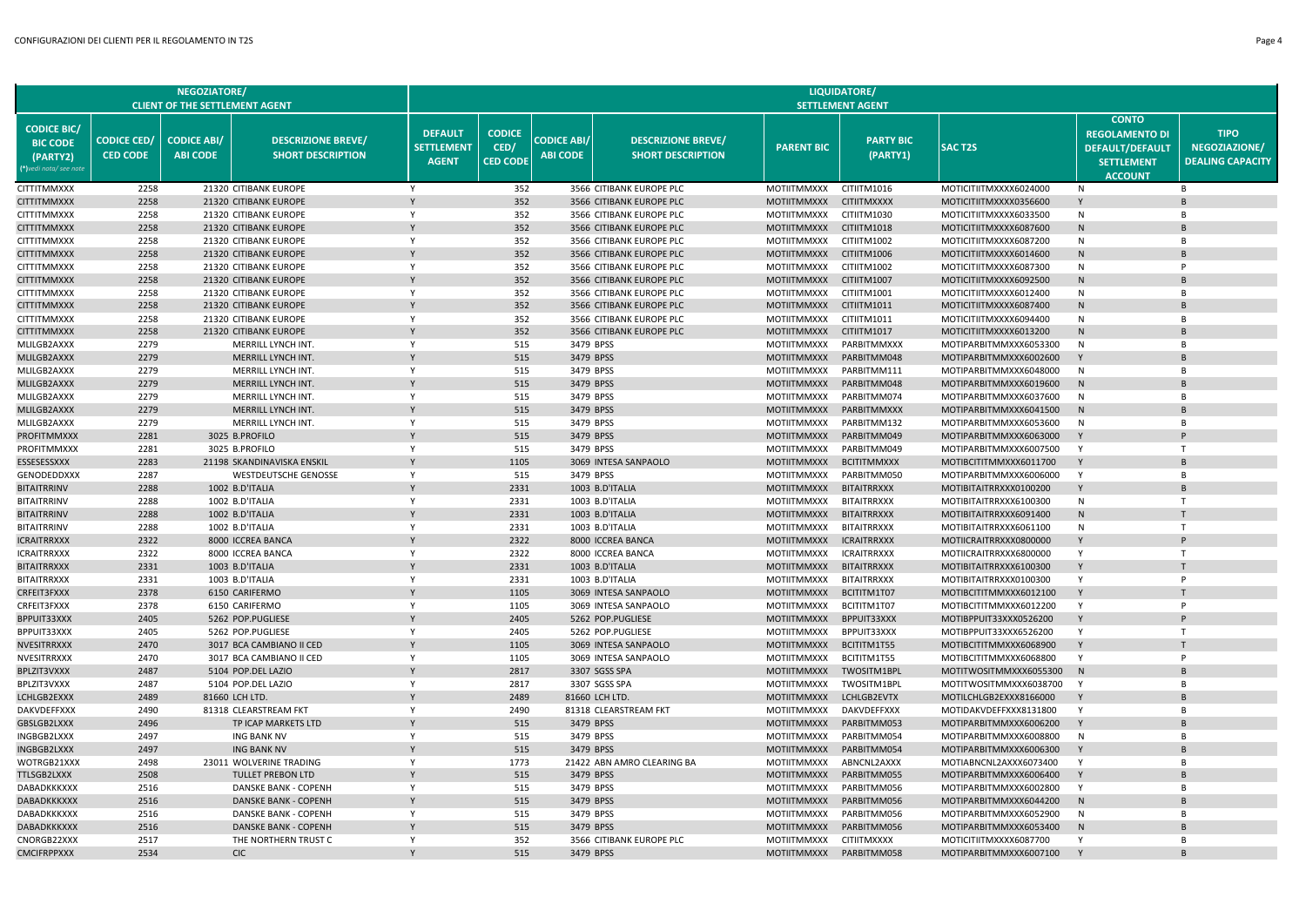|                                                                             |                                       | <b>NEGOZIATORE/</b><br><b>CLIENT OF THE SETTLEMENT AGENT</b> |                                                       |                                                     |                                          |                                       |                                                       |                                          | <b>LIQUIDATORE/</b><br><b>SETTLEMENT AGENT</b> |                                                  |                                                                                                        |                                                         |
|-----------------------------------------------------------------------------|---------------------------------------|--------------------------------------------------------------|-------------------------------------------------------|-----------------------------------------------------|------------------------------------------|---------------------------------------|-------------------------------------------------------|------------------------------------------|------------------------------------------------|--------------------------------------------------|--------------------------------------------------------------------------------------------------------|---------------------------------------------------------|
| <b>CODICE BIC/</b><br><b>BIC CODE</b><br>(PARTY2)<br>(*)vedi nota/ see noti | <b>CODICE CED/</b><br><b>CED CODE</b> | <b>CODICE ABI/</b><br><b>ABI CODE</b>                        | <b>DESCRIZIONE BREVE/</b><br><b>SHORT DESCRIPTION</b> | <b>DEFAULT</b><br><b>SETTLEMENT</b><br><b>AGENT</b> | <b>CODICE</b><br>CED/<br><b>CED CODE</b> | <b>CODICE ABI/</b><br><b>ABI CODE</b> | <b>DESCRIZIONE BREVE/</b><br><b>SHORT DESCRIPTION</b> | <b>PARENT BIC</b>                        | <b>PARTY BIC</b><br>(PARTY1)                   | <b>SACT2S</b>                                    | <b>CONTO</b><br><b>REGOLAMENTO DI</b><br><b>DEFAULT/DEFAULT</b><br><b>SETTLEMENT</b><br><b>ACCOUNT</b> | <b>TIPO</b><br>NEGOZIAZIONE/<br><b>DEALING CAPACITY</b> |
| <b>CITTITMMXXX</b>                                                          | 2258                                  |                                                              | 21320 CITIBANK EUROPE                                 | Y                                                   | 352                                      |                                       | 3566 CITIBANK EUROPE PLC                              | MOTIITMMXXX                              | CITIITM1016                                    | MOTICITIITMXXXX6024000                           | <b>N</b>                                                                                               | <b>B</b>                                                |
| <b>CITTITMMXXX</b>                                                          | 2258                                  |                                                              | 21320 CITIBANK EUROPE                                 | Y                                                   | 352                                      |                                       | 3566 CITIBANK EUROPE PLC                              | <b>MOTIITMMXXX</b>                       | <b>CITIITMXXXX</b>                             | MOTICITIITMXXXX0356600                           | Y                                                                                                      |                                                         |
| <b>CITTITMMXXX</b>                                                          | 2258                                  |                                                              | 21320 CITIBANK EUROPE                                 | Y                                                   | 352                                      |                                       | 3566 CITIBANK EUROPE PLC                              | MOTIITMMXXX                              | CITIITM1030                                    | MOTICITIITMXXXX6033500                           | N                                                                                                      | B                                                       |
| <b>CITTITMMXXX</b>                                                          | 2258                                  |                                                              | 21320 CITIBANK EUROPE                                 |                                                     | 352                                      |                                       | 3566 CITIBANK EUROPE PLC                              | MOTIITMMXXX                              | CITIITM1018                                    | MOTICITIITMXXXX6087600                           | N                                                                                                      |                                                         |
| <b>CITTITMMXXX</b>                                                          | 2258                                  |                                                              | 21320 CITIBANK EUROPE                                 | Y                                                   | 352                                      |                                       | 3566 CITIBANK EUROPE PLC                              | MOTIITMMXXX                              | CITIITM1002                                    | MOTICITIITMXXXX6087200                           | N                                                                                                      | <b>B</b>                                                |
| <b>CITTITMMXXX</b>                                                          | 2258                                  |                                                              | 21320 CITIBANK EUROPE                                 |                                                     | 352                                      |                                       | 3566 CITIBANK EUROPE PLC                              | MOTIITMMXXX                              | CITIITM1006                                    | MOTICITIITMXXXX6014600                           | N                                                                                                      |                                                         |
| CITTITMMXXX                                                                 | 2258                                  |                                                              | 21320 CITIBANK EUROPE                                 | Y                                                   | 352                                      |                                       | 3566 CITIBANK EUROPE PLC                              | MOTIITMMXXX                              | CITIITM1002                                    | MOTICITIITMXXXX6087300                           | N                                                                                                      |                                                         |
| CITTITMMXXX                                                                 | 2258                                  |                                                              | 21320 CITIBANK EUROPE                                 |                                                     | 352                                      |                                       | 3566 CITIBANK EUROPE PLC                              | <b>MOTIITMMXXX</b>                       | CITIITM1007                                    | MOTICITIITMXXXX6092500                           | N                                                                                                      |                                                         |
| <b>CITTITMMXXX</b>                                                          | 2258                                  |                                                              | 21320 CITIBANK EUROPE                                 | Y                                                   | 352                                      |                                       | 3566 CITIBANK EUROPE PLC                              | MOTIITMMXXX                              | CITIITM1001                                    | MOTICITIITMXXXX6012400                           | N                                                                                                      | <b>B</b>                                                |
| <b>CITTITMMXXX</b>                                                          | 2258                                  |                                                              | 21320 CITIBANK EUROPE                                 |                                                     | 352                                      |                                       | 3566 CITIBANK EUROPE PLC                              | <b>MOTIITMMXXX</b>                       | CITIITM1011                                    | MOTICITIITMXXXX6087400                           | N                                                                                                      |                                                         |
| CITTITMMXXX                                                                 | 2258                                  |                                                              | 21320 CITIBANK EUROPE                                 | Y                                                   | 352                                      |                                       | 3566 CITIBANK EUROPE PLC                              | MOTIITMMXXX                              | CITIITM1011                                    | MOTICITIITMXXXX6094400                           | N                                                                                                      | B                                                       |
| <b>CITTITMMXXX</b>                                                          | 2258<br>2279                          |                                                              | 21320 CITIBANK EUROPE                                 | Y                                                   | 352                                      |                                       | 3566 CITIBANK EUROPE PLC                              | <b>MOTIITMMXXX</b>                       | CITIITM1017                                    | MOTICITIITMXXXX6013200                           | N                                                                                                      | R                                                       |
| MLILGB2AXXX<br>MLILGB2AXXX                                                  | 2279                                  |                                                              | MERRILL LYNCH INT.<br>MERRILL LYNCH INT.              |                                                     | 515<br>515                               |                                       | 3479 BPSS<br>3479 BPSS                                | <b>MOTIITMMXXX</b><br><b>MOTIITMMXXX</b> | PARBITMMXXX<br>PARBITMM048                     | MOTIPARBITMMXXX6053300<br>MOTIPARBITMMXXX6002600 | N<br>Y                                                                                                 |                                                         |
|                                                                             | 2279                                  |                                                              | MERRILL LYNCH INT.                                    | Y                                                   | 515                                      |                                       | 3479 BPSS                                             |                                          | PARBITMM111                                    |                                                  | N                                                                                                      | <b>B</b>                                                |
| MLILGB2AXXX<br>MLILGB2AXXX                                                  | 2279                                  |                                                              | MERRILL LYNCH INT.                                    |                                                     | 515                                      |                                       | 3479 BPSS                                             | MOTIITMMXXX<br><b>MOTIITMMXXX</b>        | PARBITMM048                                    | MOTIPARBITMMXXX6048000<br>MOTIPARBITMMXXX6019600 | ${\sf N}$                                                                                              |                                                         |
| MLILGB2AXXX                                                                 | 2279                                  |                                                              | MERRILL LYNCH INT.                                    | Y                                                   | 515                                      |                                       | 3479 BPSS                                             | <b>MOTIITMMXXX</b>                       | PARBITMM074                                    | MOTIPARBITMMXXX6037600                           | N                                                                                                      | <b>B</b>                                                |
| MLILGB2AXXX                                                                 | 2279                                  |                                                              | MERRILL LYNCH INT.                                    | Y                                                   | 515                                      |                                       | 3479 BPSS                                             | <b>MOTIITMMXXX</b>                       | PARBITMMXXX                                    | MOTIPARBITMMXXX6041500                           | N                                                                                                      |                                                         |
| MLILGB2AXXX                                                                 | 2279                                  |                                                              | MERRILL LYNCH INT.                                    | Y                                                   | 515                                      |                                       | 3479 BPSS                                             | MOTIITMMXXX                              | PARBITMM132                                    | MOTIPARBITMMXXX6053600                           | N                                                                                                      | B                                                       |
| PROFITMMXXX                                                                 | 2281                                  |                                                              | 3025 B.PROFILO                                        |                                                     | 515                                      |                                       | 3479 BPSS                                             | <b>MOTIITMMXXX</b>                       | PARBITMM049                                    | MOTIPARBITMMXXX6063000                           | Y                                                                                                      |                                                         |
| PROFITMMXXX                                                                 | 2281                                  |                                                              | 3025 B.PROFILO                                        | Y                                                   | 515                                      |                                       | 3479 BPSS                                             | MOTIITMMXXX                              | PARBITMM049                                    | MOTIPARBITMMXXX6007500                           | Y                                                                                                      | T                                                       |
| ESSESESSXXX                                                                 | 2283                                  |                                                              | 21198 SKANDINAVISKA ENSKIL                            |                                                     | 1105                                     |                                       | 3069 INTESA SANPAOLO                                  | <b>MOTIITMMXXX</b>                       | <b>BCITITMMXXX</b>                             | MOTIBCITITMMXXX6011700                           | Y                                                                                                      |                                                         |
| GENODEDDXXX                                                                 | 2287                                  |                                                              | <b>WESTDEUTSCHE GENOSSE</b>                           | Y                                                   | 515                                      |                                       | 3479 BPSS                                             | MOTIITMMXXX                              | PARBITMM050                                    | MOTIPARBITMMXXX6006000                           | Y                                                                                                      | B                                                       |
| <b>BITAITRRINV</b>                                                          | 2288                                  |                                                              | 1002 B.D'ITALIA                                       | Y                                                   | 2331                                     |                                       | 1003 B.D'ITALIA                                       | <b>MOTIITMMXXX</b>                       | <b>BITAITRRXXX</b>                             | MOTIBITAITRRXXX0100200                           | Y                                                                                                      |                                                         |
| <b>BITAITRRINV</b>                                                          | 2288                                  |                                                              | 1002 B.D'ITALIA                                       | Y                                                   | 2331                                     |                                       | 1003 B.D'ITALIA                                       | MOTIITMMXXX                              | <b>BITAITRRXXX</b>                             | MOTIBITAITRRXXX6100300                           | N                                                                                                      | $\mathsf{T}$                                            |
| <b>BITAITRRINV</b>                                                          | 2288                                  |                                                              | 1002 B.D'ITALIA                                       | Y                                                   | 2331                                     |                                       | 1003 B.D'ITALIA                                       | <b>MOTIITMMXXX</b>                       | <b>BITAITRRXXX</b>                             | MOTIBITAITRRXXX6091400                           | N                                                                                                      |                                                         |
| BITAITRRINV                                                                 | 2288                                  |                                                              | 1002 B.D'ITALIA                                       | Y                                                   | 2331                                     |                                       | 1003 B.D'ITALIA                                       | MOTIITMMXXX                              | <b>BITAITRRXXX</b>                             | MOTIBITAITRRXXX6061100                           | N                                                                                                      | T                                                       |
| ICRAITRRXXX                                                                 | 2322                                  |                                                              | 8000 ICCREA BANCA                                     |                                                     | 2322                                     |                                       | 8000 ICCREA BANCA                                     | <b>MOTIITMMXXX</b>                       | <b>ICRAITRRXXX</b>                             | MOTIICRAITRRXXX0800000                           | Y                                                                                                      |                                                         |
| ICRAITRRXXX                                                                 | 2322                                  |                                                              | 8000 ICCREA BANCA                                     | Y                                                   | 2322                                     |                                       | 8000 ICCREA BANCA                                     | MOTIITMMXXX                              | <b>ICRAITRRXXX</b>                             | MOTIICRAITRRXXX6800000                           | Y                                                                                                      | T                                                       |
| <b>BITAITRRXXX</b>                                                          | 2331                                  |                                                              | 1003 B.D'ITALIA                                       |                                                     | 2331                                     |                                       | 1003 B.D'ITALIA                                       | <b>MOTIITMMXXX</b>                       | <b>BITAITRRXXX</b>                             | MOTIBITAITRRXXX6100300                           | Y                                                                                                      |                                                         |
| <b>BITAITRRXXX</b>                                                          | 2331                                  |                                                              | 1003 B.D'ITALIA                                       | Y                                                   | 2331                                     |                                       | 1003 B.D'ITALIA                                       | <b>MOTIITMMXXX</b>                       | <b>BITAITRRXXX</b>                             | MOTIBITAITRRXXX0100300                           | Y                                                                                                      | P                                                       |
| CRFEIT3FXXX                                                                 | 2378                                  |                                                              | 6150 CARIFERMO                                        |                                                     | 1105                                     |                                       | 3069 INTESA SANPAOLO                                  | <b>MOTIITMMXXX</b>                       | BCITITM1T07                                    | MOTIBCITITMMXXX6012100                           | Y                                                                                                      |                                                         |
| CRFEIT3FXXX                                                                 | 2378                                  |                                                              | 6150 CARIFERMO                                        | Y                                                   | 1105                                     |                                       | 3069 INTESA SANPAOLO                                  | MOTIITMMXXX                              | BCITITM1T07                                    | MOTIBCITITMMXXX6012200                           | Y                                                                                                      | P                                                       |
| BPPUIT33XXX                                                                 | 2405                                  |                                                              | 5262 POP.PUGLIESE                                     |                                                     | 2405                                     |                                       | 5262 POP.PUGLIESE                                     | <b>MOTIITMMXXX</b>                       | BPPUIT33XXX                                    | MOTIBPPUIT33XXX0526200                           | Y                                                                                                      |                                                         |
| BPPUIT33XXX                                                                 | 2405                                  |                                                              | 5262 POP.PUGLIESE                                     | Y                                                   | 2405                                     |                                       | 5262 POP.PUGLIESE                                     | MOTIITMMXXX                              | BPPUIT33XXX                                    | MOTIBPPUIT33XXX6526200                           | Y                                                                                                      | T                                                       |
| NVESITRRXXX                                                                 | 2470                                  |                                                              | 3017 BCA CAMBIANO II CED                              |                                                     | 1105                                     |                                       | 3069 INTESA SANPAOLO                                  | <b>MOTIITMMXXX</b>                       | BCITITM1T55                                    | MOTIBCITITMMXXX6068900                           | Y                                                                                                      |                                                         |
| NVESITRRXXX                                                                 | 2470                                  |                                                              | 3017 BCA CAMBIANO II CED                              | Y                                                   | 1105                                     |                                       | 3069 INTESA SANPAOLO                                  | <b>MOTIITMMXXX</b>                       | BCITITM1T55                                    | MOTIBCITITMMXXX6068800                           | Y                                                                                                      | D                                                       |
| <b>BPLZIT3VXXX</b>                                                          | 2487                                  |                                                              | 5104 POP.DEL LAZIO                                    |                                                     | 2817                                     |                                       | 3307 SGSS SPA                                         | <b>MOTIITMMXXX</b>                       | TWOSITM1BPL                                    | MOTITWOSITMMXXX6055300                           | N                                                                                                      |                                                         |
| <b>BPLZIT3VXXX</b>                                                          | 2487                                  |                                                              | 5104 POP.DEL LAZIO                                    | Y                                                   | 2817                                     |                                       | 3307 SGSS SPA                                         | <b>MOTIITMMXXX</b>                       | TWOSITM1BPL                                    | MOTITWOSITMMXXX6038700                           | Y                                                                                                      | B                                                       |
| LCHLGB2EXXX                                                                 | 2489                                  |                                                              | 81660 LCH LTD.                                        | Y                                                   | 2489                                     |                                       | 81660 LCH LTD.                                        | <b>MOTIITMMXXX</b>                       | LCHLGB2EVTX                                    | MOTILCHLGB2EXXX8166000                           | Y                                                                                                      | <b>B</b>                                                |
| DAKVDEFFXXX                                                                 | 2490                                  |                                                              | 81318 CLEARSTREAM FKT                                 |                                                     | 2490<br>515                              |                                       | 81318 CLEARSTREAM FKT                                 | MOTIITMMXXX                              | DAKVDEFFXXX                                    | MOTIDAKVDEFFXXX8131800                           | Y                                                                                                      |                                                         |
| GBSLGB2LXXX                                                                 | 2496<br>2497                          |                                                              | TP ICAP MARKETS LTD<br>ING BANK NV                    | Y                                                   | 515                                      |                                       | 3479 BPSS<br>3479 BPSS                                | <b>MOTIITMMXXX</b><br>MOTIITMMXXX        | PARBITMM053<br>PARBITMM054                     | MOTIPARBITMMXXX6006200<br>MOTIPARBITMMXXX6008800 | N                                                                                                      | B                                                       |
| INGBGB2LXXX<br>INGBGB2LXXX                                                  | 2497                                  |                                                              | <b>ING BANK NV</b>                                    |                                                     | 515                                      |                                       | 3479 BPSS                                             | <b>MOTIITMMXXX</b>                       | PARBITMM054                                    | MOTIPARBITMMXXX6006300                           |                                                                                                        |                                                         |
| WOTRGB21XXX                                                                 | 2498                                  |                                                              | 23011 WOLVERINE TRADING                               | Y                                                   | 1773                                     |                                       | 21422 ABN AMRO CLEARING BA                            | MOTIITMMXXX                              | ABNCNL2AXXX                                    | MOTIABNCNL2AXXX6073400                           | Y                                                                                                      | <b>B</b>                                                |
| TTLSGB2LXXX                                                                 | 2508                                  |                                                              | <b>TULLET PREBON LTD</b>                              |                                                     | 515                                      |                                       | 3479 BPSS                                             | <b>MOTIITMMXXX</b>                       | PARBITMM055                                    | MOTIPARBITMMXXX6006400                           | Y                                                                                                      |                                                         |
| DABADKKKXXX                                                                 | 2516                                  |                                                              | DANSKE BANK - COPENH                                  | Y                                                   | 515                                      |                                       | 3479 BPSS                                             | <b>MOTIITMMXXX</b>                       | PARBITMM056                                    | MOTIPARBITMMXXX6002800                           | Y                                                                                                      | B                                                       |
| DABADKKKXXX                                                                 | 2516                                  |                                                              | <b>DANSKE BANK - COPENH</b>                           |                                                     | 515                                      |                                       | 3479 BPSS                                             | <b>MOTIITMMXXX</b>                       | PARBITMM056                                    | MOTIPARBITMMXXX6044200                           | N                                                                                                      |                                                         |
| DABADKKKXXX                                                                 | 2516                                  |                                                              | DANSKE BANK - COPENH                                  | Y                                                   | 515                                      |                                       | 3479 BPSS                                             | <b>MOTIITMMXXX</b>                       | PARBITMM056                                    | MOTIPARBITMMXXX6052900                           | N                                                                                                      | R <sub>1</sub>                                          |
| DABADKKKXXX                                                                 | 2516                                  |                                                              | <b>DANSKE BANK - COPENH</b>                           |                                                     | 515                                      |                                       | 3479 BPSS                                             | <b>MOTIITMMXXX</b>                       | PARBITMM056                                    | MOTIPARBITMMXXX6053400                           | N                                                                                                      |                                                         |
| CNORGB22XXX                                                                 | 2517                                  |                                                              | THE NORTHERN TRUST C                                  | Y                                                   | 352                                      |                                       | 3566 CITIBANK EUROPE PLC                              | <b>MOTIITMMXXX</b>                       | <b>CITIITMXXXX</b>                             | MOTICITIITMXXXX6087700                           | Y                                                                                                      | B                                                       |
| <b>CMCIFRPPXXX</b>                                                          | 2534                                  |                                                              | <b>CIC</b>                                            |                                                     | 515                                      |                                       | 3479 BPSS                                             | <b>MOTIITMMXXX</b>                       | PARBITMM058                                    | MOTIPARBITMMXXX6007100                           |                                                                                                        |                                                         |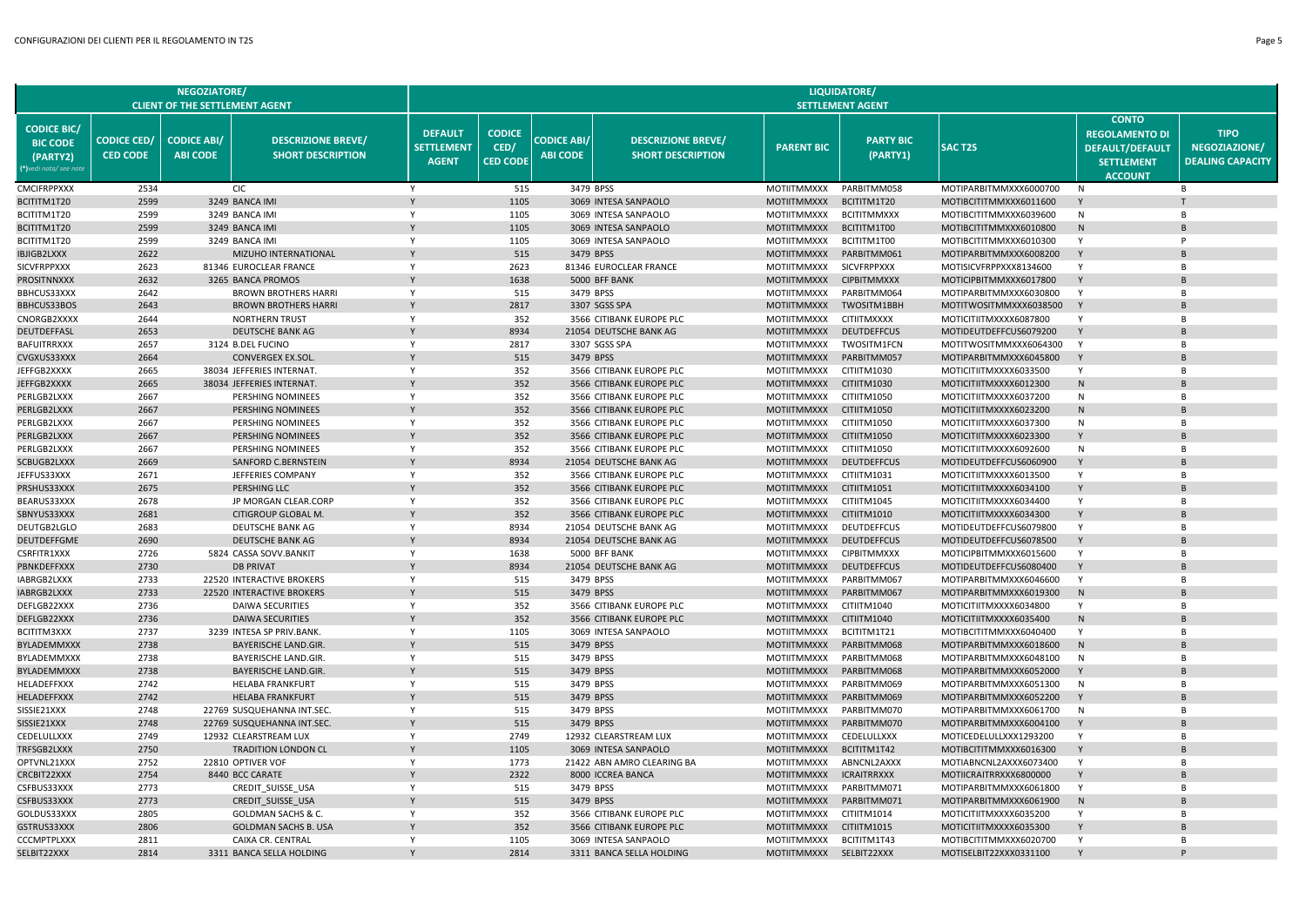|                                                                             |                                       | <b>NEGOZIATORE/</b><br><b>CLIENT OF THE SETTLEMENT AGENT</b> |                                                          |                                                     |                                          |                                       |                                                       |                                          | <b>LIQUIDATORE/</b><br><b>SETTLEMENT AGENT</b> |                                                  |                                                                                                        |                                                         |
|-----------------------------------------------------------------------------|---------------------------------------|--------------------------------------------------------------|----------------------------------------------------------|-----------------------------------------------------|------------------------------------------|---------------------------------------|-------------------------------------------------------|------------------------------------------|------------------------------------------------|--------------------------------------------------|--------------------------------------------------------------------------------------------------------|---------------------------------------------------------|
| <b>CODICE BIC/</b><br><b>BIC CODE</b><br>(PARTY2)<br>(*)vedi nota/ see note | <b>CODICE CED/</b><br><b>CED CODE</b> | <b>CODICE ABI/</b><br><b>ABI CODE</b>                        | <b>DESCRIZIONE BREVE/</b><br><b>SHORT DESCRIPTION</b>    | <b>DEFAULT</b><br><b>SETTLEMENT</b><br><b>AGENT</b> | <b>CODICE</b><br>CED/<br><b>CED CODE</b> | <b>CODICE ABI/</b><br><b>ABI CODE</b> | <b>DESCRIZIONE BREVE/</b><br><b>SHORT DESCRIPTION</b> | <b>PARENT BIC</b>                        | <b>PARTY BIC</b><br>(PARTY1)                   | <b>SACT2S</b>                                    | <b>CONTO</b><br><b>REGOLAMENTO DI</b><br><b>DEFAULT/DEFAULT</b><br><b>SETTLEMENT</b><br><b>ACCOUNT</b> | <b>TIPO</b><br>NEGOZIAZIONE/<br><b>DEALING CAPACITY</b> |
| <b>CMCIFRPPXXX</b>                                                          | 2534                                  |                                                              | <b>CIC</b>                                               | Y                                                   | 515                                      |                                       | 3479 BPSS                                             | <b>MOTIITMMXXX</b>                       | PARBITMM058                                    | MOTIPARBITMMXXX6000700                           | N                                                                                                      | B                                                       |
| BCITITM1T20                                                                 | 2599                                  |                                                              | 3249 BANCA IMI                                           | Y                                                   | 1105                                     |                                       | 3069 INTESA SANPAOLO                                  | <b>MOTIITMMXXX</b>                       | BCITITM1T20                                    | MOTIBCITITMMXXX6011600                           | Y                                                                                                      |                                                         |
| BCITITM1T20                                                                 | 2599                                  |                                                              | 3249 BANCA IMI                                           | Y                                                   | 1105                                     |                                       | 3069 INTESA SANPAOLO                                  | <b>MOTIITMMXXX</b>                       | <b>BCITITMMXXX</b>                             | MOTIBCITITMMXXX6039600                           | N                                                                                                      | B                                                       |
| BCITITM1T20                                                                 | 2599                                  |                                                              | 3249 BANCA IMI                                           |                                                     | 1105                                     |                                       | 3069 INTESA SANPAOLO                                  | <b>MOTIITMMXXX</b>                       | BCITITM1T00                                    | MOTIBCITITMMXXX6010800                           | N                                                                                                      |                                                         |
| BCITITM1T20                                                                 | 2599                                  |                                                              | 3249 BANCA IMI                                           | Y                                                   | 1105                                     |                                       | 3069 INTESA SANPAOLO                                  | MOTIITMMXXX                              | BCITITM1T00                                    | MOTIBCITITMMXXX6010300                           | Y                                                                                                      | P                                                       |
| <b>IBJIGB2LXXX</b>                                                          | 2622                                  |                                                              | MIZUHO INTERNATIONAL                                     |                                                     | 515                                      |                                       | 3479 BPSS                                             | <b>MOTIITMMXXX</b>                       | PARBITMM061                                    | MOTIPARBITMMXXX6008200                           | Y                                                                                                      |                                                         |
| SICVFRPPXXX                                                                 | 2623<br>2632                          |                                                              | 81346 EUROCLEAR FRANCE                                   | Y                                                   | 2623<br>1638                             |                                       | 81346 EUROCLEAR FRANCE                                | MOTIITMMXXX                              | <b>SICVFRPPXXX</b>                             | MOTISICVFRPPXXX8134600                           | Y<br>Y                                                                                                 | <b>B</b>                                                |
| PROSITNNXXX<br>BBHCUS33XXX                                                  | 2642                                  |                                                              | 3265 BANCA PROMOS<br><b>BROWN BROTHERS HARRI</b>         | Y                                                   | 515                                      |                                       | 5000 BFF BANK<br>3479 BPSS                            | <b>MOTIITMMXXX</b><br>MOTIITMMXXX        | <b>CIPBITMMXXX</b><br>PARBITMM064              | MOTICIPBITMMXXX6017800<br>MOTIPARBITMMXXX6030800 | Y                                                                                                      | <b>B</b>                                                |
| <b>BBHCUS33BOS</b>                                                          | 2643                                  |                                                              | <b>BROWN BROTHERS HARRI</b>                              |                                                     | 2817                                     |                                       | 3307 SGSS SPA                                         | <b>MOTIITMMXXX</b>                       | TWOSITM1BBH                                    | MOTITWOSITMMXXX6038500                           | Y                                                                                                      |                                                         |
| CNORGB2XXXX                                                                 | 2644                                  |                                                              | <b>NORTHERN TRUST</b>                                    | Y                                                   | 352                                      |                                       | 3566 CITIBANK EUROPE PLC                              | <b>MOTIITMMXXX</b>                       | <b>CITIITMXXXX</b>                             | MOTICITIITMXXXX6087800                           | Y                                                                                                      | B                                                       |
| DEUTDEFFASL                                                                 | 2653                                  |                                                              | <b>DEUTSCHE BANK AG</b>                                  | Y                                                   | 8934                                     |                                       | 21054 DEUTSCHE BANK AG                                | <b>MOTIITMMXXX</b>                       | <b>DEUTDEFFCUS</b>                             | MOTIDEUTDEFFCUS6079200                           | Y                                                                                                      |                                                         |
| <b>BAFUITRRXXX</b>                                                          | 2657                                  |                                                              | 3124 B.DEL FUCINO                                        | Y                                                   | 2817                                     |                                       | 3307 SGSS SPA                                         | <b>MOTIITMMXXX</b>                       | <b>TWOSITM1FCN</b>                             | MOTITWOSITMMXXX6064300                           | Y                                                                                                      | $\overline{B}$                                          |
| CVGXUS33XXX                                                                 | 2664                                  |                                                              | <b>CONVERGEX EX.SOL</b>                                  | Y                                                   | 515                                      |                                       | 3479 BPSS                                             | <b>MOTIITMMXXX</b>                       | PARBITMM057                                    | MOTIPARBITMMXXX6045800                           | Y                                                                                                      |                                                         |
| JEFFGB2XXXX                                                                 | 2665                                  |                                                              | 38034 JEFFERIES INTERNAT.                                | Y                                                   | 352                                      |                                       | 3566 CITIBANK EUROPE PLC                              | <b>MOTIITMMXXX</b>                       | CITIITM1030                                    | MOTICITIITMXXXX6033500                           | Y                                                                                                      | B                                                       |
| JEFFGB2XXXX                                                                 | 2665                                  |                                                              | 38034 JEFFERIES INTERNAT.                                |                                                     | 352                                      |                                       | 3566 CITIBANK EUROPE PLC                              | <b>MOTIITMMXXX</b>                       | CITIITM1030                                    | MOTICITIITMXXXX6012300                           | N                                                                                                      |                                                         |
| PERLGB2LXXX                                                                 | 2667                                  |                                                              | PERSHING NOMINEES                                        | Y                                                   | 352                                      |                                       | 3566 CITIBANK EUROPE PLC                              | MOTIITMMXXX                              | CITIITM1050                                    | MOTICITIITMXXXX6037200                           | N                                                                                                      | <b>B</b>                                                |
| PERLGB2LXXX                                                                 | 2667                                  |                                                              | PERSHING NOMINEES                                        |                                                     | 352                                      |                                       | 3566 CITIBANK EUROPE PLC                              | <b>MOTIITMMXXX</b>                       | CITIITM1050                                    | MOTICITIITMXXXX6023200                           | N                                                                                                      |                                                         |
| PERLGB2LXXX                                                                 | 2667                                  |                                                              | PERSHING NOMINEES                                        | Y                                                   | 352                                      |                                       | 3566 CITIBANK EUROPE PLC                              | MOTIITMMXXX                              | CITIITM1050                                    | MOTICITIITMXXXX6037300                           | N                                                                                                      | <b>B</b>                                                |
| PERLGB2LXXX                                                                 | 2667                                  |                                                              | PERSHING NOMINEES                                        |                                                     | 352                                      |                                       | 3566 CITIBANK EUROPE PLC                              | <b>MOTIITMMXXX</b>                       | CITIITM1050                                    | MOTICITIITMXXXX6023300                           |                                                                                                        |                                                         |
| PERLGB2LXXX                                                                 | 2667                                  |                                                              | PERSHING NOMINEES                                        | Y                                                   | 352                                      |                                       | 3566 CITIBANK EUROPE PLC                              | <b>MOTIITMMXXX</b>                       | CITIITM1050                                    | MOTICITIITMXXXX6092600                           | N                                                                                                      | B                                                       |
| SCBUGB2LXXX<br>JEFFUS33XXX                                                  | 2669<br>2671                          |                                                              | SANFORD C.BERNSTEIN<br>JEFFERIES COMPANY                 | Y                                                   | 8934<br>352                              |                                       | 21054 DEUTSCHE BANK AG<br>3566 CITIBANK EUROPE PLC    | <b>MOTIITMMXXX</b><br><b>MOTIITMMXXX</b> | <b>DEUTDEFFCUS</b><br>CITIITM1031              | MOTIDEUTDEFFCUS6060900<br>MOTICITIITMXXXX6013500 | Y<br>Y                                                                                                 | B                                                       |
| PRSHUS33XXX                                                                 | 2675                                  |                                                              | PERSHING LLC                                             |                                                     | 352                                      |                                       | 3566 CITIBANK EUROPE PLC                              | <b>MOTIITMMXXX</b>                       | CITIITM1051                                    | MOTICITIITMXXXX6034100                           |                                                                                                        |                                                         |
| BEARUS33XXX                                                                 | 2678                                  |                                                              | JP MORGAN CLEAR.CORP                                     | Y                                                   | 352                                      |                                       | 3566 CITIBANK EUROPE PLC                              | <b>MOTIITMMXXX</b>                       | CITIITM1045                                    | MOTICITIITMXXXX6034400                           | Y                                                                                                      | $\overline{B}$                                          |
| SBNYUS33XXX                                                                 | 2681                                  |                                                              | CITIGROUP GLOBAL M.                                      |                                                     | 352                                      |                                       | 3566 CITIBANK EUROPE PLC                              | <b>MOTIITMMXXX</b>                       | CITIITM1010                                    | MOTICITIITMXXXX6034300                           | Y                                                                                                      |                                                         |
| DEUTGB2LGLO                                                                 | 2683                                  |                                                              | DEUTSCHE BANK AG                                         | Y                                                   | 8934                                     |                                       | 21054 DEUTSCHE BANK AG                                | <b>MOTIITMMXXX</b>                       | <b>DEUTDEFFCUS</b>                             | MOTIDEUTDEFFCUS6079800                           | Y                                                                                                      | B                                                       |
| DEUTDEFFGME                                                                 | 2690                                  |                                                              | DEUTSCHE BANK AG                                         |                                                     | 8934                                     |                                       | 21054 DEUTSCHE BANK AG                                | <b>MOTIITMMXXX</b>                       | <b>DEUTDEFFCUS</b>                             | MOTIDEUTDEFFCUS6078500                           | Y                                                                                                      |                                                         |
| CSRFITR1XXX                                                                 | 2726                                  |                                                              | 5824 CASSA SOVV.BANKIT                                   | Y                                                   | 1638                                     |                                       | 5000 BFF BANK                                         | MOTIITMMXXX                              | <b>CIPBITMMXXX</b>                             | MOTICIPBITMMXXX6015600                           | Y                                                                                                      | <b>B</b>                                                |
| PBNKDEFFXXX                                                                 | 2730                                  |                                                              | <b>DB PRIVAT</b>                                         |                                                     | 8934                                     |                                       | 21054 DEUTSCHE BANK AG                                | <b>MOTIITMMXXX</b>                       | <b>DEUTDEFFCUS</b>                             | MOTIDEUTDEFFCUS6080400                           | Y                                                                                                      |                                                         |
| IABRGB2LXXX                                                                 | 2733                                  |                                                              | 22520 INTERACTIVE BROKERS                                | Y                                                   | 515                                      |                                       | 3479 BPSS                                             | <b>MOTIITMMXXX</b>                       | PARBITMM067                                    | MOTIPARBITMMXXX6046600                           | Y                                                                                                      | B                                                       |
| IABRGB2LXXX                                                                 | 2733                                  |                                                              | 22520 INTERACTIVE BROKERS                                |                                                     | 515                                      |                                       | 3479 BPSS                                             | <b>MOTIITMMXXX</b>                       | PARBITMM067                                    | MOTIPARBITMMXXX6019300                           | N                                                                                                      |                                                         |
| DEFLGB22XXX                                                                 | 2736                                  |                                                              | <b>DAIWA SECURITIES</b>                                  | Y                                                   | 352                                      |                                       | 3566 CITIBANK EUROPE PLC                              | <b>MOTIITMMXXX</b>                       | CITIITM1040                                    | MOTICITIITMXXXX6034800                           | Y                                                                                                      | $\overline{B}$                                          |
| DEFLGB22XXX                                                                 | 2736                                  |                                                              | <b>DAIWA SECURITIES</b>                                  |                                                     | 352                                      |                                       | 3566 CITIBANK EUROPE PLC                              | <b>MOTIITMMXXX</b>                       | CITIITM1040                                    | MOTICITIITMXXXX6035400                           | N                                                                                                      |                                                         |
| <b>BCITITM3XXX</b>                                                          | 2737                                  |                                                              | 3239 INTESA SP PRIV.BANK                                 | Y                                                   | 1105                                     |                                       | 3069 INTESA SANPAOLO                                  | <b>MOTIITMMXXX</b>                       | BCITITM1T21                                    | MOTIBCITITMMXXX6040400                           | Y                                                                                                      | B                                                       |
| BYLADEMMXXX                                                                 | 2738                                  |                                                              | <b>BAYERISCHE LAND.GIR</b>                               | Y                                                   | 515<br>515                               |                                       | 3479 BPSS                                             | <b>MOTIITMMXXX</b>                       | PARBITMM068<br>PARBITMM068                     | MOTIPARBITMMXXX6018600                           | N<br>N                                                                                                 | $\overline{B}$                                          |
| BYLADEMMXXX<br>BYLADEMMXXX                                                  | 2738<br>2738                          |                                                              | <b>BAYERISCHE LAND.GIR</b><br><b>BAYERISCHE LAND.GIR</b> |                                                     | 515                                      |                                       | 3479 BPSS<br>3479 BPSS                                | <b>MOTIITMMXXX</b><br><b>MOTIITMMXXX</b> | PARBITMM068                                    | MOTIPARBITMMXXX6048100<br>MOTIPARBITMMXXX6052000 |                                                                                                        |                                                         |
| HELADEFFXXX                                                                 | 2742                                  |                                                              | <b>HELABA FRANKFURT</b>                                  | Y                                                   | 515                                      |                                       | 3479 BPSS                                             | <b>MOTIITMMXXX</b>                       | PARBITMM069                                    | MOTIPARBITMMXXX6051300                           | N                                                                                                      | <b>B</b>                                                |
| HELADEFFXXX                                                                 | 2742                                  |                                                              | <b>HELABA FRANKFURT</b>                                  |                                                     | 515                                      |                                       | 3479 BPSS                                             | <b>MOTIITMMXXX</b>                       | PARBITMM069                                    | MOTIPARBITMMXXX6052200                           |                                                                                                        |                                                         |
| SISSIE21XXX                                                                 | 2748                                  |                                                              | 22769 SUSQUEHANNA INT.SEC.                               | Y                                                   | 515                                      |                                       | 3479 BPSS                                             | <b>MOTIITMMXXX</b>                       | PARBITMM070                                    | MOTIPARBITMMXXX6061700                           | N                                                                                                      | B                                                       |
| SISSIE21XXX                                                                 | 2748                                  |                                                              | 22769 SUSQUEHANNA INT.SEC.                               |                                                     | 515                                      |                                       | 3479 BPSS                                             | <b>MOTIITMMXXX</b>                       | PARBITMM070                                    | MOTIPARBITMMXXX6004100                           |                                                                                                        |                                                         |
| CEDELULLXXX                                                                 | 2749                                  |                                                              | 12932 CLEARSTREAM LUX                                    | Y                                                   | 2749                                     |                                       | 12932 CLEARSTREAM LUX                                 | <b>MOTIITMMXXX</b>                       | CEDELULLXXX                                    | MOTICEDELULLXXX1293200                           | Y                                                                                                      | B                                                       |
| TRFSGB2LXXX                                                                 | 2750                                  |                                                              | <b>TRADITION LONDON CL</b>                               |                                                     | 1105                                     |                                       | 3069 INTESA SANPAOLO                                  | <b>MOTIITMMXXX</b>                       | BCITITM1T42                                    | MOTIBCITITMMXXX6016300                           |                                                                                                        |                                                         |
| OPTVNL21XXX                                                                 | 2752                                  |                                                              | 22810 OPTIVER VOF                                        | Y                                                   | 1773                                     |                                       | 21422 ABN AMRO CLEARING BA                            | <b>MOTIITMMXXX</b>                       | ABNCNL2AXXX                                    | MOTIABNCNL2AXXX6073400                           | Y                                                                                                      | $\overline{B}$                                          |
| CRCBIT22XXX                                                                 | 2754                                  |                                                              | 8440 BCC CARATE                                          |                                                     | 2322                                     |                                       | 8000 ICCREA BANCA                                     | <b>MOTIITMMXXX</b>                       | <b>ICRAITRRXXX</b>                             | MOTIICRAITRRXXX6800000                           |                                                                                                        |                                                         |
| CSFBUS33XXX                                                                 | 2773                                  |                                                              | CREDIT SUISSE USA                                        | Y                                                   | 515                                      |                                       | 3479 BPSS                                             | <b>MOTIITMMXXX</b>                       | PARBITMM071                                    | MOTIPARBITMMXXX6061800                           | Y                                                                                                      | <b>B</b>                                                |
| CSFBUS33XXX                                                                 | 2773                                  |                                                              | CREDIT SUISSE USA                                        |                                                     | 515                                      |                                       | 3479 BPSS                                             | <b>MOTIITMMXXX</b>                       | PARBITMM071                                    | MOTIPARBITMMXXX6061900                           | N                                                                                                      |                                                         |
| GOLDUS33XXX                                                                 | 2805                                  |                                                              | GOLDMAN SACHS & C.                                       | Y                                                   | 352                                      |                                       | 3566 CITIBANK EUROPE PLC                              | <b>MOTIITMMXXX</b>                       | CITIITM1014                                    | MOTICITIITMXXXX6035200                           | Υ                                                                                                      |                                                         |
| GSTRUS33XXX                                                                 | 2806                                  |                                                              | <b>GOLDMAN SACHS B. USA</b>                              |                                                     | 352                                      |                                       | 3566 CITIBANK EUROPE PLC                              | <b>MOTIITMMXXX</b>                       | CITIITM1015                                    | MOTICITIITMXXXX6035300                           |                                                                                                        |                                                         |
| <b>CCCMPTPLXXX</b>                                                          | 2811<br>2814                          |                                                              | CAIXA CR. CENTRAL                                        | Y                                                   | 1105<br>2814                             |                                       | 3069 INTESA SANPAOLO                                  | <b>MOTIITMMXXX</b>                       | BCITITM1T43                                    | MOTIBCITITMMXXX6020700                           | Y                                                                                                      |                                                         |
| SELBIT22XXX                                                                 |                                       |                                                              | 3311 BANCA SELLA HOLDING                                 |                                                     |                                          |                                       | 3311 BANCA SELLA HOLDING                              | <b>MOTIITMMXXX</b>                       | SELBIT22XXX                                    | MOTISELBIT22XXX0331100                           |                                                                                                        |                                                         |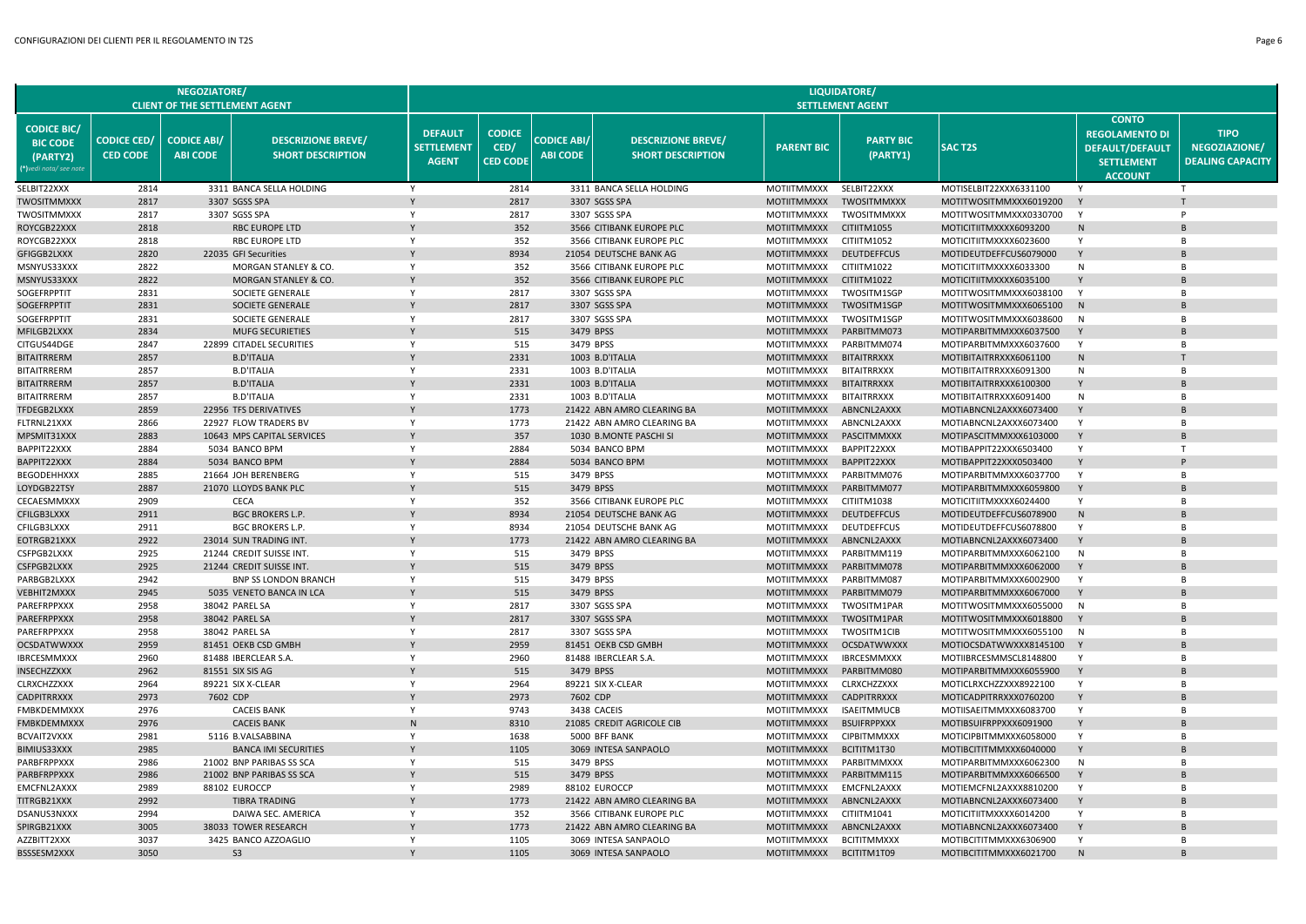|                                                                             |                                       | <b>NEGOZIATORE/</b><br><b>CLIENT OF THE SETTLEMENT AGENT</b> |                                                       |                                                     |                                          |                                       |                                                       |                                          | LIQUIDATORE/<br><b>SETTLEMENT AGENT</b>  |                                                  |                                                                                                        |                                                         |
|-----------------------------------------------------------------------------|---------------------------------------|--------------------------------------------------------------|-------------------------------------------------------|-----------------------------------------------------|------------------------------------------|---------------------------------------|-------------------------------------------------------|------------------------------------------|------------------------------------------|--------------------------------------------------|--------------------------------------------------------------------------------------------------------|---------------------------------------------------------|
| <b>CODICE BIC/</b><br><b>BIC CODE</b><br>(PARTY2)<br>(*)vedi nota/ see note | <b>CODICE CED/</b><br><b>CED CODE</b> | <b>CODICE ABI/</b><br><b>ABI CODE</b>                        | <b>DESCRIZIONE BREVE/</b><br><b>SHORT DESCRIPTION</b> | <b>DEFAULT</b><br><b>SETTLEMENT</b><br><b>AGENT</b> | <b>CODICE</b><br>CED/<br><b>CED CODE</b> | <b>CODICE ABI/</b><br><b>ABI CODE</b> | <b>DESCRIZIONE BREVE/</b><br><b>SHORT DESCRIPTION</b> | <b>PARENT BIC</b>                        | <b>PARTY BIC</b><br>(PARTY1)             | <b>SAC T2S</b>                                   | <b>CONTO</b><br><b>REGOLAMENTO DI</b><br><b>DEFAULT/DEFAULT</b><br><b>SETTLEMENT</b><br><b>ACCOUNT</b> | <b>TIPO</b><br>NEGOZIAZIONE/<br><b>DEALING CAPACITY</b> |
| SELBIT22XXX                                                                 | 2814                                  |                                                              | 3311 BANCA SELLA HOLDING                              | Y                                                   | 2814                                     |                                       | 3311 BANCA SELLA HOLDING                              | <b>MOTIITMMXXX</b>                       | SELBIT22XXX                              | MOTISELBIT22XXX6331100                           |                                                                                                        | т                                                       |
| <b>TWOSITMMXXX</b>                                                          | 2817                                  |                                                              | 3307 SGSS SPA                                         |                                                     | 2817                                     |                                       | 3307 SGSS SPA                                         | <b>MOTIITMMXXX</b>                       | <b>TWOSITMMXXX</b>                       | MOTITWOSITMMXXX6019200                           | Y                                                                                                      |                                                         |
| TWOSITMMXXX                                                                 | 2817                                  |                                                              | 3307 SGSS SPA                                         | Y                                                   | 2817                                     |                                       | 3307 SGSS SPA                                         | <b>MOTIITMMXXX</b>                       | TWOSITMMXXX                              | MOTITWOSITMMXXX0330700                           | Y                                                                                                      | P                                                       |
| ROYCGB22XXX                                                                 | 2818                                  |                                                              | <b>RBC EUROPE LTD</b>                                 |                                                     | 352                                      |                                       | 3566 CITIBANK EUROPE PLC                              | <b>MOTIITMMXXX</b>                       | CITIITM1055                              | MOTICITIITMXXXX6093200                           | N                                                                                                      |                                                         |
| ROYCGB22XXX                                                                 | 2818                                  |                                                              | <b>RBC EUROPE LTD</b>                                 | Y                                                   | 352                                      |                                       | 3566 CITIBANK EUROPE PLC                              | MOTIITMMXXX                              | CITIITM1052                              | MOTICITIITMXXXX6023600                           | Y                                                                                                      | <b>B</b>                                                |
| GFIGGB2LXXX                                                                 | 2820                                  |                                                              | 22035 GFI Securities                                  |                                                     | 8934                                     |                                       | 21054 DEUTSCHE BANK AG                                | <b>MOTIITMMXXX</b>                       | <b>DEUTDEFFCUS</b>                       | MOTIDEUTDEFFCUS6079000                           | Y                                                                                                      |                                                         |
| MSNYUS33XXX                                                                 | 2822<br>2822                          |                                                              | MORGAN STANLEY & CO.<br>MORGAN STANLEY & CO.          | Y                                                   | 352<br>352                               |                                       | 3566 CITIBANK EUROPE PLC<br>3566 CITIBANK EUROPE PLC  | <b>MOTIITMMXXX</b>                       | CITIITM1022<br>CITIITM1022               | MOTICITIITMXXXX6033300                           | N                                                                                                      | <b>B</b>                                                |
| MSNYUS33XXX<br>SOGEFRPPTIT                                                  | 2831                                  |                                                              | SOCIETE GENERALE                                      | Y                                                   | 2817                                     |                                       | 3307 SGSS SPA                                         | <b>MOTIITMMXXX</b><br>MOTIITMMXXX        | TWOSITM1SGP                              | MOTICITIITMXXXX6035100<br>MOTITWOSITMMXXX6038100 | Y                                                                                                      | <b>B</b>                                                |
| SOGEFRPPTIT                                                                 | 2831                                  |                                                              | SOCIETE GENERALE                                      |                                                     | 2817                                     |                                       | 3307 SGSS SPA                                         | <b>MOTIITMMXXX</b>                       | TWOSITM1SGP                              | MOTITWOSITMMXXX6065100                           | N                                                                                                      |                                                         |
| SOGEFRPPTIT                                                                 | 2831                                  |                                                              | SOCIETE GENERALE                                      | Y                                                   | 2817                                     |                                       | 3307 SGSS SPA                                         | <b>MOTIITMMXXX</b>                       | TWOSITM1SGP                              | MOTITWOSITMMXXX6038600                           | N                                                                                                      | B                                                       |
| MFILGB2LXXX                                                                 | 2834                                  |                                                              | <b>MUFG SECURIETIES</b>                               |                                                     | 515                                      |                                       | 3479 BPSS                                             | <b>MOTIITMMXXX</b>                       | PARBITMM073                              | MOTIPARBITMMXXX6037500                           | Y                                                                                                      |                                                         |
| CITGUS44DGE                                                                 | 2847                                  |                                                              | 22899 CITADEL SECURITIES                              | Y                                                   | 515                                      |                                       | 3479 BPSS                                             | <b>MOTIITMMXXX</b>                       | PARBITMM074                              | MOTIPARBITMMXXX6037600                           | Y                                                                                                      | $\overline{B}$                                          |
| <b>BITAITRRERM</b>                                                          | 2857                                  |                                                              | <b>B.D'ITALIA</b>                                     |                                                     | 2331                                     |                                       | 1003 B.D'ITALIA                                       | <b>MOTIITMMXXX</b>                       | <b>BITAITRRXXX</b>                       | MOTIBITAITRRXXX6061100                           | N                                                                                                      |                                                         |
| <b>BITAITRRERM</b>                                                          | 2857                                  |                                                              | <b>B.D'ITALIA</b>                                     | Y                                                   | 2331                                     |                                       | 1003 B.D'ITALIA                                       | <b>MOTIITMMXXX</b>                       | <b>BITAITRRXXX</b>                       | MOTIBITAITRRXXX6091300                           | N                                                                                                      | B                                                       |
| <b>BITAITRRERM</b>                                                          | 2857                                  |                                                              | <b>B.D'ITALIA</b>                                     |                                                     | 2331                                     |                                       | 1003 B.D'ITALIA                                       | <b>MOTIITMMXXX</b>                       | <b>BITAITRRXXX</b>                       | MOTIBITAITRRXXX6100300                           |                                                                                                        |                                                         |
| BITAITRRERM                                                                 | 2857                                  |                                                              | <b>B.D'ITALIA</b>                                     | Y                                                   | 2331                                     |                                       | 1003 B.D'ITALIA                                       | MOTIITMMXXX                              | <b>BITAITRRXXX</b>                       | MOTIBITAITRRXXX6091400                           | N                                                                                                      | <b>B</b>                                                |
| TFDEGB2LXXX                                                                 | 2859                                  |                                                              | 22956 TFS DERIVATIVES                                 |                                                     | 1773                                     |                                       | 21422 ABN AMRO CLEARING BA                            | <b>MOTIITMMXXX</b>                       | ABNCNL2AXXX                              | MOTIABNCNL2AXXX6073400                           | Y                                                                                                      |                                                         |
| FLTRNL21XXX                                                                 | 2866                                  |                                                              | 22927 FLOW TRADERS BV                                 | Y                                                   | 1773                                     |                                       | 21422 ABN AMRO CLEARING BA                            | MOTIITMMXXX                              | ABNCNL2AXXX                              | MOTIABNCNL2AXXX6073400                           | Y                                                                                                      | <b>B</b>                                                |
| MPSMIT31XXX                                                                 | 2883                                  |                                                              | 10643 MPS CAPITAL SERVICES                            |                                                     | 357                                      |                                       | 1030 B.MONTE PASCHI SI                                | <b>MOTIITMMXXX</b>                       | PASCITMMXXX                              | MOTIPASCITMMXXX6103000                           | Y                                                                                                      |                                                         |
| BAPPIT22XXX                                                                 | 2884                                  |                                                              | 5034 BANCO BPM                                        | Y                                                   | 2884                                     |                                       | 5034 BANCO BPM                                        | <b>MOTIITMMXXX</b>                       | BAPPIT22XXX                              | MOTIBAPPIT22XXX6503400                           | Y                                                                                                      | $\mathsf{T}$                                            |
| BAPPIT22XXX<br>BEGODEHHXXX                                                  | 2884<br>2885                          |                                                              | 5034 BANCO BPM<br>21664 JOH BERENBERG                 | Y                                                   | 2884<br>515                              |                                       | 5034 BANCO BPM<br>3479 BPSS                           | <b>MOTIITMMXXX</b><br><b>MOTIITMMXXX</b> | BAPPIT22XXX<br>PARBITMM076               | MOTIBAPPIT22XXX0503400<br>MOTIPARBITMMXXX6037700 | Y                                                                                                      | B                                                       |
| LOYDGB22TSY                                                                 | 2887                                  |                                                              | 21070 LLOYDS BANK PLC                                 | Y                                                   | 515                                      |                                       | 3479 BPSS                                             | <b>MOTIITMMXXX</b>                       | PARBITMM077                              | MOTIPARBITMMXXX6059800                           | Y                                                                                                      | R.                                                      |
| CECAESMMXXX                                                                 | 2909                                  |                                                              | <b>CECA</b>                                           | Y                                                   | 352                                      |                                       | 3566 CITIBANK EUROPE PLC                              | <b>MOTIITMMXXX</b>                       | CITIITM1038                              | MOTICITIITMXXXX6024400                           | Y                                                                                                      | $\overline{B}$                                          |
| CFILGB3LXXX                                                                 | 2911                                  |                                                              | <b>BGC BROKERS L.P.</b>                               |                                                     | 8934                                     |                                       | 21054 DEUTSCHE BANK AG                                | <b>MOTIITMMXXX</b>                       | <b>DEUTDEFFCUS</b>                       | MOTIDEUTDEFFCUS6078900                           | ${\sf N}$                                                                                              |                                                         |
| CFILGB3LXXX                                                                 | 2911                                  |                                                              | <b>BGC BROKERS L.P.</b>                               | Y                                                   | 8934                                     |                                       | 21054 DEUTSCHE BANK AG                                | <b>MOTIITMMXXX</b>                       | <b>DEUTDEFFCUS</b>                       | MOTIDEUTDEFFCUS6078800                           | Y                                                                                                      | B                                                       |
| EOTRGB21XXX                                                                 | 2922                                  |                                                              | 23014 SUN TRADING INT                                 |                                                     | 1773                                     |                                       | 21422 ABN AMRO CLEARING BA                            | <b>MOTIITMMXXX</b>                       | ABNCNL2AXXX                              | MOTIABNCNL2AXXX6073400                           | Y                                                                                                      |                                                         |
| CSFPGB2LXXX                                                                 | 2925                                  |                                                              | 21244 CREDIT SUISSE INT.                              | Y                                                   | 515                                      |                                       | 3479 BPSS                                             | MOTIITMMXXX                              | PARBITMM119                              | MOTIPARBITMMXXX6062100                           | N                                                                                                      | <b>B</b>                                                |
| CSFPGB2LXXX                                                                 | 2925                                  |                                                              | 21244 CREDIT SUISSE INT.                              |                                                     | 515                                      |                                       | 3479 BPSS                                             | <b>MOTIITMMXXX</b>                       | PARBITMM078                              | MOTIPARBITMMXXX6062000                           |                                                                                                        |                                                         |
| PARBGB2LXXX                                                                 | 2942                                  |                                                              | <b>BNP SS LONDON BRANCH</b>                           | Y                                                   | 515                                      |                                       | 3479 BPSS                                             | <b>MOTIITMMXXX</b>                       | PARBITMM087                              | MOTIPARBITMMXXX6002900                           | Y                                                                                                      | B                                                       |
| VEBHIT2MXXX                                                                 | 2945                                  |                                                              | 5035 VENETO BANCA IN LCA                              |                                                     | 515                                      |                                       | 3479 BPSS                                             | <b>MOTIITMMXXX</b>                       | PARBITMM079                              | MOTIPARBITMMXXX6067000                           |                                                                                                        |                                                         |
| PAREFRPPXXX                                                                 | 2958                                  |                                                              | 38042 PAREL SA                                        | Y                                                   | 2817                                     |                                       | 3307 SGSS SPA                                         | <b>MOTIITMMXXX</b>                       | TWOSITM1PAR                              | MOTITWOSITMMXXX6055000                           | N                                                                                                      | $\overline{B}$                                          |
| PAREFRPPXXX                                                                 | 2958                                  |                                                              | 38042 PAREL SA                                        |                                                     | 2817                                     |                                       | 3307 SGSS SPA                                         | <b>MOTIITMMXXX</b>                       | TWOSITM1PAR                              | MOTITWOSITMMXXX6018800                           |                                                                                                        |                                                         |
| PAREFRPPXXX                                                                 | 2958                                  |                                                              | 38042 PAREL SA                                        | Y                                                   | 2817                                     |                                       | 3307 SGSS SPA                                         | <b>MOTIITMMXXX</b>                       | <b>TWOSITM1CIB</b>                       | MOTITWOSITMMXXX6055100                           | N                                                                                                      | B                                                       |
| <b>OCSDATWWXXX</b>                                                          | 2959                                  |                                                              | 81451 OEKB CSD GMBH<br>81488 IBERCLEAR S.A            | Y                                                   | 2959                                     |                                       | 81451 OEKB CSD GMBH                                   | <b>MOTIITMMXXX</b>                       | <b>OCSDATWWXXX</b><br><b>IBRCESMMXXX</b> | MOTIOCSDATWWXXX8145100                           | Y<br>Y                                                                                                 | $\overline{B}$                                          |
| IBRCESMMXXX<br>INSECHZZXXX                                                  | 2960<br>2962                          |                                                              | 81551 SIX SIS AG                                      |                                                     | 2960<br>515                              |                                       | 81488 IBERCLEAR S.A.<br>3479 BPSS                     | <b>MOTIITMMXXX</b><br><b>MOTIITMMXXX</b> | PARBITMM080                              | MOTIIBRCESMMSCL8148800<br>MOTIPARBITMMXXX6055900 | Y                                                                                                      |                                                         |
| <b>CLRXCHZZXXX</b>                                                          | 2964                                  |                                                              | 89221 SIX X-CLEAR                                     | Y                                                   | 2964                                     |                                       | 89221 SIX X-CLEAR                                     | <b>MOTIITMMXXX</b>                       | CLRXCHZZXXX                              | MOTICLRXCHZZXXX8922100                           | Y                                                                                                      | <b>B</b>                                                |
| <b>CADPITRRXXX</b>                                                          | 2973                                  | 7602 CDP                                                     |                                                       |                                                     | 2973                                     |                                       | 7602 CDP                                              | <b>MOTIITMMXXX</b>                       | <b>CADPITRRXXX</b>                       | MOTICADPITRRXXX0760200                           |                                                                                                        |                                                         |
| FMBKDEMMXXX                                                                 | 2976                                  |                                                              | <b>CACEIS BANK</b>                                    | Y                                                   | 9743                                     |                                       | 3438 CACEIS                                           | <b>MOTIITMMXXX</b>                       | <b>ISAEITMMUCB</b>                       | MOTIISAEITMMXXX6083700                           | Y                                                                                                      | B                                                       |
| <b>FMBKDEMMXXX</b>                                                          | 2976                                  |                                                              | <b>CACEIS BANK</b>                                    | N                                                   | 8310                                     |                                       | 21085 CREDIT AGRICOLE CIB                             | <b>MOTIITMMXXX</b>                       | <b>BSUIFRPPXXX</b>                       | MOTIBSUIFRPPXXX6091900                           |                                                                                                        |                                                         |
| <b>BCVAIT2VXXX</b>                                                          | 2981                                  |                                                              | 5116 B.VALSABBINA                                     | Y                                                   | 1638                                     |                                       | 5000 BFF BANK                                         | <b>MOTIITMMXXX</b>                       | <b>CIPBITMMXXX</b>                       | MOTICIPBITMMXXX6058000                           | Y                                                                                                      | B                                                       |
| BIMIUS33XXX                                                                 | 2985                                  |                                                              | <b>BANCA IMI SECURITIES</b>                           |                                                     | 1105                                     |                                       | 3069 INTESA SANPAOLO                                  | <b>MOTIITMMXXX</b>                       | BCITITM1T30                              | MOTIBCITITMMXXX6040000                           |                                                                                                        |                                                         |
| <b>PARBFRPPXXX</b>                                                          | 2986                                  |                                                              | 21002 BNP PARIBAS SS SCA                              | Y                                                   | 515                                      |                                       | 3479 BPSS                                             | <b>MOTIITMMXXX</b>                       | PARBITMMXXX                              | MOTIPARBITMMXXX6062300                           | N                                                                                                      | $\overline{B}$                                          |
| PARBFRPPXXX                                                                 | 2986                                  |                                                              | 21002 BNP PARIBAS SS SCA                              |                                                     | 515                                      |                                       | 3479 BPSS                                             | <b>MOTIITMMXXX</b>                       | PARBITMM115                              | MOTIPARBITMMXXX6066500                           |                                                                                                        |                                                         |
| EMCFNL2AXXX                                                                 | 2989                                  |                                                              | 88102 EUROCCP                                         | Y                                                   | 2989                                     |                                       | 88102 EUROCCP                                         | <b>MOTIITMMXXX</b>                       | EMCFNL2AXXX                              | MOTIEMCFNL2AXXX8810200                           | Y                                                                                                      | <b>B</b>                                                |
| TITRGB21XXX                                                                 | 2992                                  |                                                              | <b>TIBRA TRADING</b>                                  |                                                     | 1773                                     |                                       | 21422 ABN AMRO CLEARING BA                            | <b>MOTIITMMXXX</b>                       | ABNCNL2AXXX                              | MOTIABNCNL2AXXX6073400                           |                                                                                                        |                                                         |
| <b>DSANUS3NXXX</b>                                                          | 2994                                  |                                                              | DAIWA SEC. AMERICA                                    | Y                                                   | 352                                      |                                       | 3566 CITIBANK EUROPE PLC                              | <b>MOTIITMMXXX</b>                       | CITIITM1041                              | MOTICITIITMXXXX6014200                           | Υ                                                                                                      |                                                         |
| SPIRGB21XXX<br>AZZBITT2XXX                                                  | 3005<br>3037                          |                                                              | 38033 TOWER RESEARCH<br>3425 BANCO AZZOAGLIO          | Y                                                   | 1773<br>1105                             |                                       | 21422 ABN AMRO CLEARING BA<br>3069 INTESA SANPAOLO    | <b>MOTIITMMXXX</b><br><b>MOTIITMMXXX</b> | ABNCNL2AXXX<br><b>BCITITMMXXX</b>        | MOTIABNCNL2AXXX6073400<br>MOTIBCITITMMXXX6306900 | Y<br>Y                                                                                                 |                                                         |
| BSSSESM2XXX                                                                 | 3050                                  |                                                              | S <sub>3</sub>                                        |                                                     | 1105                                     |                                       | 3069 INTESA SANPAOLO                                  | <b>MOTIITMMXXX</b>                       | BCITITM1T09                              | MOTIBCITITMMXXX6021700                           |                                                                                                        |                                                         |
|                                                                             |                                       |                                                              |                                                       |                                                     |                                          |                                       |                                                       |                                          |                                          |                                                  |                                                                                                        |                                                         |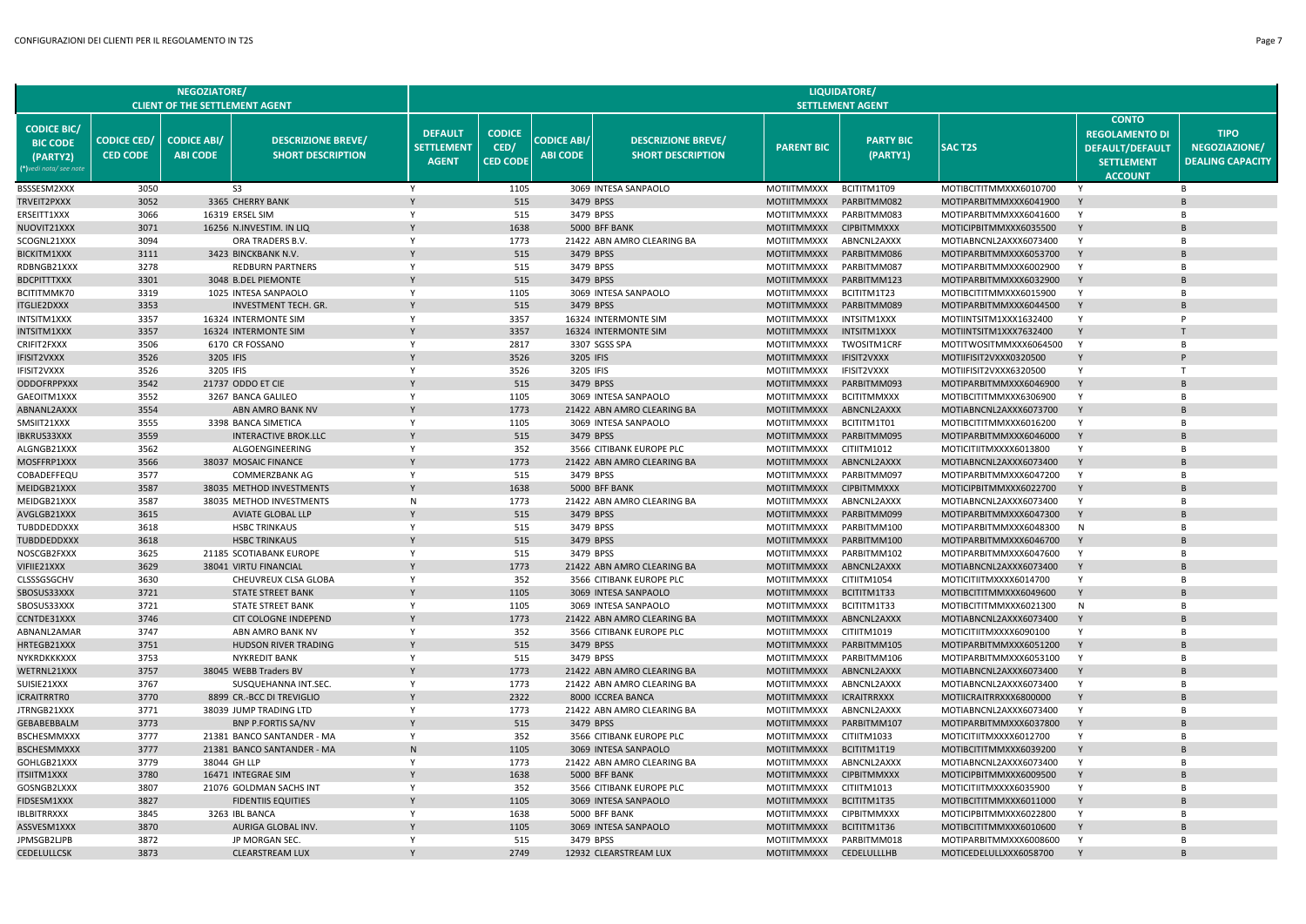|                                                                             |                                       | <b>NEGOZIATORE/</b><br><b>CLIENT OF THE SETTLEMENT AGENT</b> |                                                       |                                                     |                                          |                                       |                                                       |                                          | LIQUIDATORE/<br><b>SETTLEMENT AGENT</b> |                                                  |                                                                                                        |                                                         |
|-----------------------------------------------------------------------------|---------------------------------------|--------------------------------------------------------------|-------------------------------------------------------|-----------------------------------------------------|------------------------------------------|---------------------------------------|-------------------------------------------------------|------------------------------------------|-----------------------------------------|--------------------------------------------------|--------------------------------------------------------------------------------------------------------|---------------------------------------------------------|
| <b>CODICE BIC/</b><br><b>BIC CODE</b><br>(PARTY2)<br>(*)vedi nota/ see note | <b>CODICE CED/</b><br><b>CED CODE</b> | <b>CODICE ABI/</b><br><b>ABI CODE</b>                        | <b>DESCRIZIONE BREVE/</b><br><b>SHORT DESCRIPTION</b> | <b>DEFAULT</b><br><b>SETTLEMENT</b><br><b>AGENT</b> | <b>CODICE</b><br>CED/<br><b>CED CODE</b> | <b>CODICE ABI/</b><br><b>ABI CODE</b> | <b>DESCRIZIONE BREVE/</b><br><b>SHORT DESCRIPTION</b> | <b>PARENT BIC</b>                        | <b>PARTY BIC</b><br>(PARTY1)            | <b>SAC T2S</b>                                   | <b>CONTO</b><br><b>REGOLAMENTO DI</b><br><b>DEFAULT/DEFAULT</b><br><b>SETTLEMENT</b><br><b>ACCOUNT</b> | <b>TIPO</b><br>NEGOZIAZIONE/<br><b>DEALING CAPACITY</b> |
| BSSSESM2XXX                                                                 | 3050                                  |                                                              | S <sub>3</sub>                                        | Y                                                   | 1105                                     |                                       | 3069 INTESA SANPAOLO                                  | MOTIITMMXXX                              | BCITITM1T09                             | MOTIBCITITMMXXX6010700                           | Y                                                                                                      | <b>B</b>                                                |
| TRVEIT2PXXX                                                                 | 3052                                  |                                                              | 3365 CHERRY BANK                                      | Y                                                   | 515                                      |                                       | 3479 BPSS                                             | <b>MOTIITMMXXX</b>                       | PARBITMM082                             | MOTIPARBITMMXXX6041900                           | Y                                                                                                      | $\mathsf{R}$                                            |
| ERSEITT1XXX                                                                 | 3066                                  |                                                              | 16319 ERSEL SIM                                       | Y                                                   | 515                                      |                                       | 3479 BPSS                                             | <b>MOTIITMMXXX</b>                       | PARBITMM083                             | MOTIPARBITMMXXX6041600                           | Y                                                                                                      | B                                                       |
| NUOVIT21XXX                                                                 | 3071                                  |                                                              | 16256 N.INVESTIM. IN LIQ                              |                                                     | 1638                                     |                                       | 5000 BFF BANK                                         | <b>MOTIITMMXXX</b>                       | <b>CIPBITMMXXX</b>                      | MOTICIPBITMMXXX6035500                           |                                                                                                        |                                                         |
| SCOGNL21XXX                                                                 | 3094                                  |                                                              | ORA TRADERS B.V.                                      | Y                                                   | 1773                                     |                                       | 21422 ABN AMRO CLEARING BA                            | MOTIITMMXXX                              | ABNCNL2AXXX                             | MOTIABNCNL2AXXX6073400                           | Y                                                                                                      | $\overline{B}$                                          |
| <b>BICKITM1XXX</b>                                                          | 3111                                  |                                                              | 3423 BINCKBANK N.V.                                   |                                                     | 515                                      |                                       | 3479 BPSS                                             | <b>MOTIITMMXXX</b>                       | PARBITMM086                             | MOTIPARBITMMXXX6053700                           | Y                                                                                                      | R                                                       |
| RDBNGB21XXX                                                                 | 3278                                  |                                                              | <b>REDBURN PARTNERS</b>                               | Y                                                   | 515                                      |                                       | 3479 BPSS                                             | <b>MOTIITMMXXX</b>                       | PARBITMM087                             | MOTIPARBITMMXXX6002900                           | Y                                                                                                      | B                                                       |
| BDCPITTTXXX                                                                 | 3301                                  |                                                              | 3048 B.DEL PIEMONTE                                   |                                                     | 515                                      |                                       | 3479 BPSS                                             | <b>MOTIITMMXXX</b>                       | PARBITMM123                             | MOTIPARBITMMXXX6032900                           | Y                                                                                                      |                                                         |
| BCITITMMK70                                                                 | 3319                                  |                                                              | 1025 INTESA SANPAOLO                                  | Y                                                   | 1105                                     |                                       | 3069 INTESA SANPAOLO                                  | MOTIITMMXXX                              | BCITITM1T23                             | MOTIBCITITMMXXX6015900                           | Y                                                                                                      | R                                                       |
| <b>ITGLIE2DXXX</b>                                                          | 3353<br>3357                          |                                                              | <b>INVESTMENT TECH. GR</b><br>16324 INTERMONTE SIM    | Y                                                   | 515<br>3357                              |                                       | 3479 BPSS<br>16324 INTERMONTE SIM                     | <b>MOTIITMMXXX</b><br><b>MOTIITMMXXX</b> | PARBITMM089<br>INTSITM1XXX              | MOTIPARBITMMXXX6044500                           | Y<br>Y                                                                                                 | <b>B</b><br>P                                           |
| INTSITM1XXX<br>INTSITM1XXX                                                  | 3357                                  |                                                              | 16324 INTERMONTE SIM                                  |                                                     | 3357                                     |                                       | 16324 INTERMONTE SIM                                  | <b>MOTIITMMXXX</b>                       | INTSITM1XXX                             | MOTIINTSITM1XXX1632400<br>MOTIINTSITM1XXX7632400 | Y                                                                                                      |                                                         |
| CRIFIT2FXXX                                                                 | 3506                                  |                                                              | 6170 CR FOSSANO                                       | Y                                                   | 2817                                     |                                       | 3307 SGSS SPA                                         | <b>MOTIITMMXXX</b>                       | TWOSITM1CRF                             | MOTITWOSITMMXXX6064500                           | Y                                                                                                      | $\overline{B}$                                          |
| <b>IFISIT2VXXX</b>                                                          | 3526                                  | 3205 IFIS                                                    |                                                       |                                                     | 3526                                     | 3205 IFIS                             |                                                       | <b>MOTIITMMXXX</b>                       | IFISIT2VXXX                             | MOTIIFISIT2VXXX0320500                           |                                                                                                        |                                                         |
| IFISIT2VXXX                                                                 | 3526                                  | 3205 IFIS                                                    |                                                       | Y                                                   | 3526                                     | 3205 IFIS                             |                                                       | MOTIITMMXXX                              | IFISIT2VXXX                             | MOTIIFISIT2VXXX6320500                           | Y                                                                                                      | T                                                       |
| ODDOFRPPXXX                                                                 | 3542                                  |                                                              | 21737 ODDO ET CIE                                     |                                                     | 515                                      |                                       | 3479 BPSS                                             | <b>MOTIITMMXXX</b>                       | PARBITMM093                             | MOTIPARBITMMXXX6046900                           | Y                                                                                                      |                                                         |
| GAEOITM1XXX                                                                 | 3552                                  |                                                              | 3267 BANCA GALILEO                                    | Y                                                   | 1105                                     |                                       | 3069 INTESA SANPAOLO                                  | MOTIITMMXXX                              | <b>BCITITMMXXX</b>                      | MOTIBCITITMMXXX6306900                           | Y                                                                                                      | R                                                       |
| ABNANL2AXXX                                                                 | 3554                                  |                                                              | ABN AMRO BANK NV                                      |                                                     | 1773                                     |                                       | 21422 ABN AMRO CLEARING BA                            | <b>MOTIITMMXXX</b>                       | ABNCNL2AXXX                             | MOTIABNCNL2AXXX6073700                           | Y                                                                                                      |                                                         |
| SMSIIT21XXX                                                                 | 3555                                  |                                                              | 3398 BANCA SIMETICA                                   | Y                                                   | 1105                                     |                                       | 3069 INTESA SANPAOLO                                  | <b>MOTIITMMXXX</b>                       | BCITITM1T01                             | MOTIBCITITMMXXX6016200                           | Y                                                                                                      | B                                                       |
| <b>IBKRUS33XXX</b>                                                          | 3559                                  |                                                              | <b>INTERACTIVE BROK.LLC</b>                           |                                                     | 515                                      |                                       | 3479 BPSS                                             | <b>MOTIITMMXXX</b>                       | PARBITMM095                             | MOTIPARBITMMXXX6046000                           | Y                                                                                                      |                                                         |
| ALGNGB21XXX                                                                 | 3562                                  |                                                              | ALGOENGINEERING                                       | Y                                                   | 352                                      |                                       | 3566 CITIBANK EUROPE PLC                              | MOTIITMMXXX                              | CITIITM1012                             | MOTICITIITMXXXX6013800                           | Y                                                                                                      | $\overline{B}$                                          |
| MOSFFRP1XXX                                                                 | 3566                                  |                                                              | 38037 MOSAIC FINANCE                                  | $\mathsf{Y}$                                        | 1773                                     |                                       | 21422 ABN AMRO CLEARING BA                            | <b>MOTIITMMXXX</b>                       | ABNCNL2AXXX                             | MOTIABNCNL2AXXX6073400                           | Y                                                                                                      |                                                         |
| COBADEFFEQU                                                                 | 3577                                  |                                                              | COMMERZBANK AG                                        | Y                                                   | 515                                      |                                       | 3479 BPSS                                             | <b>MOTIITMMXXX</b>                       | PARBITMM097                             | MOTIPARBITMMXXX6047200                           | Y                                                                                                      | <b>B</b>                                                |
| MEIDGB21XXX                                                                 | 3587                                  |                                                              | 38035 METHOD INVESTMENTS                              | Y                                                   | 1638                                     |                                       | 5000 BFF BANK                                         | <b>MOTIITMMXXX</b>                       | <b>CIPBITMMXXX</b>                      | MOTICIPBITMMXXX6022700                           | Y                                                                                                      |                                                         |
| MEIDGB21XXX                                                                 | 3587                                  |                                                              | 38035 METHOD INVESTMENTS                              | ${\sf N}$                                           | 1773                                     |                                       | 21422 ABN AMRO CLEARING BA                            | <b>MOTIITMMXXX</b>                       | ABNCNL2AXXX                             | MOTIABNCNL2AXXX6073400                           | Y                                                                                                      | B                                                       |
| AVGLGB21XXX                                                                 | 3615                                  |                                                              | <b>AVIATE GLOBAL LLP</b>                              | Y                                                   | 515                                      |                                       | 3479 BPSS                                             | <b>MOTIITMMXXX</b>                       | PARBITMM099                             | MOTIPARBITMMXXX6047300                           | Y                                                                                                      |                                                         |
| TUBDDEDDXXX                                                                 | 3618                                  |                                                              | <b>HSBC TRINKAUS</b>                                  | Y                                                   | 515                                      |                                       | 3479 BPSS                                             | <b>MOTIITMMXXX</b>                       | PARBITMM100                             | MOTIPARBITMMXXX6048300                           | N                                                                                                      | B                                                       |
| TUBDDEDDXXX<br>NOSCGB2FXXX                                                  | 3618<br>3625                          |                                                              | <b>HSBC TRINKAUS</b><br>21185 SCOTIABANK EUROPE       | Y                                                   | 515<br>515                               |                                       | 3479 BPSS<br>3479 BPSS                                | <b>MOTIITMMXXX</b><br>MOTIITMMXXX        | PARBITMM100<br>PARBITMM102              | MOTIPARBITMMXXX6046700<br>MOTIPARBITMMXXX6047600 | Y<br>Y                                                                                                 | $\overline{B}$                                          |
| VIFIIE21XXX                                                                 | 3629                                  |                                                              | 38041 VIRTU FINANCIAL                                 |                                                     | 1773                                     |                                       | 21422 ABN AMRO CLEARING BA                            | <b>MOTIITMMXXX</b>                       | ABNCNL2AXXX                             | MOTIABNCNL2AXXX6073400                           | Y                                                                                                      |                                                         |
| CLSSSGSGCHV                                                                 | 3630                                  |                                                              | CHEUVREUX CLSA GLOBA                                  | Y                                                   | 352                                      |                                       | 3566 CITIBANK EUROPE PLC                              | MOTIITMMXXX                              | CITIITM1054                             | MOTICITIITMXXXX6014700                           | Y                                                                                                      | <b>B</b>                                                |
| SBOSUS33XXX                                                                 | 3721                                  |                                                              | <b>STATE STREET BANK</b>                              |                                                     | 1105                                     |                                       | 3069 INTESA SANPAOLO                                  | <b>MOTIITMMXXX</b>                       | BCITITM1T33                             | MOTIBCITITMMXXX6049600                           | Y                                                                                                      |                                                         |
| SBOSUS33XXX                                                                 | 3721                                  |                                                              | STATE STREET BANK                                     | Y                                                   | 1105                                     |                                       | 3069 INTESA SANPAOLO                                  | MOTIITMMXXX                              | BCITITM1T33                             | MOTIBCITITMMXXX6021300                           | N                                                                                                      | <b>B</b>                                                |
| CCNTDE31XXX                                                                 | 3746                                  |                                                              | <b>CIT COLOGNE INDEPEND</b>                           |                                                     | 1773                                     |                                       | 21422 ABN AMRO CLEARING BA                            | <b>MOTIITMMXXX</b>                       | ABNCNL2AXXX                             | MOTIABNCNL2AXXX6073400                           | Y                                                                                                      |                                                         |
| ABNANL2AMAR                                                                 | 3747                                  |                                                              | ABN AMRO BANK NV                                      | Y                                                   | 352                                      |                                       | 3566 CITIBANK EUROPE PLC                              | <b>MOTIITMMXXX</b>                       | CITIITM1019                             | MOTICITIITMXXXX6090100                           | Y                                                                                                      | B                                                       |
| HRTEGB21XXX                                                                 | 3751                                  |                                                              | HUDSON RIVER TRADING                                  | Y                                                   | 515                                      |                                       | 3479 BPSS                                             | <b>MOTIITMMXXX</b>                       | PARBITMM105                             | MOTIPARBITMMXXX6051200                           | Y                                                                                                      |                                                         |
| NYKRDKKKXXX                                                                 | 3753                                  |                                                              | <b>NYKREDIT BANK</b>                                  | Y                                                   | 515                                      |                                       | 3479 BPSS                                             | <b>MOTIITMMXXX</b>                       | PARBITMM106                             | MOTIPARBITMMXXX6053100                           | Y                                                                                                      | $\overline{B}$                                          |
| WETRNL21XXX                                                                 | 3757                                  |                                                              | 38045 WEBB Traders BV                                 |                                                     | 1773                                     |                                       | 21422 ABN AMRO CLEARING BA                            | <b>MOTIITMMXXX</b>                       | ABNCNL2AXXX                             | MOTIABNCNL2AXXX6073400                           | Y                                                                                                      |                                                         |
| SUISIE21XXX                                                                 | 3767                                  |                                                              | SUSQUEHANNA INT.SEC.                                  | Y                                                   | 1773                                     |                                       | 21422 ABN AMRO CLEARING BA                            | <b>MOTIITMMXXX</b>                       | ABNCNL2AXXX                             | MOTIABNCNL2AXXX6073400                           | Y                                                                                                      | B                                                       |
| <b>ICRAITRRTRO</b>                                                          | 3770                                  |                                                              | 8899 CR.-BCC DI TREVIGLIO                             |                                                     | 2322                                     |                                       | 8000 ICCREA BANCA                                     | <b>MOTIITMMXXX</b>                       | <b>ICRAITRRXXX</b>                      | MOTIICRAITRRXXX6800000                           |                                                                                                        |                                                         |
| JTRNGB21XXX                                                                 | 3771                                  |                                                              | 38039 JUMP TRADING LTD                                | Y                                                   | 1773                                     |                                       | 21422 ABN AMRO CLEARING BA                            | <b>MOTIITMMXXX</b>                       | ABNCNL2AXXX                             | MOTIABNCNL2AXXX6073400                           | Y                                                                                                      | <b>B</b>                                                |
| <b>GEBABEBBALM</b>                                                          | 3773                                  |                                                              | <b>BNP P.FORTIS SA/NV</b>                             |                                                     | 515                                      |                                       | 3479 BPSS                                             | <b>MOTIITMMXXX</b>                       | PARBITMM107                             | MOTIPARBITMMXXX6037800                           | Y                                                                                                      |                                                         |
| <b>BSCHESMMXXX</b>                                                          | 3777                                  |                                                              | 21381 BANCO SANTANDER - MA                            | Y                                                   | 352                                      |                                       | 3566 CITIBANK EUROPE PLC                              | <b>MOTIITMMXXX</b>                       | CITIITM1033                             | MOTICITIITMXXXX6012700                           | Y                                                                                                      | B                                                       |
| BSCHESMMXXX                                                                 | 3777                                  |                                                              | 21381 BANCO SANTANDER - MA                            | N                                                   | 1105                                     |                                       | 3069 INTESA SANPAOLO                                  | <b>MOTIITMMXXX</b>                       | BCITITM1T19                             | MOTIBCITITMMXXX6039200                           |                                                                                                        |                                                         |
| GOHLGB21XXX                                                                 | 3779                                  |                                                              | 38044 GH LLP                                          | Y                                                   | 1773                                     |                                       | 21422 ABN AMRO CLEARING BA                            | <b>MOTIITMMXXX</b>                       | ABNCNL2AXXX                             | MOTIABNCNL2AXXX6073400                           | Y                                                                                                      | $\overline{B}$                                          |
| ITSIITM1XXX                                                                 | 3780                                  |                                                              | 16471 INTEGRAE SIM                                    |                                                     | 1638                                     |                                       | 5000 BFF BANK                                         | <b>MOTIITMMXXX</b>                       | <b>CIPBITMMXXX</b>                      | MOTICIPBITMMXXX6009500                           | Y                                                                                                      | B                                                       |
| GOSNGB2LXXX<br>FIDSESM1XXX                                                  | 3807<br>3827                          |                                                              | 21076 GOLDMAN SACHS INT<br><b>FIDENTIIS EQUITIES</b>  | Y                                                   | 352<br>1105                              |                                       | 3566 CITIBANK EUROPE PLC<br>3069 INTESA SANPAOLO      | <b>MOTIITMMXXX</b><br><b>MOTIITMMXXX</b> | CITIITM1013<br>BCITITM1T35              | MOTICITIITMXXXX6035900<br>MOTIBCITITMMXXX6011000 |                                                                                                        |                                                         |
| <b>IBLBITRRXXX</b>                                                          | 3845                                  |                                                              | 3263 IBL BANCA                                        | Y                                                   | 1638                                     |                                       | 5000 BFF BANK                                         | <b>MOTIITMMXXX</b>                       | <b>CIPBITMMXXX</b>                      | MOTICIPBITMMXXX6022800                           | Y                                                                                                      | B                                                       |
| ASSVESM1XXX                                                                 | 3870                                  |                                                              | <b>AURIGA GLOBAL INV</b>                              |                                                     | 1105                                     |                                       | 3069 INTESA SANPAOLO                                  | <b>MOTIITMMXXX</b>                       | BCITITM1T36                             | MOTIBCITITMMXXX6010600                           |                                                                                                        |                                                         |
| JPMSGB2LJPB                                                                 | 3872                                  |                                                              | JP MORGAN SEC                                         | Y                                                   | 515                                      |                                       | 3479 BPSS                                             | <b>MOTIITMMXXX</b>                       | PARBITMM018                             | MOTIPARBITMMXXX6008600                           | Y                                                                                                      |                                                         |
| CEDELULLCSK                                                                 | 3873                                  |                                                              | <b>CLEARSTREAM LUX</b>                                |                                                     | 2749                                     |                                       | 12932 CLEARSTREAM LUX                                 | <b>MOTIITMMXXX</b>                       | <b>CEDELULLLHB</b>                      | MOTICEDELULLXXX6058700                           |                                                                                                        |                                                         |
|                                                                             |                                       |                                                              |                                                       |                                                     |                                          |                                       |                                                       |                                          |                                         |                                                  |                                                                                                        |                                                         |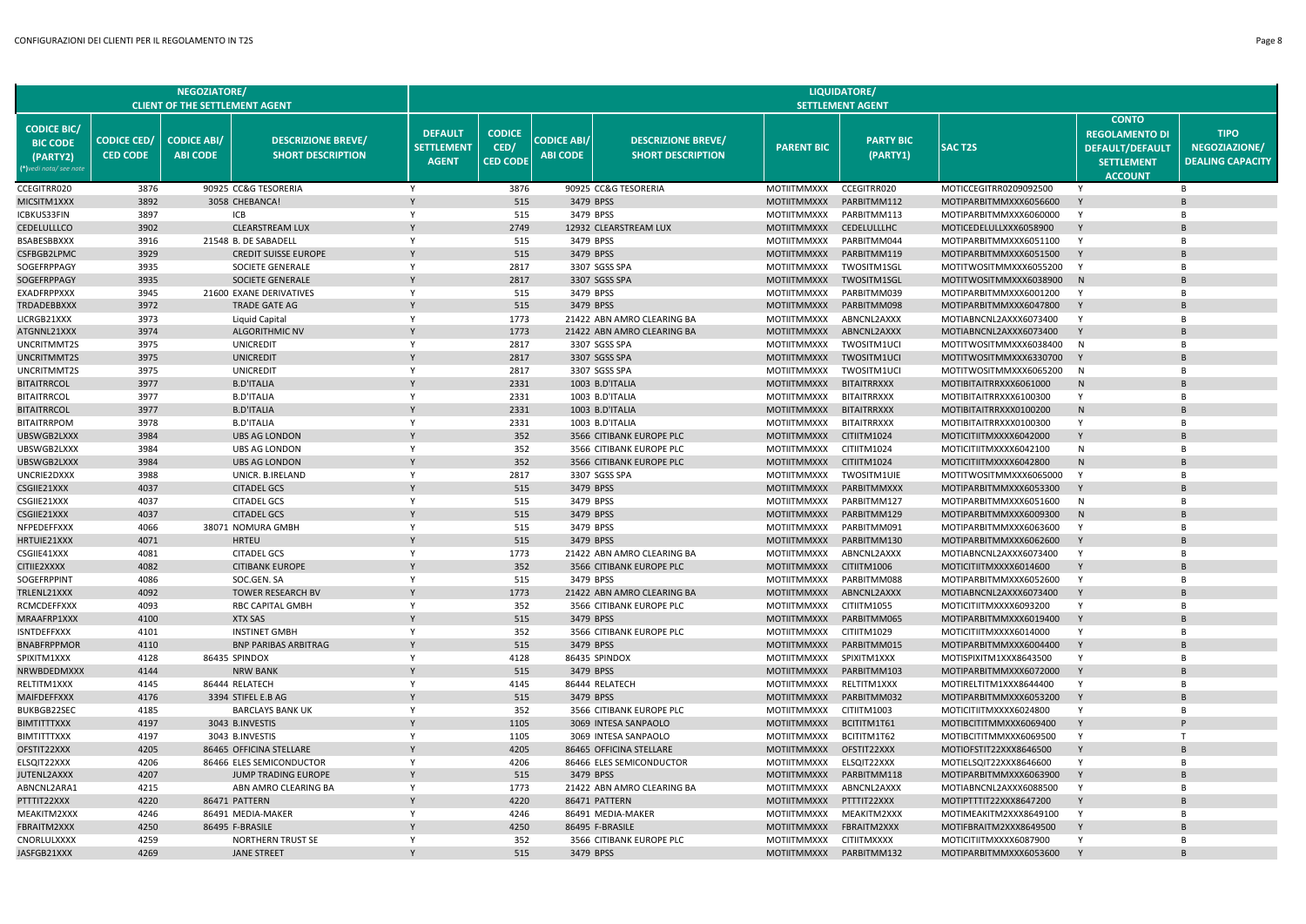|                                                                             |                                       | <b>NEGOZIATORE/</b><br><b>CLIENT OF THE SETTLEMENT AGENT</b> |                                                       |                                                     |                                          |                                       |                                                       |                                          | LIQUIDATORE/<br><b>SETTLEMENT AGENT</b> |                                                  |                                                                                                        |                                                         |
|-----------------------------------------------------------------------------|---------------------------------------|--------------------------------------------------------------|-------------------------------------------------------|-----------------------------------------------------|------------------------------------------|---------------------------------------|-------------------------------------------------------|------------------------------------------|-----------------------------------------|--------------------------------------------------|--------------------------------------------------------------------------------------------------------|---------------------------------------------------------|
| <b>CODICE BIC/</b><br><b>BIC CODE</b><br>(PARTY2)<br>(*)vedi nota/ see note | <b>CODICE CED/</b><br><b>CED CODE</b> | <b>CODICE ABI/</b><br><b>ABI CODE</b>                        | <b>DESCRIZIONE BREVE/</b><br><b>SHORT DESCRIPTION</b> | <b>DEFAULT</b><br><b>SETTLEMENT</b><br><b>AGENT</b> | <b>CODICE</b><br>CED/<br><b>CED CODE</b> | <b>CODICE ABI/</b><br><b>ABI CODE</b> | <b>DESCRIZIONE BREVE/</b><br><b>SHORT DESCRIPTION</b> | <b>PARENT BIC</b>                        | <b>PARTY BIC</b><br>(PARTY1)            | <b>SACT2S</b>                                    | <b>CONTO</b><br><b>REGOLAMENTO DI</b><br><b>DEFAULT/DEFAULT</b><br><b>SETTLEMENT</b><br><b>ACCOUNT</b> | <b>TIPO</b><br>NEGOZIAZIONE/<br><b>DEALING CAPACITY</b> |
| CCEGITRR020                                                                 | 3876                                  |                                                              | 90925 CC&G TESORERIA                                  | Y                                                   | 3876                                     |                                       | 90925 CC&G TESORERIA                                  | MOTIITMMXXX                              | CCEGITRR020                             | MOTICCEGITRR0209092500                           | - Y                                                                                                    | R                                                       |
| MICSITM1XXX                                                                 | 3892                                  |                                                              | 3058 CHEBANCA!                                        | Y                                                   | 515                                      |                                       | 3479 BPSS                                             | <b>MOTIITMMXXX</b>                       | PARBITMM112                             | MOTIPARBITMMXXX6056600                           | Y                                                                                                      |                                                         |
| ICBKUS33FIN                                                                 | 3897                                  |                                                              | ICB                                                   | Y                                                   | 515                                      |                                       | 3479 BPSS                                             | <b>MOTIITMMXXX</b>                       | PARBITMM113                             | MOTIPARBITMMXXX6060000                           | Y                                                                                                      | B                                                       |
| CEDELULLLCO                                                                 | 3902                                  |                                                              | <b>CLEARSTREAM LUX</b>                                |                                                     | 2749                                     |                                       | 12932 CLEARSTREAM LUX                                 | <b>MOTIITMMXXX</b>                       | CEDELULLLHC                             | MOTICEDELULLXXX6058900                           |                                                                                                        |                                                         |
| <b>BSABESBBXXX</b>                                                          | 3916                                  |                                                              | 21548 B. DE SABADELL                                  | Y                                                   | 515                                      |                                       | 3479 BPSS                                             | <b>MOTIITMMXXX</b>                       | PARBITMM044                             | MOTIPARBITMMXXX6051100                           | Y                                                                                                      | <b>B</b>                                                |
| CSFBGB2LPMC                                                                 | 3929                                  |                                                              | <b>CREDIT SUISSE EUROPE</b>                           | Y                                                   | 515                                      |                                       | 3479 BPSS                                             | <b>MOTIITMMXXX</b>                       | PARBITMM119                             | MOTIPARBITMMXXX6051500                           | Y                                                                                                      |                                                         |
| SOGEFRPPAGY                                                                 | 3935                                  |                                                              | SOCIETE GENERALE                                      | Y                                                   | 2817                                     |                                       | 3307 SGSS SPA                                         | <b>MOTIITMMXXX</b>                       | TWOSITM1SGL                             | MOTITWOSITMMXXX6055200                           | Y                                                                                                      | B                                                       |
| SOGEFRPPAGY<br>EXADFRPPXXX                                                  | 3935<br>3945                          |                                                              | SOCIETE GENERALE<br>21600 EXANE DERIVATIVES           | Y                                                   | 2817<br>515                              |                                       | 3307 SGSS SPA<br>3479 BPSS                            | <b>MOTIITMMXXX</b><br>MOTIITMMXXX        | TWOSITM1SGL<br>PARBITMM039              | MOTITWOSITMMXXX6038900                           | N<br>$\mathsf{Y}$                                                                                      | R                                                       |
| TRDADEBBXXX                                                                 | 3972                                  |                                                              | <b>TRADE GATE AG</b>                                  | Y                                                   | 515                                      |                                       | 3479 BPSS                                             | <b>MOTIITMMXXX</b>                       | PARBITMM098                             | MOTIPARBITMMXXX6001200<br>MOTIPARBITMMXXX6047800 | Y                                                                                                      |                                                         |
| LICRGB21XXX                                                                 | 3973                                  |                                                              | Liquid Capital                                        | Y                                                   | 1773                                     |                                       | 21422 ABN AMRO CLEARING BA                            | <b>MOTIITMMXXX</b>                       | ABNCNL2AXXX                             | MOTIABNCNL2AXXX6073400                           | Y                                                                                                      | B                                                       |
| ATGNNL21XXX                                                                 | 3974                                  |                                                              | <b>ALGORITHMIC NV</b>                                 | $\mathsf{v}$                                        | 1773                                     |                                       | 21422 ABN AMRO CLEARING BA                            | <b>MOTIITMMXXX</b>                       | ABNCNL2AXXX                             | MOTIABNCNL2AXXX6073400                           | Y                                                                                                      |                                                         |
| UNCRITMMT2S                                                                 | 3975                                  |                                                              | UNICREDIT                                             | Y                                                   | 2817                                     |                                       | 3307 SGSS SPA                                         | MOTIITMMXXX                              | TWOSITM1UCI                             | MOTITWOSITMMXXX6038400                           | N                                                                                                      | <b>B</b>                                                |
| UNCRITMMT2S                                                                 | 3975                                  |                                                              | <b>UNICREDIT</b>                                      | Y                                                   | 2817                                     |                                       | 3307 SGSS SPA                                         | <b>MOTIITMMXXX</b>                       | TWOSITM1UCI                             | MOTITWOSITMMXXX6330700                           | Y                                                                                                      |                                                         |
| UNCRITMMT2S                                                                 | 3975                                  |                                                              | <b>UNICREDIT</b>                                      | Y                                                   | 2817                                     |                                       | 3307 SGSS SPA                                         | MOTIITMMXXX                              | TWOSITM1UCI                             | MOTITWOSITMMXXX6065200                           | N                                                                                                      | B                                                       |
| BITAITRRCOL                                                                 | 3977                                  |                                                              | <b>B.D'ITALIA</b>                                     | Y                                                   | 2331                                     |                                       | 1003 B.D'ITALIA                                       | <b>MOTIITMMXXX</b>                       | <b>BITAITRRXXX</b>                      | MOTIBITAITRRXXX6061000                           | N                                                                                                      |                                                         |
| <b>BITAITRRCOL</b>                                                          | 3977                                  |                                                              | <b>B.D'ITALIA</b>                                     | Y                                                   | 2331                                     |                                       | 1003 B.D'ITALIA                                       | MOTIITMMXXX                              | <b>BITAITRRXXX</b>                      | MOTIBITAITRRXXX6100300                           | Y                                                                                                      | R                                                       |
| <b>BITAITRRCOL</b>                                                          | 3977                                  |                                                              | <b>B.D'ITALIA</b>                                     |                                                     | 2331                                     |                                       | 1003 B.D'ITALIA                                       | <b>MOTIITMMXXX</b>                       | <b>BITAITRRXXX</b>                      | MOTIBITAITRRXXX0100200                           | N                                                                                                      |                                                         |
| <b>BITAITRRPOM</b>                                                          | 3978                                  |                                                              | <b>B.D'ITALIA</b>                                     | Y                                                   | 2331                                     |                                       | 1003 B.D'ITALIA                                       | <b>MOTIITMMXXX</b>                       | <b>BITAITRRXXX</b>                      | MOTIBITAITRRXXX0100300                           | Y                                                                                                      | B                                                       |
| UBSWGB2LXXX                                                                 | 3984                                  |                                                              | <b>UBS AG LONDON</b>                                  |                                                     | 352                                      |                                       | 3566 CITIBANK EUROPE PLC                              | <b>MOTIITMMXXX</b>                       | CITIITM1024                             | MOTICITIITMXXXX6042000                           | Y                                                                                                      |                                                         |
| UBSWGB2LXXX                                                                 | 3984                                  |                                                              | <b>UBS AG LONDON</b>                                  | Y                                                   | 352                                      |                                       | 3566 CITIBANK EUROPE PLC                              | MOTIITMMXXX                              | CITIITM1024                             | MOTICITIITMXXXX6042100                           | N                                                                                                      | <b>B</b>                                                |
| UBSWGB2LXXX                                                                 | 3984                                  |                                                              | <b>UBS AG LONDON</b>                                  |                                                     | 352                                      |                                       | 3566 CITIBANK EUROPE PLC                              | <b>MOTIITMMXXX</b>                       | CITIITM1024                             | MOTICITIITMXXXX6042800                           | N                                                                                                      |                                                         |
| UNCRIE2DXXX                                                                 | 3988                                  |                                                              | UNICR. B.IRELAND                                      | Y                                                   | 2817                                     |                                       | 3307 SGSS SPA                                         | MOTIITMMXXX                              | <b>TWOSITM1UIE</b>                      | MOTITWOSITMMXXX6065000                           | Y                                                                                                      | B                                                       |
| CSGIIE21XXX                                                                 | 4037                                  |                                                              | <b>CITADEL GCS</b>                                    | Y                                                   | 515                                      |                                       | 3479 BPSS                                             | <b>MOTIITMMXXX</b>                       | PARBITMMXXX                             | MOTIPARBITMMXXX6053300                           | Y                                                                                                      |                                                         |
| CSGIIE21XXX<br>CSGIIE21XXX                                                  | 4037<br>4037                          |                                                              | <b>CITADEL GCS</b><br><b>CITADEL GCS</b>              | Y                                                   | 515<br>515                               |                                       | 3479 BPSS<br>3479 BPSS                                | <b>MOTIITMMXXX</b><br><b>MOTIITMMXXX</b> | PARBITMM127<br>PARBITMM129              | MOTIPARBITMMXXX6051600<br>MOTIPARBITMMXXX6009300 | N<br>N                                                                                                 | B                                                       |
| NFPEDEFFXXX                                                                 | 4066                                  |                                                              | 38071 NOMURA GMBH                                     | Y                                                   | 515                                      |                                       | 3479 BPSS                                             | <b>MOTIITMMXXX</b>                       | PARBITMM091                             | MOTIPARBITMMXXX6063600                           | Y                                                                                                      | B                                                       |
| HRTUIE21XXX                                                                 | 4071                                  |                                                              | <b>HRTEU</b>                                          |                                                     | 515                                      |                                       | 3479 BPSS                                             | <b>MOTIITMMXXX</b>                       | PARBITMM130                             | MOTIPARBITMMXXX6062600                           | Y                                                                                                      |                                                         |
| CSGIIE41XXX                                                                 | 4081                                  |                                                              | <b>CITADEL GCS</b>                                    | Y                                                   | 1773                                     |                                       | 21422 ABN AMRO CLEARING BA                            | MOTIITMMXXX                              | ABNCNL2AXXX                             | MOTIABNCNL2AXXX6073400                           | Y                                                                                                      | <b>B</b>                                                |
| CITIIE2XXXX                                                                 | 4082                                  |                                                              | <b>CITIBANK EUROPE</b>                                |                                                     | 352                                      |                                       | 3566 CITIBANK EUROPE PLC                              | <b>MOTIITMMXXX</b>                       | CITIITM1006                             | MOTICITIITMXXXX6014600                           | Y                                                                                                      |                                                         |
| SOGEFRPPINT                                                                 | 4086                                  |                                                              | SOC.GEN. SA                                           | Y                                                   | 515                                      |                                       | 3479 BPSS                                             | MOTIITMMXXX                              | PARBITMM088                             | MOTIPARBITMMXXX6052600                           | Y                                                                                                      | B                                                       |
| TRLENL21XXX                                                                 | 4092                                  |                                                              | <b>TOWER RESEARCH BV</b>                              |                                                     | 1773                                     |                                       | 21422 ABN AMRO CLEARING BA                            | <b>MOTIITMMXXX</b>                       | ABNCNL2AXXX                             | MOTIABNCNL2AXXX6073400                           | Y                                                                                                      |                                                         |
| RCMCDEFFXXX                                                                 | 4093                                  |                                                              | <b>RBC CAPITAL GMBH</b>                               | Y                                                   | 352                                      |                                       | 3566 CITIBANK EUROPE PLC                              | MOTIITMMXXX                              | CITIITM1055                             | MOTICITIITMXXXX6093200                           | Y                                                                                                      | B                                                       |
| MRAAFRP1XXX                                                                 | 4100                                  |                                                              | <b>XTX SAS</b>                                        |                                                     | 515                                      |                                       | 3479 BPSS                                             | <b>MOTIITMMXXX</b>                       | PARBITMM065                             | MOTIPARBITMMXXX6019400                           | Y                                                                                                      |                                                         |
| <b>ISNTDEFFXXX</b>                                                          | 4101                                  |                                                              | <b>INSTINET GMBH</b>                                  | Y                                                   | 352                                      |                                       | 3566 CITIBANK EUROPE PLC                              | <b>MOTIITMMXXX</b>                       | CITIITM1029                             | MOTICITIITMXXXX6014000                           | Y                                                                                                      | B                                                       |
| BNABFRPPMOR                                                                 | 4110                                  |                                                              | <b>BNP PARIBAS ARBITRAG</b>                           | Y                                                   | 515                                      |                                       | 3479 BPSS                                             | <b>MOTIITMMXXX</b>                       | PARBITMM015                             | MOTIPARBITMMXXX6004400                           | Y                                                                                                      |                                                         |
| SPIXITM1XXX                                                                 | 4128                                  |                                                              | 86435 SPINDOX                                         | Y                                                   | 4128                                     |                                       | 86435 SPINDOX                                         | MOTIITMMXXX                              | SPIXITM1XXX                             | MOTISPIXITM1XXX8643500                           | Y                                                                                                      | R <sub>1</sub>                                          |
| NRWBDEDMXXX                                                                 | 4144                                  |                                                              | <b>NRW BANK</b>                                       |                                                     | 515                                      |                                       | 3479 BPSS                                             | <b>MOTIITMMXXX</b>                       | PARBITMM103                             | MOTIPARBITMMXXX6072000                           | Y                                                                                                      |                                                         |
| RELTITM1XXX                                                                 | 4145                                  |                                                              | 86444 RELATECH                                        | Y                                                   | 4145                                     |                                       | 86444 RELATECH                                        | <b>MOTIITMMXXX</b>                       | RELTITM1XXX                             | MOTIRELTITM1XXX8644400                           | Y                                                                                                      | B                                                       |
| MAIFDEFFXXX                                                                 | 4176<br>4185                          |                                                              | 3394 STIFEL E.B AG                                    | Y                                                   | 515<br>352                               |                                       | 3479 BPSS                                             | <b>MOTIITMMXXX</b>                       | PARBITMM032                             | MOTIPARBITMMXXX6053200                           | Y<br>Y                                                                                                 | B                                                       |
| BUKBGB22SEC<br><b>BIMTITTTXXX</b>                                           | 4197                                  |                                                              | <b>BARCLAYS BANK UK</b><br>3043 B.INVESTIS            |                                                     | 1105                                     |                                       | 3566 CITIBANK EUROPE PLC<br>3069 INTESA SANPAOLO      | MOTIITMMXXX<br><b>MOTIITMMXXX</b>        | CITIITM1003<br>BCITITM1T61              | MOTICITIITMXXXX6024800<br>MOTIBCITITMMXXX6069400 | Y                                                                                                      |                                                         |
| BIMTITTTXXX                                                                 | 4197                                  |                                                              | 3043 B.INVESTIS                                       | Y                                                   | 1105                                     |                                       | 3069 INTESA SANPAOLO                                  | <b>MOTIITMMXXX</b>                       | BCITITM1T62                             | MOTIBCITITMMXXX6069500                           | Y                                                                                                      | T                                                       |
| OFSTIT22XXX                                                                 | 4205                                  |                                                              | 86465 OFFICINA STELLARE                               |                                                     | 4205                                     |                                       | 86465 OFFICINA STELLARE                               | <b>MOTIITMMXXX</b>                       | OFSTIT22XXX                             | MOTIOFSTIT22XXX8646500                           |                                                                                                        |                                                         |
| ELSQIT22XXX                                                                 | 4206                                  |                                                              | 86466 ELES SEMICONDUCTOR                              | Y                                                   | 4206                                     |                                       | 86466 ELES SEMICONDUCTOR                              | MOTIITMMXXX                              | ELSQIT22XXX                             | MOTIELSQIT22XXX8646600                           | Y                                                                                                      | <b>B</b>                                                |
| JUTENL2AXXX                                                                 | 4207                                  |                                                              | JUMP TRADING EUROPE                                   |                                                     | 515                                      |                                       | 3479 BPSS                                             | <b>MOTIITMMXXX</b>                       | PARBITMM118                             | MOTIPARBITMMXXX6063900                           | Y                                                                                                      |                                                         |
| ABNCNL2ARA1                                                                 | 4215                                  |                                                              | ABN AMRO CLEARING BA                                  | Y                                                   | 1773                                     |                                       | 21422 ABN AMRO CLEARING BA                            | <b>MOTIITMMXXX</b>                       | ABNCNL2AXXX                             | MOTIABNCNL2AXXX6088500                           | Y                                                                                                      | B                                                       |
| PTTTIT22XXX                                                                 | 4220                                  |                                                              | 86471 PATTERN                                         |                                                     | 4220                                     |                                       | 86471 PATTERN                                         | <b>MOTIITMMXXX</b>                       | PTTTIT22XXX                             | MOTIPTTTIT22XXX8647200                           |                                                                                                        |                                                         |
| MEAKITM2XXX                                                                 | 4246                                  |                                                              | 86491 MEDIA-MAKER                                     | Y                                                   | 4246                                     |                                       | 86491 MEDIA-MAKER                                     | <b>MOTIITMMXXX</b>                       | MEAKITM2XXX                             | MOTIMEAKITM2XXX8649100                           | Y                                                                                                      | B                                                       |
| FBRAITM2XXX                                                                 | 4250                                  |                                                              | 86495 F-BRASILE                                       |                                                     | 4250                                     |                                       | 86495 F-BRASILE                                       | <b>MOTIITMMXXX</b>                       | <b>FBRAITM2XXX</b>                      | MOTIFBRAITM2XXX8649500                           |                                                                                                        |                                                         |
| CNORLULXXXX                                                                 | 4259                                  |                                                              | NORTHERN TRUST SE                                     | Y                                                   | 352                                      |                                       | 3566 CITIBANK EUROPE PLC                              | <b>MOTIITMMXXX</b>                       | <b>CITIITMXXXX</b>                      | MOTICITIITMXXXX6087900                           | Y                                                                                                      | B                                                       |
| JASFGB21XXX                                                                 | 4269                                  |                                                              | <b>JANE STREET</b>                                    |                                                     | 515                                      |                                       | 3479 BPSS                                             | MOTIITMMXXX                              | PARBITMM132                             | MOTIPARBITMMXXX6053600                           |                                                                                                        |                                                         |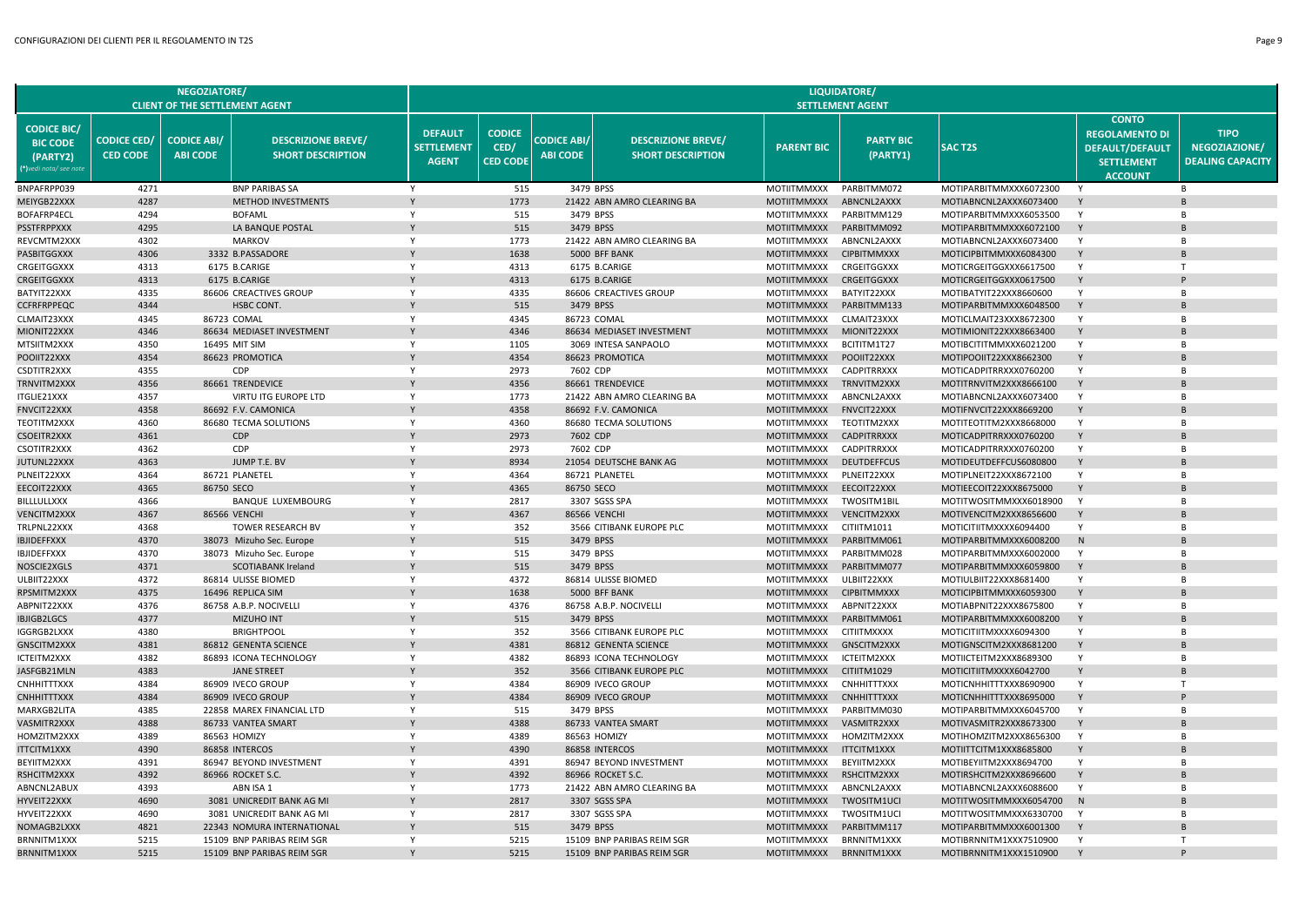|                                                                             |                                       | <b>NEGOZIATORE/</b><br><b>CLIENT OF THE SETTLEMENT AGENT</b> |                                                         |                                                     |                                          |                                       |                                                       |                                          | LIQUIDATORE/<br><b>SETTLEMENT AGENT</b> |                                                  |                                                                                                        |                                                         |
|-----------------------------------------------------------------------------|---------------------------------------|--------------------------------------------------------------|---------------------------------------------------------|-----------------------------------------------------|------------------------------------------|---------------------------------------|-------------------------------------------------------|------------------------------------------|-----------------------------------------|--------------------------------------------------|--------------------------------------------------------------------------------------------------------|---------------------------------------------------------|
| <b>CODICE BIC/</b><br><b>BIC CODE</b><br>(PARTY2)<br>(*)vedi nota/ see note | <b>CODICE CED/</b><br><b>CED CODE</b> | <b>CODICE ABI/</b><br><b>ABI CODE</b>                        | <b>DESCRIZIONE BREVE/</b><br><b>SHORT DESCRIPTION</b>   | <b>DEFAULT</b><br><b>SETTLEMENT</b><br><b>AGENT</b> | <b>CODICE</b><br>CED/<br><b>CED CODE</b> | <b>CODICE ABI/</b><br><b>ABI CODE</b> | <b>DESCRIZIONE BREVE/</b><br><b>SHORT DESCRIPTION</b> | <b>PARENT BIC</b>                        | <b>PARTY BIC</b><br>(PARTY1)            | <b>SAC T2S</b>                                   | <b>CONTO</b><br><b>REGOLAMENTO DI</b><br><b>DEFAULT/DEFAULT</b><br><b>SETTLEMENT</b><br><b>ACCOUNT</b> | <b>TIPO</b><br>NEGOZIAZIONE/<br><b>DEALING CAPACITY</b> |
| BNPAFRPP039                                                                 | 4271                                  |                                                              | <b>BNP PARIBAS SA</b>                                   | Y                                                   | 515                                      |                                       | 3479 BPSS                                             | MOTIITMMXXX                              | PARBITMM072                             | MOTIPARBITMMXXX6072300                           |                                                                                                        | <b>B</b>                                                |
| MEIYGB22XXX                                                                 | 4287                                  |                                                              | METHOD INVESTMENTS                                      | Y                                                   | 1773                                     |                                       | 21422 ABN AMRO CLEARING BA                            | <b>MOTIITMMXXX</b>                       | ABNCNL2AXXX                             | MOTIABNCNL2AXXX6073400                           | Y                                                                                                      | R                                                       |
| BOFAFRP4ECL                                                                 | 4294                                  |                                                              | <b>BOFAML</b>                                           | Y                                                   | 515                                      |                                       | 3479 BPSS                                             | <b>MOTIITMMXXX</b>                       | PARBITMM129                             | MOTIPARBITMMXXX6053500                           | Y                                                                                                      | B                                                       |
| PSSTFRPPXXX                                                                 | 4295                                  |                                                              | LA BANQUE POSTAL                                        |                                                     | 515                                      |                                       | 3479 BPSS                                             | <b>MOTIITMMXXX</b>                       | PARBITMM092                             | MOTIPARBITMMXXX6072100                           | Y                                                                                                      |                                                         |
| REVCMTM2XXX                                                                 | 4302                                  |                                                              | <b>MARKOV</b>                                           | Y                                                   | 1773                                     |                                       | 21422 ABN AMRO CLEARING BA                            | MOTIITMMXXX                              | ABNCNL2AXXX                             | MOTIABNCNL2AXXX6073400                           | Y                                                                                                      | $\overline{B}$                                          |
| PASBITGGXXX                                                                 | 4306                                  |                                                              | 3332 B.PASSADORE                                        |                                                     | 1638                                     |                                       | 5000 BFF BANK                                         | <b>MOTIITMMXXX</b>                       | <b>CIPBITMMXXX</b>                      | MOTICIPBITMMXXX6084300                           | Y                                                                                                      | R                                                       |
| CRGEITGGXXX                                                                 | 4313                                  |                                                              | 6175 B.CARIGE                                           | Y                                                   | 4313                                     |                                       | 6175 B.CARIGE                                         | MOTIITMMXXX                              | CRGEITGGXXX                             | MOTICRGEITGGXXX6617500                           | Y                                                                                                      | т.                                                      |
| <b>CRGEITGGXXX</b>                                                          | 4313                                  |                                                              | 6175 B.CARIGE                                           | Y                                                   | 4313                                     |                                       | 6175 B.CARIGE                                         | <b>MOTIITMMXXX</b>                       | <b>CRGEITGGXXX</b>                      | MOTICRGEITGGXXX0617500                           | Y<br>Y                                                                                                 | $\overline{B}$                                          |
| BATYIT22XXX                                                                 | 4335<br>4344                          |                                                              | 86606 CREACTIVES GROUP                                  |                                                     | 4335                                     |                                       | 86606 CREACTIVES GROUP                                | MOTIITMMXXX                              | BATYIT22XXX                             | MOTIBATYIT22XXX8660600                           | Y                                                                                                      | <b>B</b>                                                |
| CCFRFRPPEQC<br>CLMAIT23XXX                                                  | 4345                                  | 86723 COMAL                                                  | <b>HSBC CONT.</b>                                       | Y                                                   | 515<br>4345                              |                                       | 3479 BPSS<br>86723 COMAL                              | <b>MOTIITMMXXX</b><br><b>MOTIITMMXXX</b> | PARBITMM133<br>CLMAIT23XXX              | MOTIPARBITMMXXX6048500<br>MOTICLMAIT23XXX8672300 | Y                                                                                                      | B                                                       |
| MIONIT22XXX                                                                 | 4346                                  |                                                              | 86634 MEDIASET INVESTMENT                               |                                                     | 4346                                     |                                       | 86634 MEDIASET INVESTMENT                             | <b>MOTIITMMXXX</b>                       | MIONIT22XXX                             | MOTIMIONIT22XXX8663400                           | Y                                                                                                      |                                                         |
| MTSIITM2XXX                                                                 | 4350                                  | 16495 MIT SIM                                                |                                                         | Y                                                   | 1105                                     |                                       | 3069 INTESA SANPAOLO                                  | MOTIITMMXXX                              | BCITITM1T27                             | MOTIBCITITMMXXX6021200                           | Y                                                                                                      | $\overline{B}$                                          |
| POOIIT22XXX                                                                 | 4354                                  |                                                              | 86623 PROMOTICA                                         | Y                                                   | 4354                                     |                                       | 86623 PROMOTICA                                       | <b>MOTIITMMXXX</b>                       | POOIIT22XXX                             | MOTIPOOIIT22XXX8662300                           | Y                                                                                                      | R                                                       |
| CSDTITR2XXX                                                                 | 4355                                  |                                                              | CDP                                                     | Y                                                   | 2973                                     | 7602 CDP                              |                                                       | MOTIITMMXXX                              | <b>CADPITRRXXX</b>                      | MOTICADPITRRXXX0760200                           | Y                                                                                                      | <b>B</b>                                                |
| TRNVITM2XXX                                                                 | 4356                                  |                                                              | 86661 TRENDEVICE                                        |                                                     | 4356                                     |                                       | 86661 TRENDEVICE                                      | <b>MOTIITMMXXX</b>                       | TRNVITM2XXX                             | MOTITRNVITM2XXX8666100                           | Y                                                                                                      |                                                         |
| <b>ITGLIE21XXX</b>                                                          | 4357                                  |                                                              | VIRTU ITG EUROPE LTD                                    | Y                                                   | 1773                                     |                                       | 21422 ABN AMRO CLEARING BA                            | <b>MOTIITMMXXX</b>                       | ABNCNL2AXXX                             | MOTIABNCNL2AXXX6073400                           | Y                                                                                                      | R                                                       |
| <b>FNVCIT22XXX</b>                                                          | 4358                                  |                                                              | 86692 F.V. CAMONICA                                     |                                                     | 4358                                     |                                       | 86692 F.V. CAMONICA                                   | <b>MOTIITMMXXX</b>                       | FNVCIT22XXX                             | MOTIFNVCIT22XXX8669200                           | Y                                                                                                      |                                                         |
| TEOTITM2XXX                                                                 | 4360                                  |                                                              | 86680 TECMA SOLUTIONS                                   | Y                                                   | 4360                                     |                                       | 86680 TECMA SOLUTIONS                                 | <b>MOTIITMMXXX</b>                       | TEOTITM2XXX                             | MOTITEOTITM2XXX8668000                           | Y                                                                                                      | B                                                       |
| <b>CSOEITR2XXX</b>                                                          | 4361                                  |                                                              | CDP                                                     |                                                     | 2973                                     | 7602 CDP                              |                                                       | <b>MOTIITMMXXX</b>                       | <b>CADPITRRXXX</b>                      | MOTICADPITRRXXX0760200                           |                                                                                                        |                                                         |
| CSOTITR2XXX                                                                 | 4362                                  |                                                              | CDP                                                     | Y                                                   | 2973                                     | 7602 CDP                              |                                                       | MOTIITMMXXX                              | <b>CADPITRRXXX</b>                      | MOTICADPITRRXXX0760200                           | Y                                                                                                      | $\overline{B}$                                          |
| <b>JUTUNL22XXX</b>                                                          | 4363                                  |                                                              | JUMP T.E. BV                                            | $\mathsf{Y}$                                        | 8934                                     |                                       | 21054 DEUTSCHE BANK AG                                | <b>MOTIITMMXXX</b>                       | <b>DEUTDEFFCUS</b>                      | MOTIDEUTDEFFCUS6080800                           | Y                                                                                                      |                                                         |
| PLNEIT22XXX                                                                 | 4364                                  | 86721 PLANETEL                                               |                                                         | Y                                                   | 4364                                     |                                       | 86721 PLANETEL                                        | <b>MOTIITMMXXX</b>                       | PLNEIT22XXX                             | MOTIPLNEIT22XXX8672100                           | Y                                                                                                      | <b>B</b>                                                |
| EECOIT22XXX                                                                 | 4365                                  | 86750 SECO                                                   |                                                         |                                                     | 4365                                     | 86750 SECO                            |                                                       | <b>MOTIITMMXXX</b>                       | EECOIT22XXX                             | MOTIEECOIT22XXX8675000                           | Y                                                                                                      |                                                         |
| BILLLULLXXX                                                                 | 4366                                  |                                                              | <b>BANQUE LUXEMBOURG</b>                                | Y                                                   | 2817                                     |                                       | 3307 SGSS SPA                                         | <b>MOTIITMMXXX</b>                       | TWOSITM1BIL                             | MOTITWOSITMMXXX6018900                           | Y                                                                                                      | B                                                       |
| <b>VENCITM2XXX</b>                                                          | 4367                                  | 86566 VENCHI                                                 |                                                         |                                                     | 4367                                     |                                       | 86566 VENCHI                                          | <b>MOTIITMMXXX</b>                       | VENCITM2XXX                             | MOTIVENCITM2XXX8656600                           | Y                                                                                                      |                                                         |
| TRLPNL22XXX                                                                 | 4368                                  |                                                              | <b>TOWER RESEARCH BV</b>                                | Y                                                   | 352                                      |                                       | 3566 CITIBANK EUROPE PLC                              | <b>MOTIITMMXXX</b>                       | CITIITM1011                             | MOTICITIITMXXXX6094400                           | Y                                                                                                      | B                                                       |
| IBJIDEFFXXX                                                                 | 4370                                  |                                                              | 38073 Mizuho Sec. Europe                                | Y                                                   | 515                                      |                                       | 3479 BPSS                                             | <b>MOTIITMMXXX</b>                       | PARBITMM061                             | MOTIPARBITMMXXX6008200                           | N<br>Y                                                                                                 | <b>B</b>                                                |
| <b>IBJIDEFFXXX</b>                                                          | 4370<br>4371                          |                                                              | 38073 Mizuho Sec. Europe                                |                                                     | 515<br>515                               | 3479 BPSS                             | 3479 BPSS                                             | MOTIITMMXXX<br><b>MOTIITMMXXX</b>        | PARBITMM028<br>PARBITMM077              | MOTIPARBITMMXXX6002000                           | Y                                                                                                      |                                                         |
| NOSCIE2XGLS<br>ULBIIT22XXX                                                  | 4372                                  |                                                              | <b>SCOTIABANK Ireland</b><br>86814 ULISSE BIOMED        | Y                                                   | 4372                                     |                                       | 86814 ULISSE BIOMED                                   | <b>MOTIITMMXXX</b>                       | ULBIIT22XXX                             | MOTIPARBITMMXXX6059800<br>MOTIULBIIT22XXX8681400 | Y                                                                                                      | <b>B</b>                                                |
| RPSMITM2XXX                                                                 | 4375                                  |                                                              | 16496 REPLICA SIM                                       |                                                     | 1638                                     |                                       | 5000 BFF BANK                                         | <b>MOTIITMMXXX</b>                       | <b>CIPBITMMXXX</b>                      | MOTICIPBITMMXXX6059300                           | Y                                                                                                      |                                                         |
| ABPNIT22XXX                                                                 | 4376                                  |                                                              | 86758 A.B.P. NOCIVELLI                                  | Y                                                   | 4376                                     |                                       | 86758 A.B.P. NOCIVELLI                                | MOTIITMMXXX                              | ABPNIT22XXX                             | MOTIABPNIT22XXX8675800                           | Y                                                                                                      | <b>B</b>                                                |
| <b>IBJIGB2LGCS</b>                                                          | 4377                                  |                                                              | <b>MIZUHO INT</b>                                       |                                                     | 515                                      |                                       | 3479 BPSS                                             | <b>MOTIITMMXXX</b>                       | PARBITMM061                             | MOTIPARBITMMXXX6008200                           | Y                                                                                                      |                                                         |
| IGGRGB2LXXX                                                                 | 4380                                  |                                                              | <b>BRIGHTPOOL</b>                                       | Y                                                   | 352                                      |                                       | 3566 CITIBANK EUROPE PLC                              | <b>MOTIITMMXXX</b>                       | <b>CITIITMXXXX</b>                      | MOTICITIITMXXXX6094300                           | Y                                                                                                      | B                                                       |
| GNSCITM2XXX                                                                 | 4381                                  |                                                              | 86812 GENENTA SCIENCE                                   |                                                     | 4381                                     |                                       | 86812 GENENTA SCIENCE                                 | <b>MOTIITMMXXX</b>                       | GNSCITM2XXX                             | MOTIGNSCITM2XXX8681200                           | Y                                                                                                      |                                                         |
| ICTEITM2XXX                                                                 | 4382                                  |                                                              | 86893 ICONA TECHNOLOGY                                  | Y                                                   | 4382                                     |                                       | 86893 ICONA TECHNOLOGY                                | <b>MOTIITMMXXX</b>                       | ICTEITM2XXX                             | MOTIICTEITM2XXX8689300                           | Y                                                                                                      | $\overline{B}$                                          |
| JASFGB21MLN                                                                 | 4383                                  |                                                              | <b>JANE STREET</b>                                      |                                                     | 352                                      |                                       | 3566 CITIBANK EUROPE PLC                              | <b>MOTIITMMXXX</b>                       | CITIITM1029                             | MOTICITIITMXXXX6042700                           |                                                                                                        |                                                         |
| CNHHITTTXXX                                                                 | 4384                                  |                                                              | 86909 IVECO GROUF                                       | Y                                                   | 4384                                     |                                       | 86909 IVECO GROUP                                     | <b>MOTIITMMXXX</b>                       | <b>CNHHITTTXXX</b>                      | MOTICNHHITTTXXX8690900                           | Y                                                                                                      | $\mathsf{T}$                                            |
| <b>CNHHITTTXXX</b>                                                          | 4384                                  |                                                              | 86909 IVECO GROUP                                       |                                                     | 4384                                     |                                       | 86909 IVECO GROUP                                     | <b>MOTIITMMXXX</b>                       | <b>CNHHITTTXXX</b>                      | MOTICNHHITTTXXX8695000                           |                                                                                                        |                                                         |
| MARXGB2LITA                                                                 | 4385                                  |                                                              | 22858 MAREX FINANCIAL LTD                               | Y                                                   | 515                                      | 3479 BPSS                             |                                                       | <b>MOTIITMMXXX</b>                       | PARBITMM030                             | MOTIPARBITMMXXX6045700                           | Y                                                                                                      | <b>B</b>                                                |
| VASMITR2XXX                                                                 | 4388                                  |                                                              | 86733 VANTEA SMART                                      |                                                     | 4388                                     |                                       | 86733 VANTEA SMART                                    | <b>MOTIITMMXXX</b>                       | VASMITR2XXX                             | MOTIVASMITR2XXX8673300                           | Y                                                                                                      |                                                         |
| HOMZITM2XXX                                                                 | 4389                                  | 86563 HOMIZY                                                 |                                                         | Y                                                   | 4389                                     |                                       | 86563 HOMIZY                                          | <b>MOTIITMMXXX</b>                       | HOMZITM2XXX                             | MOTIHOMZITM2XXX8656300                           | Y                                                                                                      | B                                                       |
| <b>ITTCITM1XXX</b>                                                          | 4390                                  |                                                              | 86858 INTERCOS                                          |                                                     | 4390                                     |                                       | 86858 INTERCOS                                        | <b>MOTIITMMXXX</b>                       | <b>ITTCITM1XXX</b>                      | MOTIITTCITM1XXX8685800                           |                                                                                                        |                                                         |
| BEYIITM2XXX                                                                 | 4391                                  |                                                              | 86947 BEYOND INVESTMENT                                 | Y                                                   | 4391                                     |                                       | 86947 BEYOND INVESTMENT                               | <b>MOTIITMMXXX</b>                       | BEYIITM2XXX                             | MOTIBEYIITM2XXX8694700                           | Y                                                                                                      | $\overline{B}$                                          |
| RSHCITM2XXX                                                                 | 4392                                  |                                                              | 86966 ROCKET S.C.                                       |                                                     | 4392                                     |                                       | 86966 ROCKET S.C.                                     | <b>MOTIITMMXXX</b>                       | RSHCITM2XXX                             | MOTIRSHCITM2XXX8696600                           |                                                                                                        |                                                         |
| ABNCNL2ABUX                                                                 | 4393                                  |                                                              | ABN ISA 1                                               | Y                                                   | 1773                                     |                                       | 21422 ABN AMRO CLEARING BA                            | <b>MOTIITMMXXX</b>                       | ABNCNL2AXXX                             | MOTIABNCNL2AXXX6088600                           | Y                                                                                                      | B                                                       |
| HYVEIT22XXX                                                                 | 4690                                  |                                                              | 3081 UNICREDIT BANK AG MI                               | Y                                                   | 2817                                     |                                       | 3307 SGSS SPA                                         | <b>MOTIITMMXXX</b>                       | TWOSITM1UCI                             | MOTITWOSITMMXXX6054700                           | N<br><b>Y</b>                                                                                          | B                                                       |
| HYVEIT22XXX<br>NOMAGB2LXXX                                                  | 4690<br>4821                          |                                                              | 3081 UNICREDIT BANK AG MI<br>22343 NOMURA INTERNATIONAL |                                                     | 2817<br>515                              |                                       | 3307 SGSS SPA<br>3479 BPSS                            | <b>MOTIITMMXXX</b><br><b>MOTIITMMXXX</b> | TWOSITM1UCI<br>PARBITMM117              | MOTITWOSITMMXXX6330700<br>MOTIPARBITMMXXX6001300 |                                                                                                        |                                                         |
| <b>BRNNITM1XXX</b>                                                          | 5215                                  |                                                              | 15109 BNP PARIBAS REIM SGF                              | Y                                                   | 5215                                     |                                       | 15109 BNP PARIBAS REIM SGR                            | <b>MOTIITMMXXX</b>                       | BRNNITM1XXX                             | MOTIBRNNITM1XXX7510900                           | Y                                                                                                      | T                                                       |
| BRNNITM1XXX                                                                 | 5215                                  |                                                              | 15109 BNP PARIBAS REIM SGR                              |                                                     | 5215                                     |                                       | 15109 BNP PARIBAS REIM SGR                            | <b>MOTIITMMXXX</b>                       | BRNNITM1XXX                             | MOTIBRNNITM1XXX1510900                           |                                                                                                        |                                                         |
|                                                                             |                                       |                                                              |                                                         |                                                     |                                          |                                       |                                                       |                                          |                                         |                                                  |                                                                                                        |                                                         |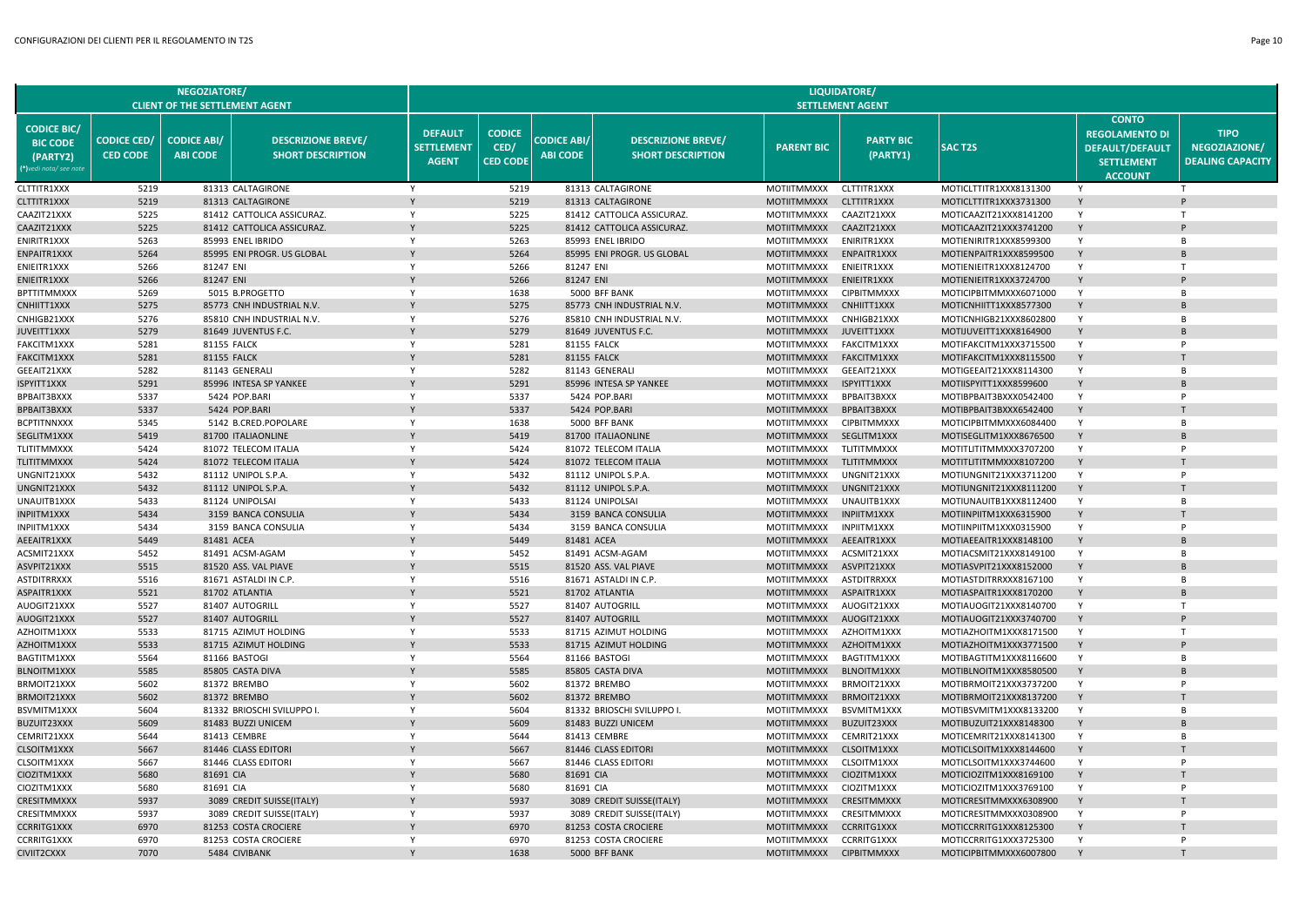|                                                                            |                                       | <b>NEGOZIATORE</b><br><b>CLIENT OF THE SETTLEMENT AGENT</b> |                                                       |                                                     |                                          |                                       |                                                       |                                   | LIQUIDATORE/<br><b>SETTLEMENT AGENT</b> |                                                  |                                                                                                        |                                                         |
|----------------------------------------------------------------------------|---------------------------------------|-------------------------------------------------------------|-------------------------------------------------------|-----------------------------------------------------|------------------------------------------|---------------------------------------|-------------------------------------------------------|-----------------------------------|-----------------------------------------|--------------------------------------------------|--------------------------------------------------------------------------------------------------------|---------------------------------------------------------|
| <b>CODICE BIC/</b><br><b>BIC CODE</b><br>(PARTY2)<br>(*)vedi nota/see note | <b>CODICE CED/</b><br><b>CED CODE</b> | <b>CODICE ABI/</b><br><b>ABI CODE</b>                       | <b>DESCRIZIONE BREVE/</b><br><b>SHORT DESCRIPTION</b> | <b>DEFAULT</b><br><b>SETTLEMENT</b><br><b>AGENT</b> | <b>CODICE</b><br>CED/<br><b>CED CODE</b> | <b>CODICE ABI/</b><br><b>ABI CODE</b> | <b>DESCRIZIONE BREVE/</b><br><b>SHORT DESCRIPTION</b> | <b>PARENT BIC</b>                 | <b>PARTY BIC</b><br>(PARTY1)            | <b>SAC T2S</b>                                   | <b>CONTO</b><br><b>REGOLAMENTO DI</b><br><b>DEFAULT/DEFAULT</b><br><b>SETTLEMENT</b><br><b>ACCOUNT</b> | <b>TIPO</b><br>NEGOZIAZIONE/<br><b>DEALING CAPACITY</b> |
| CLTTITR1XXX                                                                | 5219                                  |                                                             | 81313 CALTAGIRONE                                     |                                                     | 5219                                     |                                       | 81313 CALTAGIRONE                                     | MOTIITMMXXX                       | CLTTITR1XXX                             | MOTICLTTITR1XXX8131300                           |                                                                                                        |                                                         |
| CLTTITR1XXX                                                                | 5219                                  |                                                             | 81313 CALTAGIRONE                                     |                                                     | 5219                                     |                                       | 81313 CALTAGIRONE                                     | <b>MOTIITMMXXX</b>                | <b>CLTTITR1XXX</b>                      | MOTICLTTITR1XXX3731300                           | Y                                                                                                      |                                                         |
| CAAZIT21XXX                                                                | 5225                                  |                                                             | 81412 CATTOLICA ASSICURAZ.                            | Y                                                   | 5225                                     |                                       | 81412 CATTOLICA ASSICURAZ.                            | <b>MOTIITMMXXX</b>                | CAAZIT21XXX                             | MOTICAAZIT21XXX8141200                           | Y                                                                                                      |                                                         |
| CAAZIT21XXX                                                                | 5225                                  |                                                             | 81412 CATTOLICA ASSICURAZ.                            |                                                     | 5225                                     |                                       | 81412 CATTOLICA ASSICURAZ.                            | <b>MOTIITMMXXX</b>                | CAAZIT21XXX                             | MOTICAAZIT21XXX3741200                           | Y                                                                                                      |                                                         |
| <b>ENIRITR1XXX</b>                                                         | 5263                                  |                                                             | 85993 ENEL IBRIDO                                     | Y                                                   | 5263                                     |                                       | 85993 ENEL IBRIDO                                     | <b>MOTIITMMXXX</b>                | ENIRITR1XXX                             | MOTIENIRITR1XXX8599300                           | Y                                                                                                      | R <sub>1</sub>                                          |
| ENPAITR1XXX                                                                | 5264                                  |                                                             | 85995 ENI PROGR. US GLOBAL                            | Y                                                   | 5264                                     |                                       | 85995 ENI PROGR. US GLOBAL                            | <b>MOTIITMMXXX</b>                | ENPAITR1XXX                             | MOTIENPAITR1XXX8599500                           | Y                                                                                                      |                                                         |
| ENIEITR1XXX                                                                | 5266                                  | 81247 ENI                                                   |                                                       | Y                                                   | 5266                                     | 81247 ENI                             |                                                       | <b>MOTIITMMXXX</b>                | <b>ENIEITR1XXX</b>                      | MOTIENIEITR1XXX8124700                           | Y                                                                                                      |                                                         |
| ENIEITR1XXX                                                                | 5266                                  | 81247 ENI                                                   |                                                       |                                                     | 5266                                     | 81247 ENI                             |                                                       | <b>MOTIITMMXXX</b>                | ENIEITR1XXX                             | MOTIENIEITR1XXX3724700                           | Y                                                                                                      |                                                         |
| <b>BPTTITMMXXX</b>                                                         | 5269                                  |                                                             | 5015 B.PROGETTO                                       | Y                                                   | 1638                                     |                                       | 5000 BFF BANK                                         | MOTIITMMXXX                       | <b>CIPBITMMXXX</b>                      | MOTICIPBITMMXXX6071000                           | Y                                                                                                      | B                                                       |
| CNHIITT1XXX                                                                | 5275                                  |                                                             | 85773 CNH INDUSTRIAL N.V.                             |                                                     | 5275                                     |                                       | 85773 CNH INDUSTRIAL N.V.                             | <b>MOTIITMMXXX</b>                | CNHIITT1XXX                             | MOTICNHIITT1XXX8577300                           | Y                                                                                                      |                                                         |
| CNHIGB21XXX                                                                | 5276                                  |                                                             | 85810 CNH INDUSTRIAL N.V.                             | Y                                                   | 5276                                     |                                       | 85810 CNH INDUSTRIAL N.V.                             | MOTIITMMXXX                       | CNHIGB21XXX                             | MOTICNHIGB21XXX8602800                           | Y                                                                                                      | <b>B</b>                                                |
| JUVEITT1XXX                                                                | 5279                                  |                                                             | 81649 JUVENTUS F.C.                                   |                                                     | 5279                                     |                                       | 81649 JUVENTUS F.C.                                   | <b>MOTIITMMXXX</b>                | JUVEITT1XXX                             | MOTIJUVEITT1XXX8164900                           | Y                                                                                                      | P                                                       |
| FAKCITM1XXX                                                                | 5281                                  |                                                             | <b>81155 FALCK</b>                                    | Y                                                   | 5281                                     |                                       | <b>81155 FALCK</b>                                    | <b>MOTIITMMXXX</b>                | FAKCITM1XXX                             | MOTIFAKCITM1XXX3715500                           | Y<br>Y                                                                                                 |                                                         |
| FAKCITM1XXX                                                                | 5281                                  |                                                             | <b>81155 FALCK</b>                                    | $\mathsf{Y}$                                        | 5281                                     |                                       | <b>81155 FALCK</b>                                    | <b>MOTIITMMXXX</b>                | <b>FAKCITM1XXX</b>                      | MOTIFAKCITM1XXX8115500                           | Y                                                                                                      | B                                                       |
| GEEAIT21XXX<br>ISPYITT1XXX                                                 | 5282<br>5291                          |                                                             | 81143 GENERALI<br>85996 INTESA SP YANKEE              |                                                     | 5282<br>5291                             |                                       | 81143 GENERALI<br>85996 INTESA SP YANKEE              | MOTIITMMXXX<br><b>MOTIITMMXXX</b> | GEEAIT21XXX<br>ISPYITT1XXX              | MOTIGEEAIT21XXX8114300<br>MOTIISPYITT1XXX8599600 | Y                                                                                                      |                                                         |
| BPBAIT3BXXX                                                                | 5337                                  |                                                             | 5424 POP.BARI                                         | Y                                                   | 5337                                     |                                       | 5424 POP.BARI                                         | MOTIITMMXXX                       | BPBAIT3BXXX                             | MOTIBPBAIT3BXXX0542400                           | Y                                                                                                      | P                                                       |
| <b>BPBAIT3BXXX</b>                                                         | 5337                                  |                                                             | 5424 POP.BARI                                         |                                                     | 5337                                     |                                       | 5424 POP.BARI                                         | <b>MOTIITMMXXX</b>                | <b>BPBAIT3BXXX</b>                      | MOTIBPBAIT3BXXX6542400                           | Y                                                                                                      |                                                         |
| <b>BCPTITNNXXX</b>                                                         | 5345                                  |                                                             | 5142 B.CRED.POPOLARE                                  | Y                                                   | 1638                                     |                                       | 5000 BFF BANK                                         | MOTIITMMXXX                       | <b>CIPBITMMXXX</b>                      | MOTICIPBITMMXXX6084400                           | Y                                                                                                      | <b>B</b>                                                |
| SEGLITM1XXX                                                                | 5419                                  |                                                             | 81700 ITALIAONLINE                                    |                                                     | 5419                                     |                                       | 81700 ITALIAONLINE                                    | <b>MOTIITMMXXX</b>                | SEGLITM1XXX                             | MOTISEGLITM1XXX8676500                           | Y                                                                                                      |                                                         |
| TLITITMMXXX                                                                | 5424                                  |                                                             | 81072 TELECOM ITALIA                                  | Y                                                   | 5424                                     |                                       | 81072 TELECOM ITALIA                                  | MOTIITMMXXX                       | TLITITMMXXX                             | MOTITLITITMMXXX3707200                           | Y                                                                                                      | P                                                       |
| <b>TLITITMMXXX</b>                                                         | 5424                                  |                                                             | 81072 TELECOM ITALIA                                  |                                                     | 5424                                     |                                       | 81072 TELECOM ITALIA                                  | <b>MOTIITMMXXX</b>                | TLITITMMXXX                             | MOTITLITITMMXXX8107200                           | Y                                                                                                      |                                                         |
| UNGNIT21XXX                                                                | 5432                                  |                                                             | 81112 UNIPOL S.P.A.                                   | Y                                                   | 5432                                     |                                       | 81112 UNIPOL S.P.A                                    | MOTIITMMXXX                       | UNGNIT21XXX                             | MOTIUNGNIT21XXX3711200                           | Y                                                                                                      |                                                         |
| UNGNIT21XXX                                                                | 5432                                  |                                                             | 81112 UNIPOL S.P.A.                                   |                                                     | 5432                                     |                                       | 81112 UNIPOL S.P.A.                                   | <b>MOTIITMMXXX</b>                | UNGNIT21XXX                             | MOTIUNGNIT21XXX8111200                           | Y                                                                                                      |                                                         |
| UNAUITB1XXX                                                                | 5433                                  |                                                             | 81124 UNIPOLSAI                                       | Y                                                   | 5433                                     |                                       | 81124 UNIPOLSAI                                       | MOTIITMMXXX                       | UNAUITB1XXX                             | MOTIUNAUITB1XXX8112400                           | Y                                                                                                      | <b>B</b>                                                |
| INPIITM1XXX                                                                | 5434                                  |                                                             | 3159 BANCA CONSULIA                                   |                                                     | 5434                                     |                                       | 3159 BANCA CONSULIA                                   | <b>MOTIITMMXXX</b>                | <b>INPIITM1XXX</b>                      | MOTIINPIITM1XXX6315900                           | Y                                                                                                      |                                                         |
| INPIITM1XXX                                                                | 5434                                  |                                                             | 3159 BANCA CONSULIA                                   | Y                                                   | 5434                                     |                                       | 3159 BANCA CONSULIA                                   | MOTIITMMXXX                       | <b>INPIITM1XXX</b>                      | MOTIINPIITM1XXX0315900                           | Y                                                                                                      | P                                                       |
| AEEAITR1XXX                                                                | 5449                                  | 81481 ACEA                                                  |                                                       |                                                     | 5449                                     | 81481 ACEA                            |                                                       | <b>MOTIITMMXXX</b>                | AEEAITR1XXX                             | MOTIAEEAITR1XXX8148100                           | Y                                                                                                      |                                                         |
| ACSMIT21XXX                                                                | 5452                                  |                                                             | 81491 ACSM-AGAM                                       | Y                                                   | 5452                                     |                                       | 81491 ACSM-AGAM                                       | MOTIITMMXXX                       | ACSMIT21XXX                             | MOTIACSMIT21XXX8149100                           | Y                                                                                                      | <b>B</b>                                                |
| ASVPIT21XXX                                                                | 5515                                  |                                                             | 81520 ASS. VAL PIAVE                                  |                                                     | 5515                                     |                                       | 81520 ASS. VAL PIAVE                                  | <b>MOTIITMMXXX</b>                | ASVPIT21XXX                             | MOTIASVPIT21XXX8152000                           | Y                                                                                                      |                                                         |
| ASTDITRRXXX                                                                | 5516                                  |                                                             | 81671 ASTALDI IN C.P.                                 | Y                                                   | 5516                                     |                                       | 81671 ASTALDI IN C.P.                                 | MOTIITMMXXX                       | <b>ASTDITRRXXX</b>                      | MOTIASTDITRRXXX8167100                           | Y                                                                                                      | <b>B</b>                                                |
| ASPAITR1XXX                                                                | 5521                                  |                                                             | 81702 ATLANTIA                                        |                                                     | 5521                                     |                                       | 81702 ATLANTIA                                        | <b>MOTIITMMXXX</b>                | ASPAITR1XXX                             | MOTIASPAITR1XXX8170200                           | Y                                                                                                      |                                                         |
| AUOGIT21XXX                                                                | 5527                                  |                                                             | 81407 AUTOGRILL                                       | Y                                                   | 5527                                     |                                       | 81407 AUTOGRILL                                       | MOTIITMMXXX                       | AUOGIT21XXX                             | MOTIAUOGIT21XXX8140700                           | Y                                                                                                      | $\mathsf{T}$                                            |
| AUOGIT21XXX                                                                | 5527                                  |                                                             | 81407 AUTOGRILL                                       |                                                     | 5527                                     |                                       | 81407 AUTOGRILL                                       | <b>MOTIITMMXXX</b>                | AUOGIT21XXX                             | MOTIAUOGIT21XXX3740700                           | Y                                                                                                      |                                                         |
| AZHOITM1XXX                                                                | 5533                                  |                                                             | 81715 AZIMUT HOLDING                                  | Y                                                   | 5533                                     |                                       | 81715 AZIMUT HOLDING                                  | MOTIITMMXXX                       | AZHOITM1XXX                             | MOTIAZHOITM1XXX8171500                           | Y                                                                                                      | $\mathsf{T}$                                            |
| AZHOITM1XXX                                                                | 5533                                  |                                                             | 81715 AZIMUT HOLDING                                  |                                                     | 5533                                     |                                       | 81715 AZIMUT HOLDING                                  | <b>MOTIITMMXXX</b>                | AZHOITM1XXX                             | MOTIAZHOITM1XXX3771500                           | Y                                                                                                      |                                                         |
| BAGTITM1XXX                                                                | 5564                                  |                                                             | 81166 BASTOGI                                         | Y                                                   | 5564                                     |                                       | 81166 BASTOGI                                         | MOTIITMMXXX                       | BAGTITM1XXX                             | MOTIBAGTITM1XXX8116600                           | Y                                                                                                      | <b>B</b>                                                |
| <b>BLNOITM1XXX</b>                                                         | 5585                                  |                                                             | 85805 CASTA DIVA                                      |                                                     | 5585                                     |                                       | 85805 CASTA DIVA                                      | <b>MOTIITMMXXX</b>                | <b>BLNOITM1XXX</b>                      | MOTIBLNOITM1XXX8580500                           | Y                                                                                                      |                                                         |
| BRMOIT21XXX                                                                | 5602                                  |                                                             | 81372 BREMBO                                          | Y                                                   | 5602                                     |                                       | 81372 BREMBO                                          | <b>MOTIITMMXXX</b>                | BRMOIT21XXX                             | MOTIBRMOIT21XXX3737200                           | Y                                                                                                      |                                                         |
| BRMOIT21XXX                                                                | 5602                                  |                                                             | 81372 BREMBO                                          |                                                     | 5602                                     |                                       | 81372 BREMBO                                          | <b>MOTIITMMXXX</b>                | BRMOIT21XXX                             | MOTIBRMOIT21XXX8137200                           | Y                                                                                                      |                                                         |
| BSVMITM1XXX                                                                | 5604                                  |                                                             | 81332 BRIOSCHI SVILUPPO I.                            | Y                                                   | 5604                                     |                                       | 81332 BRIOSCHI SVILUPPO I.                            | MOTIITMMXXX                       | BSVMITM1XXX                             | MOTIBSVMITM1XXX8133200                           | Y                                                                                                      | <b>B</b>                                                |
| BUZUIT23XXX                                                                | 5609                                  |                                                             | 81483 BUZZI UNICEM                                    |                                                     | 5609                                     |                                       | 81483 BUZZI UNICEM                                    | <b>MOTIITMMXXX</b>                | BUZUIT23XXX                             | MOTIBUZUIT21XXX8148300                           | Y                                                                                                      |                                                         |
| CEMRIT21XXX                                                                | 5644                                  |                                                             | 81413 CEMBRE                                          | Y                                                   | 5644                                     |                                       | 81413 CEMBRE                                          | MOTIITMMXXX                       | CEMRIT21XXX                             | MOTICEMRIT21XXX8141300                           | Y                                                                                                      | B                                                       |
| CLSOITM1XXX<br>CLSOITM1XXX                                                 | 5667<br>5667                          |                                                             | 81446 CLASS EDITOR<br>81446 CLASS EDITORI             | Y                                                   | 5667<br>5667                             |                                       | 81446 CLASS EDITORI<br>81446 CLASS EDITORI            | <b>MOTIITMMXXX</b><br>MOTIITMMXXX | CLSOITM1XXX<br>CLSOITM1XXX              | MOTICLSOITM1XXX8144600<br>MOTICLSOITM1XXX3744600 | Y                                                                                                      | D                                                       |
| CIOZITM1XXX                                                                | 5680                                  | 81691 CIA                                                   |                                                       |                                                     | 5680                                     | 81691 CIA                             |                                                       | <b>MOTIITMMXXX</b>                | CIOZITM1XXX                             | MOTICIOZITM1XXX8169100                           | Y                                                                                                      |                                                         |
| CIOZITM1XXX                                                                | 5680                                  | 81691 CIA                                                   |                                                       | Y                                                   | 5680                                     | 81691 CIA                             |                                                       | MOTIITMMXXX                       | CIOZITM1XXX                             | MOTICIOZITM1XXX3769100                           | Y                                                                                                      | P                                                       |
| <b>CRESITMMXXX</b>                                                         | 5937                                  |                                                             | 3089 CREDIT SUISSE(ITALY)                             |                                                     | 5937                                     |                                       | 3089 CREDIT SUISSE(ITALY)                             | <b>MOTIITMMXXX</b>                | <b>CRESITMMXXX</b>                      | MOTICRESITMMXXX6308900                           | Y                                                                                                      |                                                         |
| CRESITMMXXX                                                                | 5937                                  |                                                             | 3089 CREDIT SUISSE(ITALY)                             | Y                                                   | 5937                                     |                                       | 3089 CREDIT SUISSE(ITALY)                             | <b>MOTIITMMXXX</b>                | <b>CRESITMMXXX</b>                      | MOTICRESITMMXXX0308900                           | Y                                                                                                      | P                                                       |
| CCRRITG1XXX                                                                | 6970                                  |                                                             | 81253 COSTA CROCIERE                                  |                                                     | 6970                                     |                                       | 81253 COSTA CROCIERE                                  | <b>MOTIITMMXXX</b>                | <b>CCRRITG1XXX</b>                      | MOTICCRRITG1XXX8125300                           |                                                                                                        |                                                         |
| <b>CCRRITG1XXX</b>                                                         | 6970                                  |                                                             | 81253 COSTA CROCIERE                                  | Y                                                   | 6970                                     |                                       | 81253 COSTA CROCIERE                                  | MOTIITMMXXX                       | <b>CCRRITG1XXX</b>                      | MOTICCRRITG1XXX3725300                           | Y                                                                                                      | P                                                       |
| CIVIIT2CXXX                                                                | 7070                                  |                                                             | 5484 CIVIBANK                                         |                                                     | 1638                                     |                                       | 5000 BFF BANK                                         | MOTIITMMXXX                       | <b>CIPBITMMXXX</b>                      | MOTICIPBITMMXXX6007800                           |                                                                                                        |                                                         |
|                                                                            |                                       |                                                             |                                                       |                                                     |                                          |                                       |                                                       |                                   |                                         |                                                  |                                                                                                        |                                                         |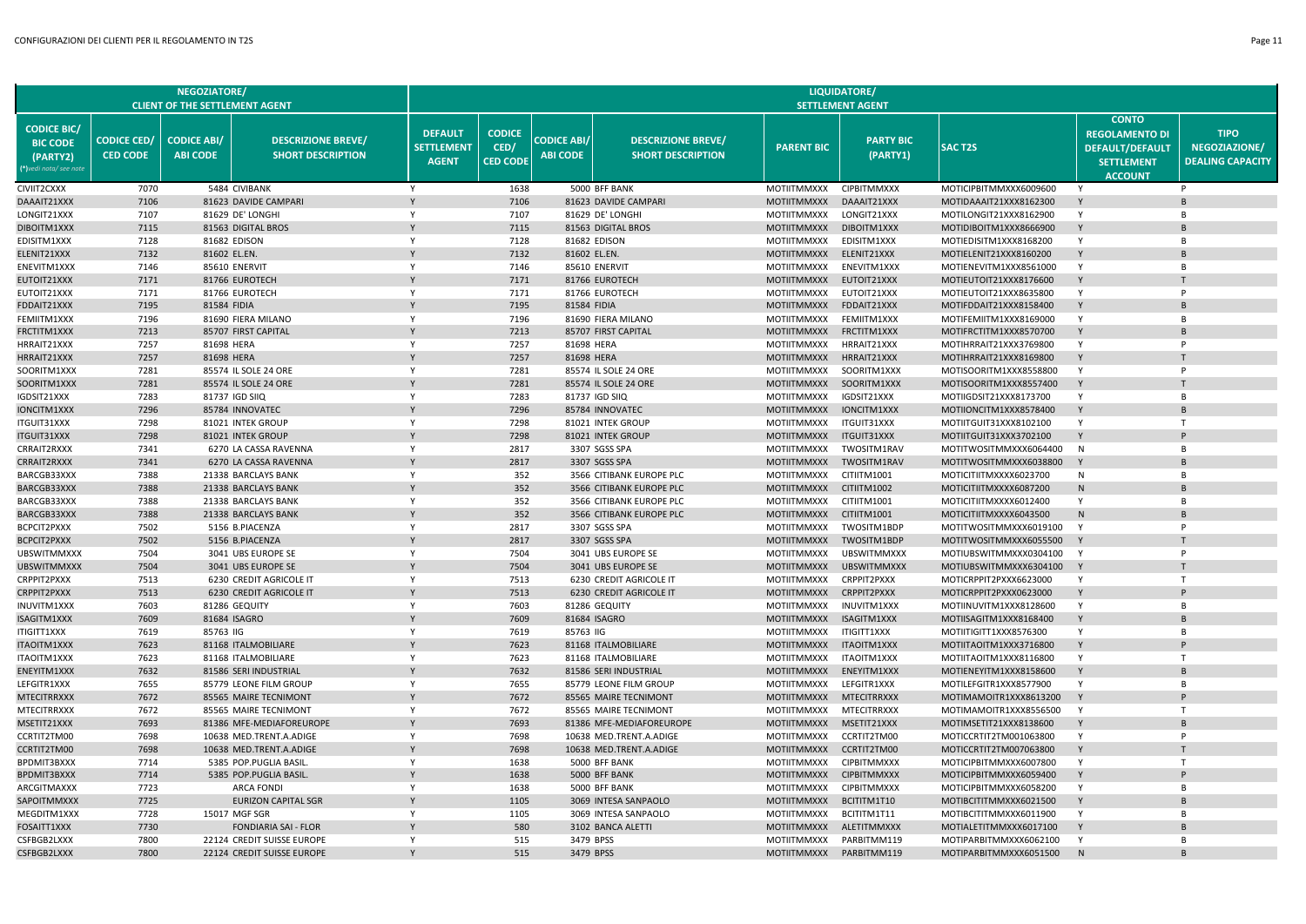|                                                                           |                                       | <b>NEGOZIATORE/</b>                   |                                                       |                                                     |                                          |                                       |                                                       |                                   | LIQUIDATORE/                 |                                                  |                                                                                                        |                                                         |
|---------------------------------------------------------------------------|---------------------------------------|---------------------------------------|-------------------------------------------------------|-----------------------------------------------------|------------------------------------------|---------------------------------------|-------------------------------------------------------|-----------------------------------|------------------------------|--------------------------------------------------|--------------------------------------------------------------------------------------------------------|---------------------------------------------------------|
|                                                                           |                                       | <b>CLIENT OF THE SETTLEMENT AGENT</b> |                                                       |                                                     |                                          |                                       |                                                       |                                   | <b>SETTLEMENT AGENT</b>      |                                                  |                                                                                                        |                                                         |
| <b>CODICE BIC/</b><br><b>BIC CODE</b><br>(PARTY2)<br>*)vedi nota/ see not | <b>CODICE CED/</b><br><b>CED CODE</b> | <b>CODICE ABI/</b><br><b>ABI CODE</b> | <b>DESCRIZIONE BREVE/</b><br><b>SHORT DESCRIPTION</b> | <b>DEFAULT</b><br><b>SETTLEMENT</b><br><b>AGENT</b> | <b>CODICE</b><br>CED/<br><b>CED CODE</b> | <b>CODICE ABI/</b><br><b>ABI CODE</b> | <b>DESCRIZIONE BREVE/</b><br><b>SHORT DESCRIPTION</b> | <b>PARENT BIC</b>                 | <b>PARTY BIC</b><br>(PARTY1) | <b>SACT2S</b>                                    | <b>CONTO</b><br><b>REGOLAMENTO DI</b><br><b>DEFAULT/DEFAULT</b><br><b>SETTLEMENT</b><br><b>ACCOUNT</b> | <b>TIPO</b><br>NEGOZIAZIONE/<br><b>DEALING CAPACITY</b> |
| CIVIIT2CXXX                                                               | 7070                                  |                                       | 5484 CIVIBANK                                         | Y                                                   | 1638                                     |                                       | 5000 BFF BANK                                         | MOTIITMMXXX                       | <b>CIPBITMMXXX</b>           | MOTICIPBITMMXXX6009600                           | Y                                                                                                      | P                                                       |
| DAAAIT21XXX                                                               | 7106                                  |                                       | 81623 DAVIDE CAMPARI                                  |                                                     | 7106                                     |                                       | 81623 DAVIDE CAMPARI                                  | <b>MOTIITMMXXX</b>                | DAAAIT21XXX                  | MOTIDAAAIT21XXX8162300                           | Y                                                                                                      |                                                         |
| LONGIT21XXX                                                               | 7107                                  |                                       | 81629 DE' LONGHI                                      | Y                                                   | 7107                                     |                                       | 81629 DE' LONGHI                                      | <b>MOTIITMMXXX</b>                | LONGIT21XXX                  | MOTILONGIT21XXX8162900                           | $\mathsf{Y}$                                                                                           | <b>B</b>                                                |
| DIBOITM1XXX                                                               | 7115                                  |                                       | 81563 DIGITAL BROS                                    |                                                     | 7115                                     |                                       | 81563 DIGITAL BROS                                    | <b>MOTIITMMXXX</b>                | DIBOITM1XXX                  | MOTIDIBOITM1XXX8666900                           |                                                                                                        |                                                         |
| EDISITM1XXX                                                               | 7128                                  |                                       | 81682 EDISON                                          | Y                                                   | 7128                                     |                                       | 81682 EDISON                                          | <b>MOTIITMMXXX</b>                | EDISITM1XXX                  | MOTIEDISITM1XXX8168200                           | Y                                                                                                      | <b>B</b>                                                |
| ELENIT21XXX                                                               | 7132                                  | 81602 EL.EN.                          |                                                       |                                                     | 7132                                     |                                       | 81602 EL.EN.                                          | <b>MOTIITMMXXX</b>                | ELENIT21XXX                  | MOTIELENIT21XXX8160200                           | Y                                                                                                      | B                                                       |
| ENEVITM1XXX                                                               | 7146                                  |                                       | 85610 ENERVIT                                         | Y                                                   | 7146                                     |                                       | 85610 ENERVIT                                         | <b>MOTIITMMXXX</b>                | ENEVITM1XXX                  | MOTIENEVITM1XXX8561000                           | Y                                                                                                      | B                                                       |
| EUTOIT21XXX                                                               | 7171                                  |                                       | 81766 EUROTECH                                        |                                                     | 7171                                     |                                       | 81766 EUROTECH                                        | <b>MOTIITMMXXX</b>                | EUTOIT21XXX                  | MOTIEUTOIT21XXX8176600                           | Y                                                                                                      |                                                         |
| EUTOIT21XXX                                                               | 7171                                  |                                       | 81766 EUROTECH                                        | Y                                                   | 7171                                     |                                       | 81766 EUROTECH                                        | MOTIITMMXXX                       | EUTOIT21XXX                  | MOTIEUTOIT21XXX8635800                           | Y                                                                                                      |                                                         |
| FDDAIT21XXX                                                               | 7195                                  | 81584 FIDIA                           |                                                       |                                                     | 7195                                     |                                       | 81584 FIDIA                                           | <b>MOTIITMMXXX</b>                | FDDAIT21XXX                  | MOTIFDDAIT21XXX8158400                           | Y                                                                                                      | $\overline{B}$                                          |
| FEMIITM1XXX                                                               | 7196                                  |                                       | 81690 FIERA MILANO                                    | Y                                                   | 7196                                     |                                       | 81690 FIERA MILANO                                    | MOTIITMMXXX                       | FEMIITM1XXX                  | MOTIFEMIITM1XXX8169000                           | Y                                                                                                      | B                                                       |
| FRCTITM1XXX                                                               | 7213                                  |                                       | 85707 FIRST CAPITAL                                   | Y                                                   | 7213                                     |                                       | 85707 FIRST CAPITAL                                   | <b>MOTIITMMXXX</b>                | FRCTITM1XXX                  | MOTIFRCTITM1XXX8570700                           | Y                                                                                                      | $\overline{B}$                                          |
| HRRAIT21XXX                                                               | 7257                                  | 81698 HERA                            |                                                       | Y                                                   | 7257                                     |                                       | 81698 HERA                                            | <b>MOTIITMMXXX</b>                | HRRAIT21XXX                  | MOTIHRRAIT21XXX3769800                           | Y                                                                                                      | P                                                       |
| HRRAIT21XXX                                                               | 7257                                  | 81698 HERA                            |                                                       |                                                     | 7257                                     |                                       | 81698 HERA                                            | <b>MOTIITMMXXX</b>                | HRRAIT21XXX                  | MOTIHRRAIT21XXX8169800                           | Y                                                                                                      |                                                         |
| SOORITM1XXX                                                               | 7281                                  |                                       | 85574 IL SOLE 24 ORE                                  | Y                                                   | 7281                                     |                                       | 85574 IL SOLE 24 ORE                                  | MOTIITMMXXX                       | SOORITM1XXX                  | MOTISOORITM1XXX8558800                           | Y                                                                                                      | P                                                       |
| SOORITM1XXX                                                               | 7281                                  |                                       | 85574 IL SOLE 24 ORE                                  | Y                                                   | 7281                                     |                                       | 85574 IL SOLE 24 ORE                                  | <b>MOTIITMMXXX</b>                | SOORITM1XXX                  | MOTISOORITM1XXX8557400                           | Y                                                                                                      |                                                         |
| IGDSIT21XXX                                                               | 7283                                  |                                       | 81737 IGD SIIQ                                        | Y                                                   | 7283                                     |                                       | 81737 IGD SIIQ                                        | <b>MOTIITMMXXX</b>                | IGDSIT21XXX                  | MOTIIGDSIT21XXX8173700                           | Y                                                                                                      | B<br>$\overline{B}$                                     |
| IONCITM1XXX                                                               | 7296                                  |                                       | 85784 INNOVATEC                                       | Y                                                   | 7296                                     |                                       | 85784 INNOVATEC                                       | <b>MOTIITMMXXX</b>                | IONCITM1XXX                  | MOTIIONCITM1XXX8578400                           | Y                                                                                                      | $\mathbf \tau$                                          |
| ITGUIT31XXX                                                               | 7298                                  |                                       | 81021 INTEK GROUP                                     | Y<br>$\mathsf{Y}$                                   | 7298                                     |                                       | 81021 INTEK GROUP                                     | MOTIITMMXXX                       | <b>ITGUIT31XXX</b>           | MOTIITGUIT31XXX8102100                           | Y<br>Y                                                                                                 |                                                         |
| ITGUIT31XXX                                                               | 7298                                  |                                       | 81021 INTEK GROUP                                     | Y                                                   | 7298                                     |                                       | 81021 INTEK GROUP                                     | <b>MOTIITMMXXX</b>                | ITGUIT31XXX                  | MOTIITGUIT31XXX3702100                           |                                                                                                        |                                                         |
| CRRAIT2RXXX                                                               | 7341                                  |                                       | 6270 LA CASSA RAVENNA                                 | $\mathsf{Y}$                                        | 2817                                     |                                       | 3307 SGSS SPA                                         | <b>MOTIITMMXXX</b>                | TWOSITM1RAV                  | MOTITWOSITMMXXX6064400                           | N<br>Y                                                                                                 | <b>B</b><br>$\overline{B}$                              |
| CRRAIT2RXXX<br>BARCGB33XXX                                                | 7341<br>7388                          |                                       | 6270 LA CASSA RAVENNA<br>21338 BARCLAYS BANK          | $\mathsf{Y}$                                        | 2817<br>352                              |                                       | 3307 SGSS SPA<br>3566 CITIBANK EUROPE PLC             | <b>MOTIITMMXXX</b><br>MOTIITMMXXX | TWOSITM1RAV<br>CITIITM1001   | MOTITWOSITMMXXX6038800<br>MOTICITIITMXXXX6023700 | N                                                                                                      | $\overline{B}$                                          |
| BARCGB33XXX                                                               | 7388                                  |                                       | 21338 BARCLAYS BANK                                   | Y                                                   | 352                                      |                                       | 3566 CITIBANK EUROPE PLC                              | MOTIITMMXXX                       | CITIITM1002                  | MOTICITIITMXXXX6087200                           | N                                                                                                      |                                                         |
| BARCGB33XXX                                                               | 7388                                  |                                       | 21338 BARCLAYS BANK                                   | $\mathsf{Y}$                                        | 352                                      |                                       | 3566 CITIBANK EUROPE PLC                              | <b>MOTIITMMXXX</b>                | CITIITM1001                  | MOTICITIITMXXXX6012400                           | Y                                                                                                      | $\overline{B}$                                          |
| BARCGB33XXX                                                               | 7388                                  |                                       | 21338 BARCLAYS BANK                                   | Y                                                   | 352                                      |                                       | 3566 CITIBANK EUROPE PLC                              | <b>MOTIITMMXXX</b>                | CITIITM1001                  | MOTICITIITMXXXX6043500                           | N                                                                                                      | B                                                       |
| BCPCIT2PXXX                                                               | 7502                                  |                                       | 5156 B.PIACENZA                                       | $\mathsf{Y}$                                        | 2817                                     |                                       | 3307 SGSS SPA                                         | MOTIITMMXXX                       | TWOSITM1BDP                  | MOTITWOSITMMXXX6019100                           | <sup>V</sup>                                                                                           | P                                                       |
| BCPCIT2PXXX                                                               | 7502                                  |                                       | 5156 B.PIACENZA                                       | Y                                                   | 2817                                     |                                       | 3307 SGSS SPA                                         | <b>MOTIITMMXXX</b>                | TWOSITM1BDP                  | MOTITWOSITMMXXX6055500                           | $\mathbf{v}$                                                                                           |                                                         |
| <b>UBSWITMMXXX</b>                                                        | 7504                                  |                                       | 3041 UBS EUROPE SE                                    | Y                                                   | 7504                                     |                                       | 3041 UBS EUROPE SE                                    | MOTIITMMXXX                       | <b>UBSWITMMXXX</b>           | MOTIUBSWITMMXXX0304100                           | <b>V</b>                                                                                               | P                                                       |
| <b>UBSWITMMXXX</b>                                                        | 7504                                  |                                       | 3041 UBS EUROPE SE                                    |                                                     | 7504                                     |                                       | 3041 UBS EUROPE SE                                    | <b>MOTIITMMXXX</b>                | <b>UBSWITMMXXX</b>           | MOTIUBSWITMMXXX6304100                           | $\mathbf{v}$                                                                                           |                                                         |
| CRPPIT2PXXX                                                               | 7513                                  |                                       | 6230 CREDIT AGRICOLE IT                               | $\mathsf{Y}$                                        | 7513                                     |                                       | 6230 CREDIT AGRICOLE IT                               | MOTIITMMXXX                       | CRPPIT2PXXX                  | MOTICRPPIT2PXXX6623000                           | Y                                                                                                      | T                                                       |
| CRPPIT2PXXX                                                               | 7513                                  |                                       | 6230 CREDIT AGRICOLE IT                               | Y                                                   | 7513                                     |                                       | 6230 CREDIT AGRICOLE IT                               | <b>MOTIITMMXXX</b>                | CRPPIT2PXXX                  | MOTICRPPIT2PXXX0623000                           | Y                                                                                                      |                                                         |
| INUVITM1XXX                                                               | 7603                                  |                                       | 81286 GEQUITY                                         | Y                                                   | 7603                                     |                                       | 81286 GEQUITY                                         | <b>MOTIITMMXXX</b>                | INUVITM1XXX                  | MOTIINUVITM1XXX8128600                           | Y                                                                                                      | B                                                       |
| ISAGITM1XXX                                                               | 7609                                  |                                       | 81684 ISAGRO                                          |                                                     | 7609                                     |                                       | 81684 ISAGRO                                          | <b>MOTIITMMXXX</b>                | ISAGITM1XXX                  | MOTIISAGITM1XXX8168400                           | Y                                                                                                      |                                                         |
| ITIGITT1XXX                                                               | 7619                                  | 85763 IIG                             |                                                       | Y                                                   | 7619                                     | 85763 IIG                             |                                                       | MOTIITMMXXX                       | ITIGITT1XXX                  | MOTIITIGITT1XXX8576300                           | Y                                                                                                      | $\overline{B}$                                          |
| <b>ITAOITM1XXX</b>                                                        | 7623                                  |                                       | 81168 ITALMOBILIARE                                   |                                                     | 7623                                     |                                       | 81168 ITALMOBILIARE                                   | <b>MOTIITMMXXX</b>                | ITAOITM1XXX                  | MOTIITAOITM1XXX3716800                           | Y                                                                                                      |                                                         |
| <b>ITAOITM1XXX</b>                                                        | 7623                                  |                                       | 81168 ITALMOBILIARE                                   | Y                                                   | 7623                                     |                                       | 81168 ITALMOBILIARE                                   | <b>MOTIITMMXXX</b>                | ITAOITM1XXX                  | MOTIITAOITM1XXX8116800                           | Y                                                                                                      | $\mathsf{T}$                                            |
| ENEYITM1XXX                                                               | 7632                                  |                                       | 81586 SERI INDUSTRIAL                                 |                                                     | 7632                                     |                                       | 81586 SERI INDUSTRIAL                                 | <b>MOTIITMMXXX</b>                | ENEYITM1XXX                  | MOTIENEYITM1XXX8158600                           |                                                                                                        | <b>B</b>                                                |
| LEFGITR1XXX                                                               | 7655                                  |                                       | 85779 LEONE FILM GROUP                                | Y                                                   | 7655                                     |                                       | 85779 LEONE FILM GROUP                                | <b>MOTIITMMXXX</b>                | LEFGITR1XXX                  | MOTILEFGITR1XXX8577900                           | $\mathsf{Y}$                                                                                           | $\overline{B}$                                          |
| <b>MTECITRRXXX</b>                                                        | 7672                                  |                                       | 85565 MAIRE TECNIMONT                                 | Y                                                   | 7672                                     |                                       | 85565 MAIRE TECNIMONT                                 | <b>MOTIITMMXXX</b>                | <b>MTECITRRXXX</b>           | MOTIMAMOITR1XXX8613200                           | Y                                                                                                      |                                                         |
| MTECITRRXXX                                                               | 7672                                  |                                       | 85565 MAIRE TECNIMONT                                 | Y                                                   | 7672                                     |                                       | 85565 MAIRE TECNIMONT                                 | <b>MOTIITMMXXX</b>                | <b>MTECITRRXXX</b>           | MOTIMAMOITR1XXX8556500                           | $\mathsf{Y}$                                                                                           | T                                                       |
| MSETIT21XXX                                                               | 7693                                  |                                       | 81386 MFE-MEDIAFOREUROPE                              | Y                                                   | 7693                                     |                                       | 81386 MFE-MEDIAFOREUROPE                              | <b>MOTIITMMXXX</b>                | MSETIT21XXX                  | MOTIMSETIT21XXX8138600                           |                                                                                                        | <b>B</b>                                                |
| CCRTIT2TM00                                                               | 7698                                  |                                       | 10638 MED.TRENT.A.ADIGE                               | Y                                                   | 7698                                     |                                       | 10638 MED.TRENT.A.ADIGE                               | <b>MOTIITMMXXX</b>                | CCRTIT2TM00                  | MOTICCRTIT2TM001063800                           | Y                                                                                                      | P                                                       |
| CCRTIT2TM00                                                               | 7698                                  |                                       | 10638 MED.TRENT.A.ADIGE                               | Y                                                   | 7698                                     |                                       | 10638 MED.TRENT.A.ADIGE                               | <b>MOTIITMMXXX</b>                | CCRTIT2TM00                  | MOTICCRTIT2TM007063800                           | Y                                                                                                      |                                                         |
| BPDMIT3BXXX                                                               | 7714                                  |                                       | 5385 POP.PUGLIA BASIL                                 | Y                                                   | 1638                                     |                                       | 5000 BFF BANK                                         | <b>MOTIITMMXXX</b>                | <b>CIPBITMMXXX</b>           | MOTICIPBITMMXXX6007800                           | Y                                                                                                      | T                                                       |
| BPDMIT3BXXX                                                               | 7714                                  |                                       | 5385 POP.PUGLIA BASIL.                                | Y                                                   | 1638                                     |                                       | 5000 BFF BANK                                         | <b>MOTIITMMXXX</b>                | <b>CIPBITMMXXX</b>           | MOTICIPBITMMXXX6059400                           |                                                                                                        |                                                         |
| ARCGITMAXXX                                                               | 7723                                  |                                       | <b>ARCA FONDI</b>                                     | Y                                                   | 1638                                     |                                       | 5000 BFF BANK                                         | MOTIITMMXXX                       | <b>CIPBITMMXXX</b>           | MOTICIPBITMMXXX6058200                           | Y                                                                                                      | <b>R</b>                                                |
| SAPOITMMXXX                                                               | 7725                                  |                                       | <b>EURIZON CAPITAL SGR</b>                            | Y                                                   | 1105                                     |                                       | 3069 INTESA SANPAOLO                                  | <b>MOTIITMMXXX</b>                | BCITITM1T10                  | MOTIBCITITMMXXX6021500                           | Y                                                                                                      | $\overline{B}$                                          |
| MEGDITM1XXX                                                               | 7728                                  |                                       | 15017 MGF SGR                                         | Y                                                   | 1105                                     |                                       | 3069 INTESA SANPAOLO                                  | <b>MOTIITMMXXX</b>                | BCITITM1T11                  | MOTIBCITITMMXXX6011900                           | Y                                                                                                      | $\overline{B}$                                          |
| FOSAITT1XXX                                                               | 7730                                  |                                       | <b>FONDIARIA SAI - FLOR</b>                           | Y                                                   | 580                                      |                                       | 3102 BANCA ALETTI                                     | <b>MOTIITMMXXX</b>                | ALETITMMXXX                  | MOTIALETITMMXXX6017100                           |                                                                                                        | $\overline{R}$                                          |
| CSFBGB2LXXX                                                               | 7800                                  |                                       | 22124 CREDIT SUISSE EUROPE                            | Y                                                   | 515                                      |                                       | 3479 BPSS                                             | MOTIITMMXXX                       | PARBITMM119                  | MOTIPARBITMMXXX6062100                           | <sup>V</sup>                                                                                           | B                                                       |
| CSFBGB2LXXX                                                               | 7800                                  |                                       | 22124 CREDIT SUISSE EUROPE                            |                                                     | 515                                      |                                       | 3479 BPSS                                             | <b>MOTIITMMXXX</b>                | PARBITMM119                  | MOTIPARBITMMXXX6051500                           | N <sub>N</sub>                                                                                         | B                                                       |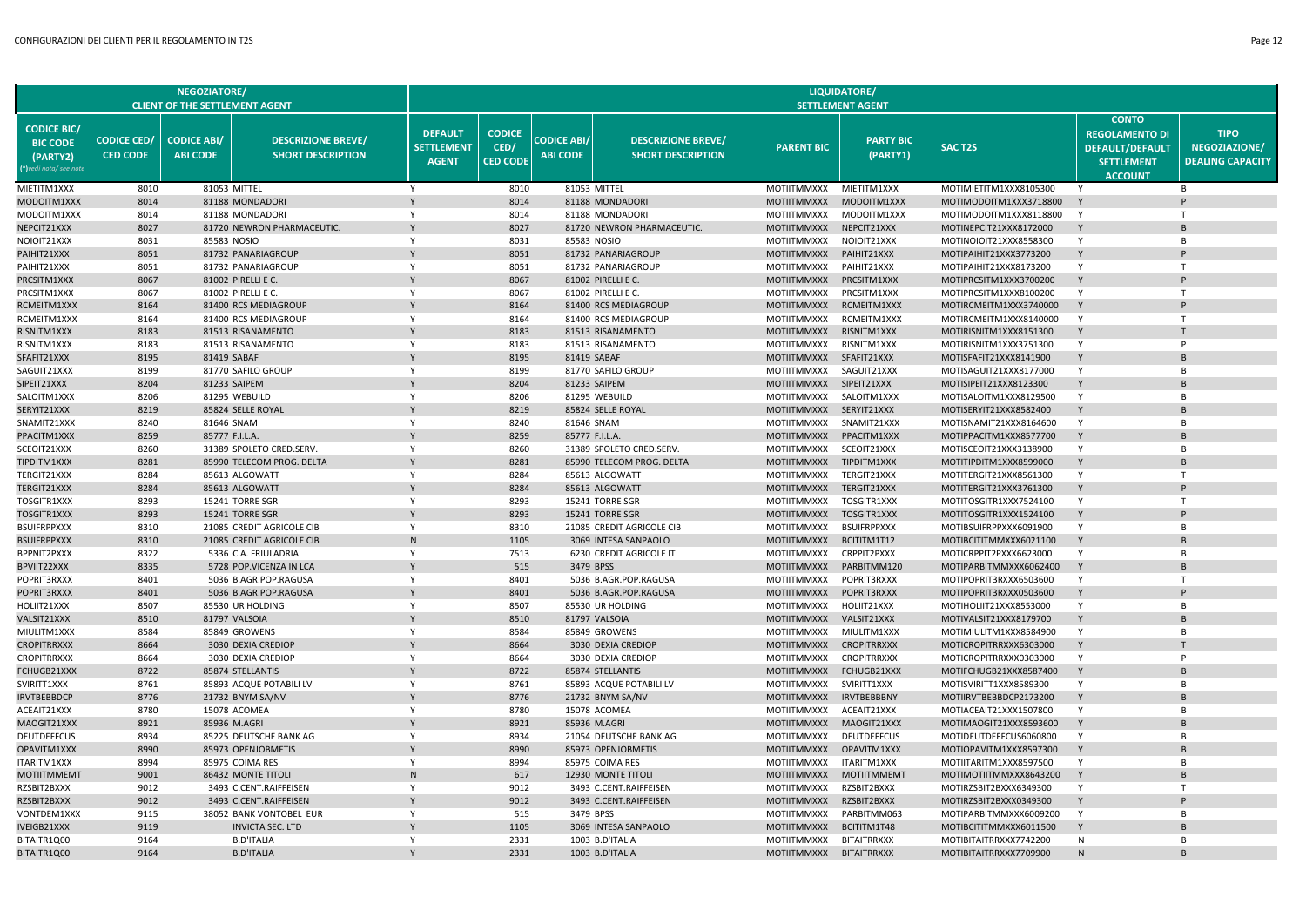|                                                                            |                                       | <b>NEGOZIATORE/</b><br><b>CLIENT OF THE SETTLEMENT AGENT</b> |                                                       |                                                     |                                          |                                       |                                                       |                                          | LIQUIDATORE/<br><b>SETTLEMENT AGENT</b> |                                                  |                                                                                                        |                                                         |
|----------------------------------------------------------------------------|---------------------------------------|--------------------------------------------------------------|-------------------------------------------------------|-----------------------------------------------------|------------------------------------------|---------------------------------------|-------------------------------------------------------|------------------------------------------|-----------------------------------------|--------------------------------------------------|--------------------------------------------------------------------------------------------------------|---------------------------------------------------------|
| <b>CODICE BIC/</b><br><b>BIC CODE</b><br>(PARTY2)<br>(*)vedi nota/ see not | <b>CODICE CED/</b><br><b>CED CODE</b> | <b>CODICE ABI/</b><br><b>ABI CODE</b>                        | <b>DESCRIZIONE BREVE/</b><br><b>SHORT DESCRIPTION</b> | <b>DEFAULT</b><br><b>SETTLEMENT</b><br><b>AGENT</b> | <b>CODICE</b><br>CED/<br><b>CED CODE</b> | <b>CODICE ABI/</b><br><b>ABI CODE</b> | <b>DESCRIZIONE BREVE/</b><br><b>SHORT DESCRIPTION</b> | <b>PARENT BIC</b>                        | <b>PARTY BIC</b><br>(PARTY1)            | <b>SAC T2S</b>                                   | <b>CONTO</b><br><b>REGOLAMENTO DI</b><br><b>DEFAULT/DEFAULT</b><br><b>SETTLEMENT</b><br><b>ACCOUNT</b> | <b>TIPO</b><br>NEGOZIAZIONE/<br><b>DEALING CAPACITY</b> |
| MIETITM1XXX                                                                | 8010                                  |                                                              | 81053 MITTEL                                          | Y                                                   | 8010                                     |                                       | 81053 MITTEL                                          | MOTIITMMXXX                              | MIETITM1XXX                             | MOTIMIETITM1XXX8105300                           |                                                                                                        | R.                                                      |
| MODOITM1XXX                                                                | 8014                                  |                                                              | 81188 MONDADORI                                       | Y                                                   | 8014                                     |                                       | 81188 MONDADORI                                       | <b>MOTIITMMXXX</b>                       | MODOITM1XXX                             | MOTIMODOITM1XXX3718800                           | $\mathsf{Y}$                                                                                           |                                                         |
| MODOITM1XXX                                                                | 8014                                  |                                                              | 81188 MONDADORI                                       | Y                                                   | 8014                                     |                                       | 81188 MONDADORI                                       | MOTIITMMXXX                              | MODOITM1XXX                             | MOTIMODOITM1XXX8118800                           | Y                                                                                                      | T                                                       |
| NEPCIT21XXX                                                                | 8027                                  |                                                              | 81720 NEWRON PHARMACEUTIC.                            |                                                     | 8027                                     |                                       | 81720 NEWRON PHARMACEUTIC.                            | MOTIITMMXXX                              | NEPCIT21XXX                             | MOTINEPCIT21XXX8172000                           |                                                                                                        |                                                         |
| NOIOIT21XXX                                                                | 8031                                  |                                                              | 85583 NOSIO                                           | $\mathsf{v}$                                        | 8031                                     |                                       | 85583 NOSIO                                           | MOTIITMMXXX                              | NOIOIT21XXX                             | MOTINOIOIT21XXX8558300                           | Y                                                                                                      | R                                                       |
| PAIHIT21XXX                                                                | 8051                                  |                                                              | 81732 PANARIAGROUP                                    |                                                     | 8051                                     |                                       | 81732 PANARIAGROUP                                    | MOTIITMMXXX                              | PAIHIT21XXX                             | MOTIPAIHIT21XXX3773200                           | Y                                                                                                      |                                                         |
| PAIHIT21XXX                                                                | 8051                                  |                                                              | 81732 PANARIAGROUP                                    | Y                                                   | 8051                                     |                                       | 81732 PANARIAGROUP                                    | <b>MOTIITMMXXX</b>                       | PAIHIT21XXX                             | MOTIPAIHIT21XXX8173200                           | Y                                                                                                      | T                                                       |
| PRCSITM1XXX                                                                | 8067<br>8067                          |                                                              | 81002 PIRELLI E C.                                    | Y                                                   | 8067<br>8067                             |                                       | 81002 PIRELLI E C.                                    | <b>MOTIITMMXXX</b>                       | PRCSITM1XXX                             | MOTIPRCSITM1XXX3700200                           | Y                                                                                                      | T.                                                      |
| PRCSITM1XXX<br>RCMEITM1XXX                                                 | 8164                                  |                                                              | 81002 PIRELLI E C.<br>81400 RCS MEDIAGROUP            |                                                     | 8164                                     |                                       | 81002 PIRELLI E C.                                    | MOTIITMMXXX                              | PRCSITM1XXX<br>RCMEITM1XXX              | MOTIPRCSITM1XXX8100200<br>MOTIRCMEITM1XXX3740000 | Y                                                                                                      |                                                         |
| RCMEITM1XXX                                                                | 8164                                  |                                                              | 81400 RCS MEDIAGROUP                                  | Y                                                   | 8164                                     |                                       | 81400 RCS MEDIAGROUP<br>81400 RCS MEDIAGROUP          | <b>MOTIITMMXXX</b><br><b>MOTIITMMXXX</b> | RCMEITM1XXX                             | MOTIRCMEITM1XXX8140000                           | Y                                                                                                      | T                                                       |
| RISNITM1XXX                                                                | 8183                                  |                                                              | 81513 RISANAMENTO                                     |                                                     | 8183                                     |                                       | 81513 RISANAMENTO                                     | <b>MOTIITMMXXX</b>                       | RISNITM1XXX                             | MOTIRISNITM1XXX8151300                           |                                                                                                        |                                                         |
| RISNITM1XXX                                                                | 8183                                  |                                                              | 81513 RISANAMENTO                                     | $\mathsf{v}$                                        | 8183                                     |                                       | 81513 RISANAMENTO                                     | MOTIITMMXXX                              | RISNITM1XXX                             | MOTIRISNITM1XXX3751300                           | Y                                                                                                      | P                                                       |
| SFAFIT21XXX                                                                | 8195                                  |                                                              | 81419 SABAF                                           |                                                     | 8195                                     |                                       | 81419 SABAF                                           | MOTIITMMXXX                              | SFAFIT21XXX                             | MOTISFAFIT21XXX8141900                           | Y                                                                                                      | <b>B</b>                                                |
| SAGUIT21XXX                                                                | 8199                                  |                                                              | 81770 SAFILO GROUP                                    | Y                                                   | 8199                                     |                                       | 81770 SAFILO GROUP                                    | MOTIITMMXXX                              | SAGUIT21XXX                             | MOTISAGUIT21XXX8177000                           | Y                                                                                                      | B                                                       |
| SIPEIT21XXX                                                                | 8204                                  |                                                              | 81233 SAIPEM                                          |                                                     | 8204                                     |                                       | 81233 SAIPEM                                          | MOTIITMMXXX                              | SIPEIT21XXX                             | MOTISIPEIT21XXX8123300                           |                                                                                                        |                                                         |
| SALOITM1XXX                                                                | 8206                                  |                                                              | 81295 WEBUILD                                         | Y                                                   | 8206                                     |                                       | 81295 WEBUILD                                         | MOTIITMMXXX                              | SALOITM1XXX                             | MOTISALOITM1XXX8129500                           | Y                                                                                                      | R.                                                      |
| SERYIT21XXX                                                                | 8219                                  |                                                              | 85824 SELLE ROYAL                                     |                                                     | 8219                                     |                                       | 85824 SELLE ROYAL                                     | <b>MOTIITMMXXX</b>                       | SERYIT21XXX                             | MOTISERYIT21XXX8582400                           | Y                                                                                                      | <b>B</b>                                                |
| SNAMIT21XXX                                                                | 8240                                  | 81646 SNAM                                                   |                                                       | Y                                                   | 8240                                     |                                       | 81646 SNAM                                            | MOTIITMMXXX                              | SNAMIT21XXX                             | MOTISNAMIT21XXX8164600                           | Y                                                                                                      | B                                                       |
| PPACITM1XXX                                                                | 8259                                  | 85777 F.I.L.A.                                               |                                                       |                                                     | 8259                                     |                                       | 85777 F.I.L.A.                                        | <b>MOTIITMMXXX</b>                       | PPACITM1XXX                             | MOTIPPACITM1XXX8577700                           |                                                                                                        |                                                         |
| SCEOIT21XXX                                                                | 8260                                  |                                                              | 31389 SPOLETO CRED.SERV.                              | Y                                                   | 8260                                     |                                       | 31389 SPOLETO CRED.SERV.                              | MOTIITMMXXX                              | SCEOIT21XXX                             | MOTISCEOIT21XXX3138900                           | Y                                                                                                      | R.                                                      |
| TIPDITM1XXX                                                                | 8281                                  |                                                              | 85990 TELECOM PROG. DELTA                             |                                                     | 8281                                     |                                       | 85990 TELECOM PROG. DELTA                             | <b>MOTIITMMXXX</b>                       | TIPDITM1XXX                             | MOTITIPDITM1XXX8599000                           | Y                                                                                                      | B                                                       |
| <b>FERGIT21XXX</b>                                                         | 8284                                  |                                                              | 85613 ALGOWATT                                        | Y                                                   | 8284                                     |                                       | 85613 ALGOWATT                                        | MOTIITMMXXX                              | TERGIT21XXX                             | MOTITERGIT21XXX8561300                           | Y                                                                                                      | T                                                       |
| TERGIT21XXX                                                                | 8284                                  |                                                              | 85613 ALGOWATT                                        |                                                     | 8284                                     |                                       | 85613 ALGOWATT                                        | <b>MOTIITMMXXX</b>                       | TERGIT21XXX                             | MOTITERGIT21XXX3761300                           |                                                                                                        |                                                         |
| TOSGITR1XXX                                                                | 8293                                  |                                                              | 15241 TORRE SGR                                       | Y                                                   | 8293                                     |                                       | 15241 TORRE SGR                                       | MOTIITMMXXX                              | TOSGITR1XXX                             | MOTITOSGITR1XXX7524100                           | Y                                                                                                      | T                                                       |
| TOSGITR1XXX                                                                | 8293                                  |                                                              | 15241 TORRE SGR                                       |                                                     | 8293                                     |                                       | 15241 TORRE SGR                                       | <b>MOTIITMMXXX</b>                       | TOSGITR1XXX                             | MOTITOSGITR1XXX1524100                           | Y                                                                                                      |                                                         |
| BSUIFRPPXXX                                                                | 8310                                  |                                                              | 21085 CREDIT AGRICOLE CIB                             | Y                                                   | 8310                                     |                                       | 21085 CREDIT AGRICOLE CIB                             | MOTIITMMXXX                              | <b>BSUIFRPPXXX</b>                      | MOTIBSUIFRPPXXX6091900                           | Y                                                                                                      | B                                                       |
| BSUIFRPPXXX                                                                | 8310                                  |                                                              | 21085 CREDIT AGRICOLE CIB                             | $\mathsf{N}$<br>Y                                   | 1105                                     |                                       | 3069 INTESA SANPAOLO                                  | <b>MOTIITMMXXX</b>                       | BCITITM1T12                             | MOTIBCITITMMXXX6021100                           | Y<br>Y                                                                                                 | R.                                                      |
| BPPNIT2PXXX<br>BPVIIT22XXX                                                 | 8322<br>8335                          |                                                              | 5336 C.A. FRIULADRIA<br>5728 POP.VICENZA IN LCA       | Y                                                   | 7513<br>515                              |                                       | 6230 CREDIT AGRICOLE IT<br>3479 BPSS                  | MOTIITMMXXX<br><b>MOTIITMMXXX</b>        | CRPPIT2PXXX<br>PARBITMM120              | MOTICRPPIT2PXXX6623000<br>MOTIPARBITMMXXX6062400 | Y                                                                                                      |                                                         |
| POPRIT3RXXX                                                                | 8401                                  |                                                              | 5036 B.AGR.POP.RAGUSA                                 | Y                                                   | 8401                                     |                                       | 5036 B.AGR.POP.RAGUSA                                 | <b>MOTIITMMXXX</b>                       | POPRIT3RXXX                             | MOTIPOPRIT3RXXX6503600                           | Y                                                                                                      | T                                                       |
| POPRIT3RXXX                                                                | 8401                                  |                                                              | 5036 B.AGR.POP.RAGUSA                                 |                                                     | 8401                                     |                                       | 5036 B.AGR.POP.RAGUSA                                 | <b>MOTIITMMXXX</b>                       | <b>POPRIT3RXXX</b>                      | MOTIPOPRIT3RXXX0503600                           |                                                                                                        |                                                         |
| HOLIIT21XXX                                                                | 8507                                  |                                                              | 85530 UR HOLDING                                      | Y                                                   | 8507                                     |                                       | 85530 UR HOLDING                                      | MOTIITMMXXX                              | HOLIIT21XXX                             | MOTIHOLIIT21XXX8553000                           | Y                                                                                                      | B                                                       |
| VALSIT21XXX                                                                | 8510                                  |                                                              | 81797 VALSOIA                                         |                                                     | 8510                                     |                                       | 81797 VALSOIA                                         | <b>MOTIITMMXXX</b>                       | VALSIT21XXX                             | MOTIVALSIT21XXX8179700                           |                                                                                                        |                                                         |
| MIULITM1XXX                                                                | 8584                                  |                                                              | 85849 GROWENS                                         | Y                                                   | 8584                                     |                                       | 85849 GROWENS                                         | MOTIITMMXXX                              | MIULITM1XXX                             | MOTIMIULITM1XXX8584900                           | Y                                                                                                      | B                                                       |
| CROPITRRXXX                                                                | 8664                                  |                                                              | 3030 DEXIA CREDIOP                                    |                                                     | 8664                                     |                                       | 3030 DEXIA CREDIOP                                    | <b>MOTIITMMXXX</b>                       | <b>CROPITRRXXX</b>                      | MOTICROPITRRXXX6303000                           |                                                                                                        |                                                         |
| <b>CROPITRRXXX</b>                                                         | 8664                                  |                                                              | 3030 DEXIA CREDIOP                                    | Y                                                   | 8664                                     |                                       | 3030 DEXIA CREDIOP                                    | <b>MOTIITMMXXX</b>                       | <b>CROPITRRXXX</b>                      | MOTICROPITRRXXX0303000                           | Y                                                                                                      | P                                                       |
| FCHUGB21XXX                                                                | 8722                                  |                                                              | 85874 STELLANTIS                                      |                                                     | 8722                                     |                                       | 85874 STELLANTIS                                      | <b>MOTIITMMXXX</b>                       | FCHUGB21XXX                             | MOTIFCHUGB21XXX8587400                           | Y                                                                                                      |                                                         |
| SVIRITT1XXX                                                                | 8761                                  |                                                              | 85893 ACQUE POTABILI LV                               | Y                                                   | 8761                                     |                                       | 85893 ACQUE POTABILI LV                               | <b>MOTIITMMXXX</b>                       | SVIRITT1XXX                             | MOTISVIRITT1XXX8589300                           | Y                                                                                                      | B                                                       |
| <b>IRVTBEBBDCP</b>                                                         | 8776                                  |                                                              | 21732 BNYM SA/NV                                      |                                                     | 8776                                     |                                       | 21732 BNYM SA/NV                                      | <b>MOTIITMMXXX</b>                       | <b>IRVTBEBBBNY</b>                      | MOTIIRVTBEBBDCP2173200                           | Y                                                                                                      |                                                         |
| ACEAIT21XXX                                                                | 8780                                  |                                                              | 15078 ACOMEA                                          | Y                                                   | 8780                                     |                                       | 15078 ACOMEA                                          | MOTIITMMXXX                              | ACEAIT21XXX                             | MOTIACEAIT21XXX1507800                           | Y                                                                                                      | B                                                       |
| MAOGIT21XXX                                                                | 8921                                  |                                                              | 85936 M.AGRI                                          |                                                     | 8921                                     |                                       | 85936 M.AGRI                                          | <b>MOTIITMMXXX</b>                       | MAOGIT21XXX                             | MOTIMAOGIT21XXX8593600                           | Y                                                                                                      |                                                         |
| DEUTDEFFCUS                                                                | 8934                                  |                                                              | 85225 DEUTSCHE BANK AG                                | Y                                                   | 8934                                     |                                       | 21054 DEUTSCHE BANK AG                                | MOTIITMMXXX                              | <b>DEUTDEFFCUS</b>                      | MOTIDEUTDEFFCUS6060800                           | Y                                                                                                      | B                                                       |
| OPAVITM1XXX                                                                | 8990                                  |                                                              | 85973 OPENJOBMETIS                                    |                                                     | 8990                                     |                                       | 85973 OPENJOBMETIS                                    | <b>MOTIITMMXXX</b>                       | OPAVITM1XXX                             | MOTIOPAVITM1XXX8597300                           |                                                                                                        |                                                         |
| <b>ITARITM1XXX</b>                                                         | 8994                                  |                                                              | 85975 COIMA RES                                       | Y                                                   | 8994                                     |                                       | 85975 COIMA RES                                       | MOTIITMMXXX                              | ITARITM1XXX                             | MOTIITARITM1XXX8597500                           | Y                                                                                                      | B                                                       |
| <b>MOTIITMMEMT</b>                                                         | 9001                                  |                                                              | 86432 MONTE TITOL                                     | N                                                   | 617                                      |                                       | 12930 MONTE TITOL                                     | <b>MOTIITMMXXX</b>                       | <b>MOTIITMMEM1</b>                      | MOTIMOTIITMMXXX8643200                           |                                                                                                        | B                                                       |
| RZSBIT2BXXX                                                                | 9012<br>9012                          |                                                              | 3493 C.CENT.RAIFFEISEN                                | Y                                                   | 9012<br>9012                             |                                       | 3493 C.CENT.RAIFFEISEN<br>3493 C.CENT.RAIFFEISEN      | <b>MOTIITMMXXX</b>                       | RZSBIT2BXXX                             | MOTIRZSBIT2BXXX6349300                           | Y                                                                                                      | T                                                       |
| RZSBIT2BXXX<br>VONTDEM1XXX                                                 | 9115                                  |                                                              | 3493 C.CENT.RAIFFEISEN<br>38052 BANK VONTOBEL EUR     | Y                                                   | 515                                      |                                       | 3479 BPSS                                             | <b>MOTIITMMXXX</b><br><b>MOTIITMMXXX</b> | RZSBIT2BXXX<br>PARBITMM063              | MOTIRZSBIT2BXXX0349300<br>MOTIPARBITMMXXX6009200 | Y                                                                                                      | B                                                       |
| IVEIGB21XXX                                                                | 9119                                  |                                                              | <b>INVICTA SEC. LTD</b>                               |                                                     | 1105                                     |                                       | 3069 INTESA SANPAOLO                                  | <b>MOTIITMMXXX</b>                       | BCITITM1T48                             | MOTIBCITITMMXXX6011500                           |                                                                                                        |                                                         |
| BITAITR1Q00                                                                | 9164                                  |                                                              | <b>B.D'ITALIA</b>                                     | Y                                                   | 2331                                     |                                       | 1003 B.D'ITALIA                                       | MOTIITMMXXX                              | <b>BITAITRRXXX</b>                      | MOTIBITAITRRXXX7742200                           | N                                                                                                      | B                                                       |
| BITAITR1Q00                                                                | 9164                                  |                                                              | <b>B.D'ITALIA</b>                                     |                                                     | 2331                                     |                                       | 1003 B.D'ITALIA                                       | <b>MOTIITMMXXX</b>                       | <b>BITAITRRXXX</b>                      | MOTIBITAITRRXXX7709900                           |                                                                                                        |                                                         |
|                                                                            |                                       |                                                              |                                                       |                                                     |                                          |                                       |                                                       |                                          |                                         |                                                  |                                                                                                        |                                                         |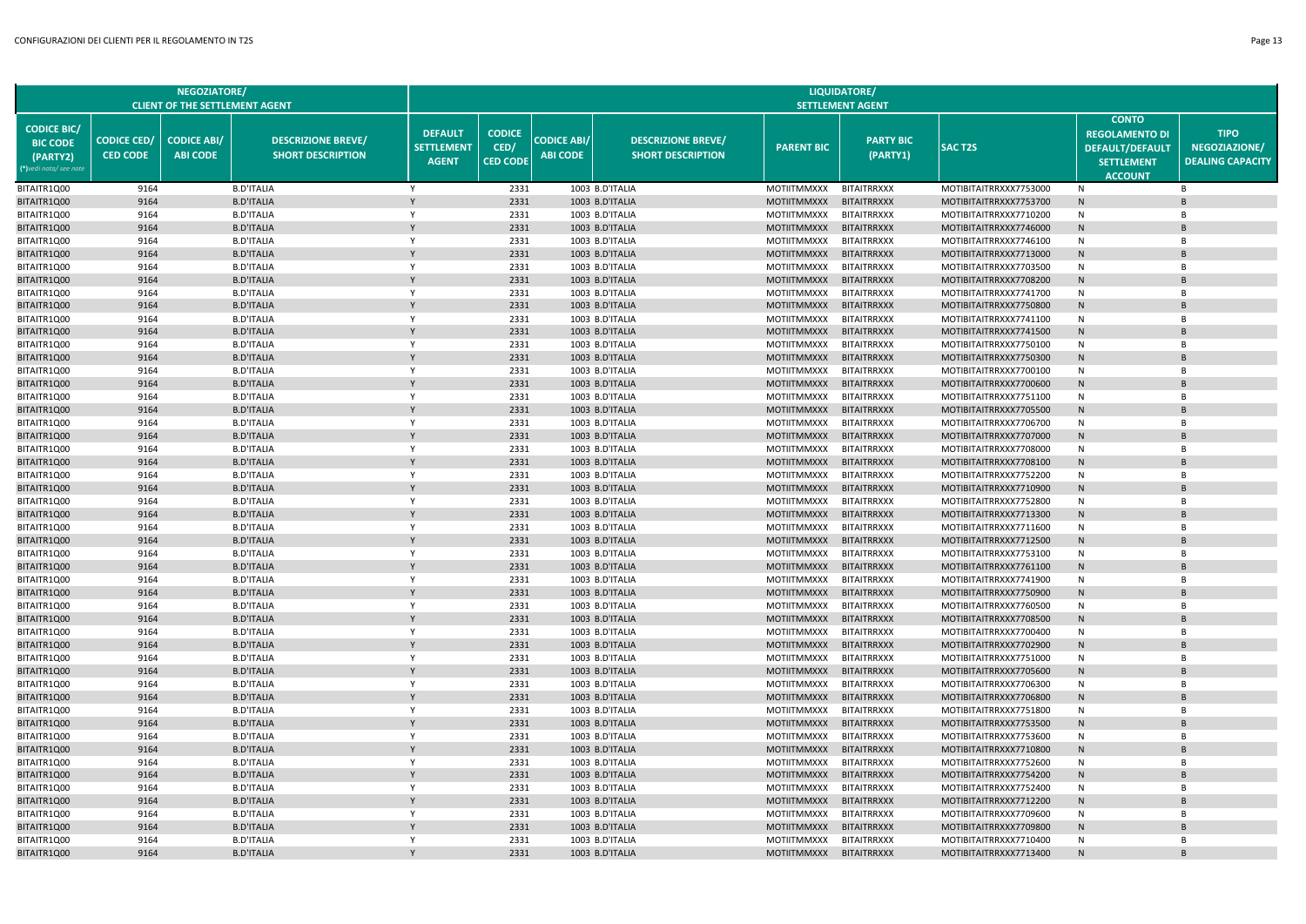| NEGOZIATORE/                                                                           |                                       |                                       |                                                       | LIQUIDATORE/                                        |                                          |                                       |                                                       |                                          |                                          |                                                  |                                                                                                        |                                                         |
|----------------------------------------------------------------------------------------|---------------------------------------|---------------------------------------|-------------------------------------------------------|-----------------------------------------------------|------------------------------------------|---------------------------------------|-------------------------------------------------------|------------------------------------------|------------------------------------------|--------------------------------------------------|--------------------------------------------------------------------------------------------------------|---------------------------------------------------------|
|                                                                                        | <b>CLIENT OF THE SETTLEMENT AGENT</b> | <b>SETTLEMENT AGENT</b>               |                                                       |                                                     |                                          |                                       |                                                       |                                          |                                          |                                                  |                                                                                                        |                                                         |
| <b>CODICE BIC/</b><br><b>BIC CODE</b><br>(PARTY2)<br><sup>*</sup> )vedi nota/ see note | <b>CODICE CED/</b><br><b>CED CODE</b> | <b>CODICE ABI/</b><br><b>ABI CODE</b> | <b>DESCRIZIONE BREVE/</b><br><b>SHORT DESCRIPTION</b> | <b>DEFAULT</b><br><b>SETTLEMENT</b><br><b>AGENT</b> | <b>CODICE</b><br>CED/<br><b>CED CODE</b> | <b>CODICE ABI/</b><br><b>ABI CODE</b> | <b>DESCRIZIONE BREVE/</b><br><b>SHORT DESCRIPTION</b> | <b>PARENT BIC</b>                        | <b>PARTY BIC</b><br>(PARTY1)             | <b>SACT2S</b>                                    | <b>CONTO</b><br><b>REGOLAMENTO DI</b><br><b>DEFAULT/DEFAULT</b><br><b>SETTLEMENT</b><br><b>ACCOUNT</b> | <b>TIPO</b><br>NEGOZIAZIONE/<br><b>DEALING CAPACITY</b> |
| BITAITR1Q00                                                                            | 9164                                  |                                       | <b>B.D'ITALIA</b>                                     | Y                                                   | 2331                                     |                                       | 1003 B.D'ITALIA                                       | MOTIITMMXXX                              | <b>BITAITRRXXX</b>                       | MOTIBITAITRRXXX7753000                           | N                                                                                                      | B                                                       |
| BITAITR1Q00                                                                            | 9164                                  |                                       | <b>B.D'ITALIA</b>                                     | Y                                                   | 2331                                     |                                       | 1003 B.D'ITALIA                                       | <b>MOTIITMMXXX</b>                       | <b>BITAITRRXXX</b>                       | MOTIBITAITRRXXX7753700                           | N                                                                                                      | B                                                       |
| BITAITR1Q00                                                                            | 9164                                  |                                       | <b>B.D'ITALIA</b>                                     | Y                                                   | 2331                                     |                                       | 1003 B.D'ITALIA                                       | <b>MOTIITMMXXX</b>                       | <b>BITAITRRXXX</b>                       | MOTIBITAITRRXXX7710200                           | N                                                                                                      | B                                                       |
| BITAITR1Q00                                                                            | 9164                                  |                                       | <b>B.D'ITALIA</b>                                     |                                                     | 2331                                     |                                       | 1003 B.D'ITALIA                                       | <b>MOTIITMMXXX</b>                       | <b>BITAITRRXXX</b>                       | MOTIBITAITRRXXX7746000                           | N                                                                                                      | B                                                       |
| BITAITR1Q00                                                                            | 9164                                  |                                       | <b>B.D'ITALIA</b>                                     | Y                                                   | 2331                                     |                                       | 1003 B.D'ITALIA                                       | <b>MOTIITMMXXX</b>                       | <b>BITAITRRXXX</b>                       | MOTIBITAITRRXXX7746100                           | N                                                                                                      | B                                                       |
| BITAITR1Q00                                                                            | 9164                                  |                                       | <b>B.D'ITALIA</b>                                     |                                                     | 2331                                     |                                       | 1003 B.D'ITALIA                                       | <b>MOTIITMMXXX</b>                       | <b>BITAITRRXXX</b>                       | MOTIBITAITRRXXX7713000                           | N                                                                                                      | B                                                       |
| BITAITR1Q00                                                                            | 9164                                  |                                       | <b>B.D'ITALIA</b>                                     | Y                                                   | 2331                                     |                                       | 1003 B.D'ITALIA                                       | <b>MOTIITMMXXX</b>                       | <b>BITAITRRXXX</b>                       | MOTIBITAITRRXXX7703500                           | N                                                                                                      | B                                                       |
| BITAITR1Q00                                                                            | 9164                                  |                                       | <b>B.D'ITALIA</b>                                     |                                                     | 2331                                     |                                       | 1003 B.D'ITALIA                                       | <b>MOTIITMMXXX</b>                       | <b>BITAITRRXXX</b>                       | MOTIBITAITRRXXX7708200                           | N                                                                                                      | B                                                       |
| BITAITR1Q00                                                                            | 9164                                  |                                       | <b>B.D'ITALIA</b>                                     | $\mathsf{Y}$                                        | 2331                                     |                                       | 1003 B.D'ITALIA                                       | <b>MOTIITMMXXX</b>                       | <b>BITAITRRXXX</b>                       | MOTIBITAITRRXXX7741700                           | N                                                                                                      | B                                                       |
| BITAITR1Q00                                                                            | 9164                                  |                                       | <b>B.D'ITALIA</b>                                     |                                                     | 2331                                     |                                       | 1003 B.D'ITALIA                                       | <b>MOTIITMMXXX</b>                       | <b>BITAITRRXXX</b>                       | MOTIBITAITRRXXX7750800                           | N                                                                                                      | B                                                       |
| BITAITR1Q00                                                                            | 9164                                  |                                       | <b>B.D'ITALIA</b>                                     | Y                                                   | 2331                                     |                                       | 1003 B.D'ITALIA                                       | <b>MOTIITMMXXX</b>                       | <b>BITAITRRXXX</b>                       | MOTIBITAITRRXXX7741100                           | N                                                                                                      | B                                                       |
| BITAITR1Q00                                                                            | 9164                                  |                                       | <b>B.D'ITALIA</b>                                     |                                                     | 2331                                     |                                       | 1003 B.D'ITALIA                                       | <b>MOTIITMMXXX</b>                       | <b>BITAITRRXXX</b>                       | MOTIBITAITRRXXX7741500                           | N                                                                                                      | B                                                       |
| BITAITR1Q00                                                                            | 9164                                  |                                       | <b>B.D'ITALIA</b>                                     | Y                                                   | 2331                                     |                                       | 1003 B.D'ITALIA                                       | <b>MOTIITMMXXX</b>                       | <b>BITAITRRXXX</b>                       | MOTIBITAITRRXXX7750100                           | N                                                                                                      | B                                                       |
| BITAITR1Q00                                                                            | 9164                                  |                                       | <b>B.D'ITALIA</b>                                     | $\mathsf{Y}$                                        | 2331                                     |                                       | 1003 B.D'ITALIA                                       | <b>MOTIITMMXXX</b>                       | <b>BITAITRRXXX</b><br><b>BITAITRRXXX</b> | MOTIBITAITRRXXX7750300                           | N<br>N                                                                                                 | B<br>R                                                  |
| BITAITR1Q00<br>BITAITR1Q00                                                             | 9164<br>9164                          |                                       | <b>B.D'ITALIA</b><br><b>B.D'ITALIA</b>                | Y                                                   | 2331<br>2331                             |                                       | 1003 B.D'ITALIA<br>1003 B.D'ITALIA                    | <b>MOTIITMMXXX</b><br><b>MOTIITMMXXX</b> | <b>BITAITRRXXX</b>                       | MOTIBITAITRRXXX7700100<br>MOTIBITAITRRXXX7700600 |                                                                                                        | B                                                       |
| BITAITR1Q00                                                                            | 9164                                  |                                       | <b>B.D'ITALIA</b>                                     | Y                                                   | 2331                                     |                                       | 1003 B.D'ITALIA                                       | <b>MOTIITMMXXX</b>                       | <b>BITAITRRXXX</b>                       | MOTIBITAITRRXXX7751100                           | ${\sf N}$<br>N                                                                                         | B                                                       |
| BITAITR1Q00                                                                            | 9164                                  |                                       | <b>B.D'ITALIA</b>                                     |                                                     | 2331                                     |                                       | 1003 B.D'ITALIA                                       | <b>MOTIITMMXXX</b>                       | <b>BITAITRRXXX</b>                       | MOTIBITAITRRXXX7705500                           | ${\sf N}$                                                                                              | B                                                       |
| BITAITR1Q00                                                                            | 9164                                  |                                       | <b>B.D'ITALIA</b>                                     | $\mathsf{Y}$                                        | 2331                                     |                                       | 1003 B.D'ITALIA                                       | <b>MOTIITMMXXX</b>                       | <b>BITAITRRXXX</b>                       | MOTIBITAITRRXXX7706700                           | N                                                                                                      | R                                                       |
| BITAITR1Q00                                                                            | 9164                                  |                                       | <b>B.D'ITALIA</b>                                     | Y                                                   | 2331                                     |                                       | 1003 B.D'ITALIA                                       | <b>MOTIITMMXXX</b>                       | <b>BITAITRRXXX</b>                       | MOTIBITAITRRXXX7707000                           | ${\sf N}$                                                                                              | B                                                       |
| BITAITR1Q00                                                                            | 9164                                  |                                       | <b>B.D'ITALIA</b>                                     | Y                                                   | 2331                                     |                                       | 1003 B.D'ITALIA                                       | <b>MOTIITMMXXX</b>                       | <b>BITAITRRXXX</b>                       | MOTIBITAITRRXXX7708000                           | N                                                                                                      | B                                                       |
| BITAITR1Q00                                                                            | 9164                                  |                                       | <b>B.D'ITALIA</b>                                     | Y                                                   | 2331                                     |                                       | 1003 B.D'ITALIA                                       | <b>MOTIITMMXXX</b>                       | <b>BITAITRRXXX</b>                       | MOTIBITAITRRXXX7708100                           | N                                                                                                      | B                                                       |
| BITAITR1Q00                                                                            | 9164                                  |                                       | <b>B.D'ITALIA</b>                                     | Y                                                   | 2331                                     |                                       | 1003 B.D'ITALIA                                       | <b>MOTIITMMXXX</b>                       | <b>BITAITRRXXX</b>                       | MOTIBITAITRRXXX7752200                           | N                                                                                                      | B                                                       |
| BITAITR1Q00                                                                            | 9164                                  |                                       | <b>B.D'ITALIA</b>                                     | Y                                                   | 2331                                     |                                       | 1003 B.D'ITALIA                                       | <b>MOTIITMMXXX</b>                       | <b>BITAITRRXXX</b>                       | MOTIBITAITRRXXX7710900                           | ${\sf N}$                                                                                              | B                                                       |
| BITAITR1Q00                                                                            | 9164                                  |                                       | <b>B.D'ITALIA</b>                                     | Y                                                   | 2331                                     |                                       | 1003 B.D'ITALIA                                       | <b>MOTIITMMXXX</b>                       | <b>BITAITRRXXX</b>                       | MOTIBITAITRRXXX7752800                           | N                                                                                                      | B                                                       |
| BITAITR1Q00                                                                            | 9164                                  |                                       | <b>B.D'ITALIA</b>                                     | Y                                                   | 2331                                     |                                       | 1003 B.D'ITALIA                                       | <b>MOTIITMMXXX</b>                       | <b>BITAITRRXXX</b>                       | MOTIBITAITRRXXX7713300                           | ${\sf N}$                                                                                              | B.                                                      |
| BITAITR1Q00                                                                            | 9164                                  |                                       | <b>B.D'ITALIA</b>                                     | Y                                                   | 2331                                     |                                       | 1003 B.D'ITALIA                                       | <b>MOTIITMMXXX</b>                       | <b>BITAITRRXXX</b>                       | MOTIBITAITRRXXX7711600                           | N                                                                                                      | B                                                       |
| BITAITR1Q00                                                                            | 9164                                  |                                       | <b>B.D'ITALIA</b>                                     | Y                                                   | 2331                                     |                                       | 1003 B.D'ITALIA                                       | <b>MOTIITMMXXX</b>                       | <b>BITAITRRXXX</b>                       | MOTIBITAITRRXXX7712500                           | ${\sf N}$                                                                                              | B                                                       |
| BITAITR1Q00                                                                            | 9164                                  |                                       | <b>B.D'ITALIA</b>                                     | Y                                                   | 2331                                     |                                       | 1003 B.D'ITALIA                                       | <b>MOTIITMMXXX</b>                       | <b>BITAITRRXXX</b>                       | MOTIBITAITRRXXX7753100                           | N                                                                                                      | B                                                       |
| BITAITR1Q00                                                                            | 9164                                  |                                       | <b>B.D'ITALIA</b>                                     | Y                                                   | 2331                                     |                                       | 1003 B.D'ITALIA                                       | <b>MOTIITMMXXX</b>                       | <b>BITAITRRXXX</b>                       | MOTIBITAITRRXXX7761100                           | N                                                                                                      | B                                                       |
| BITAITR1Q00                                                                            | 9164                                  |                                       | <b>B.D'ITALIA</b>                                     | Y                                                   | 2331                                     |                                       | 1003 B.D'ITALIA                                       | <b>MOTIITMMXXX</b>                       | <b>BITAITRRXXX</b>                       | MOTIBITAITRRXXX7741900                           | N                                                                                                      | B                                                       |
| BITAITR1Q00                                                                            | 9164                                  |                                       | <b>B.D'ITALIA</b>                                     | Y                                                   | 2331                                     |                                       | 1003 B.D'ITALIA                                       | <b>MOTIITMMXXX</b>                       | <b>BITAITRRXXX</b>                       | MOTIBITAITRRXXX7750900                           | N                                                                                                      | B                                                       |
| BITAITR1Q00                                                                            | 9164                                  |                                       | <b>B.D'ITALIA</b>                                     | Y                                                   | 2331                                     |                                       | 1003 B.D'ITALIA                                       | <b>MOTIITMMXXX</b>                       | <b>BITAITRRXXX</b>                       | MOTIBITAITRRXXX7760500                           | N                                                                                                      | B                                                       |
| BITAITR1Q00                                                                            | 9164                                  |                                       | <b>B.D'ITALIA</b>                                     | Y                                                   | 2331                                     |                                       | 1003 B.D'ITALIA                                       | <b>MOTIITMMXXX</b>                       | <b>BITAITRRXXX</b>                       | MOTIBITAITRRXXX7708500                           | N                                                                                                      | B                                                       |
| BITAITR1Q00                                                                            | 9164                                  |                                       | <b>B.D'ITALIA</b>                                     | Y                                                   | 2331                                     |                                       | 1003 B.D'ITALIA                                       | <b>MOTIITMMXXX</b>                       | <b>BITAITRRXXX</b>                       | MOTIBITAITRRXXX7700400                           | N                                                                                                      | B                                                       |
| BITAITR1Q00                                                                            | 9164                                  |                                       | <b>B.D'ITALIA</b>                                     |                                                     | 2331                                     |                                       | 1003 B.D'ITALIA                                       | <b>MOTIITMMXXX</b>                       | <b>BITAITRRXXX</b>                       | MOTIBITAITRRXXX7702900                           | ${\sf N}$                                                                                              | B                                                       |
| BITAITR1Q00                                                                            | 9164                                  |                                       | <b>B.D'ITALIA</b>                                     | Y                                                   | 2331                                     |                                       | 1003 B.D'ITALIA                                       | <b>MOTIITMMXXX</b>                       | <b>BITAITRRXXX</b>                       | MOTIBITAITRRXXX7751000                           | N                                                                                                      | B                                                       |
| BITAITR1Q00                                                                            | 9164                                  |                                       | <b>B.D'ITALIA</b>                                     | Y                                                   | 2331                                     |                                       | 1003 B.D'ITALIA                                       | <b>MOTIITMMXXX</b>                       | <b>BITAITRRXXX</b>                       | MOTIBITAITRRXXX7705600                           | N                                                                                                      | B                                                       |
| BITAITR1Q00                                                                            | 9164                                  |                                       | <b>B.D'ITALIA</b>                                     | Y                                                   | 2331                                     |                                       | 1003 B.D'ITALIA                                       | <b>MOTIITMMXXX</b>                       | <b>BITAITRRXXX</b>                       | MOTIBITAITRRXXX7706300                           | $\mathsf{N}$                                                                                           | R                                                       |
| BITAITR1Q00                                                                            | 9164                                  |                                       | <b>B.D'ITALIA</b>                                     | Y                                                   | 2331                                     |                                       | 1003 B.D'ITALIA                                       | <b>MOTIITMMXXX</b>                       | <b>BITAITRRXXX</b>                       | MOTIBITAITRRXXX7706800                           | N                                                                                                      | B                                                       |
| BITAITR1Q00                                                                            | 9164                                  |                                       | <b>B.D'ITALIA</b>                                     | Y                                                   | 2331                                     |                                       | 1003 B.D'ITALIA                                       | <b>MOTIITMMXXX</b>                       | <b>BITAITRRXXX</b>                       | MOTIBITAITRRXXX7751800                           | N                                                                                                      | B                                                       |
| BITAITR1Q00                                                                            | 9164                                  |                                       | <b>B.D'ITALIA</b>                                     | Y                                                   | 2331                                     |                                       | 1003 B.D'ITALIA                                       | <b>MOTIITMMXXX</b>                       | <b>BITAITRRXXX</b>                       | MOTIBITAITRRXXX7753500                           | $\mathsf{N}$                                                                                           | $\mathsf{R}$                                            |
| BITAITR1Q00                                                                            | 9164                                  |                                       | <b>B.D'ITALIA</b>                                     | Y                                                   | 2331                                     |                                       | 1003 B.D'ITALIA                                       | MOTIITMMXXX                              | <b>BITAITRRXXX</b>                       | MOTIBITAITRRXXX7753600                           | $\mathsf{N}$                                                                                           | B                                                       |
| BITAITR1Q00                                                                            | 9164                                  |                                       | <b>B.D'ITALIA</b>                                     |                                                     | 2331                                     |                                       | 1003 B.D'ITALIA                                       | <b>MOTIITMMXXX</b>                       | <b>BITAITRRXXX</b>                       | MOTIBITAITRRXXX7710800                           | N                                                                                                      | <sub>R</sub>                                            |
| BITAITR1Q00                                                                            | 9164                                  |                                       | <b>B.D'ITALIA</b>                                     | Y                                                   | 2331                                     |                                       | 1003 B.D'ITALIA                                       | MOTIITMMXXX                              | <b>BITAITRRXXX</b>                       | MOTIBITAITRRXXX7752600                           | N                                                                                                      | B                                                       |
| BITAITR1Q00                                                                            | 9164                                  |                                       | <b>B.D'ITALIA</b>                                     | Y                                                   | 2331                                     |                                       | 1003 B.D'ITALIA                                       | <b>MOTIITMMXXX</b>                       | <b>BITAITRRXXX</b>                       | MOTIBITAITRRXXX7754200                           | $\mathsf{N}$                                                                                           | $\mathsf{R}$                                            |
| BITAITR1Q00                                                                            | 9164                                  |                                       | <b>B.D'ITALIA</b>                                     | Y                                                   | 2331                                     |                                       | 1003 B.D'ITALIA                                       | <b>MOTIITMMXXX</b>                       | <b>BITAITRRXXX</b>                       | MOTIBITAITRRXXX7752400                           | $\mathsf{N}$                                                                                           | B                                                       |
| BITAITR1Q00                                                                            | 9164                                  |                                       | <b>B.D'ITALIA</b>                                     | Y                                                   | 2331                                     |                                       | 1003 B.D'ITALIA                                       | <b>MOTIITMMXXX</b>                       | <b>BITAITRRXXX</b>                       | MOTIBITAITRRXXX7712200                           | N                                                                                                      | B                                                       |
| BITAITR1Q00                                                                            | 9164                                  |                                       | <b>B.D'ITALIA</b>                                     | Y                                                   | 2331                                     |                                       | 1003 B.D'ITALIA                                       | <b>MOTIITMMXXX</b>                       | <b>BITAITRRXXX</b>                       | MOTIBITAITRRXXX7709600                           | N                                                                                                      | B                                                       |
| BITAITR1Q00                                                                            | 9164                                  |                                       | <b>B.D'ITALIA</b>                                     |                                                     | 2331                                     |                                       | 1003 B.D'ITALIA                                       | <b>MOTIITMMXXX</b>                       | <b>BITAITRRXXX</b>                       | MOTIBITAITRRXXX7709800                           | N                                                                                                      | B                                                       |
| BITAITR1Q00                                                                            | 9164                                  |                                       | <b>B.D'ITALIA</b>                                     | Y                                                   | 2331                                     |                                       | 1003 B.D'ITALIA                                       | MOTIITMMXXX                              | <b>BITAITRRXXX</b>                       | MOTIBITAITRRXXX7710400                           | N                                                                                                      | B                                                       |
| BITAITR1Q00                                                                            | 9164                                  |                                       | <b>B.D'ITALIA</b>                                     |                                                     | 2331                                     |                                       | 1003 B.D'ITALIA                                       | <b>MOTIITMMXXX</b>                       | <b>BITAITRRXXX</b>                       | MOTIBITAITRRXXX7713400                           | N                                                                                                      | $\overline{R}$                                          |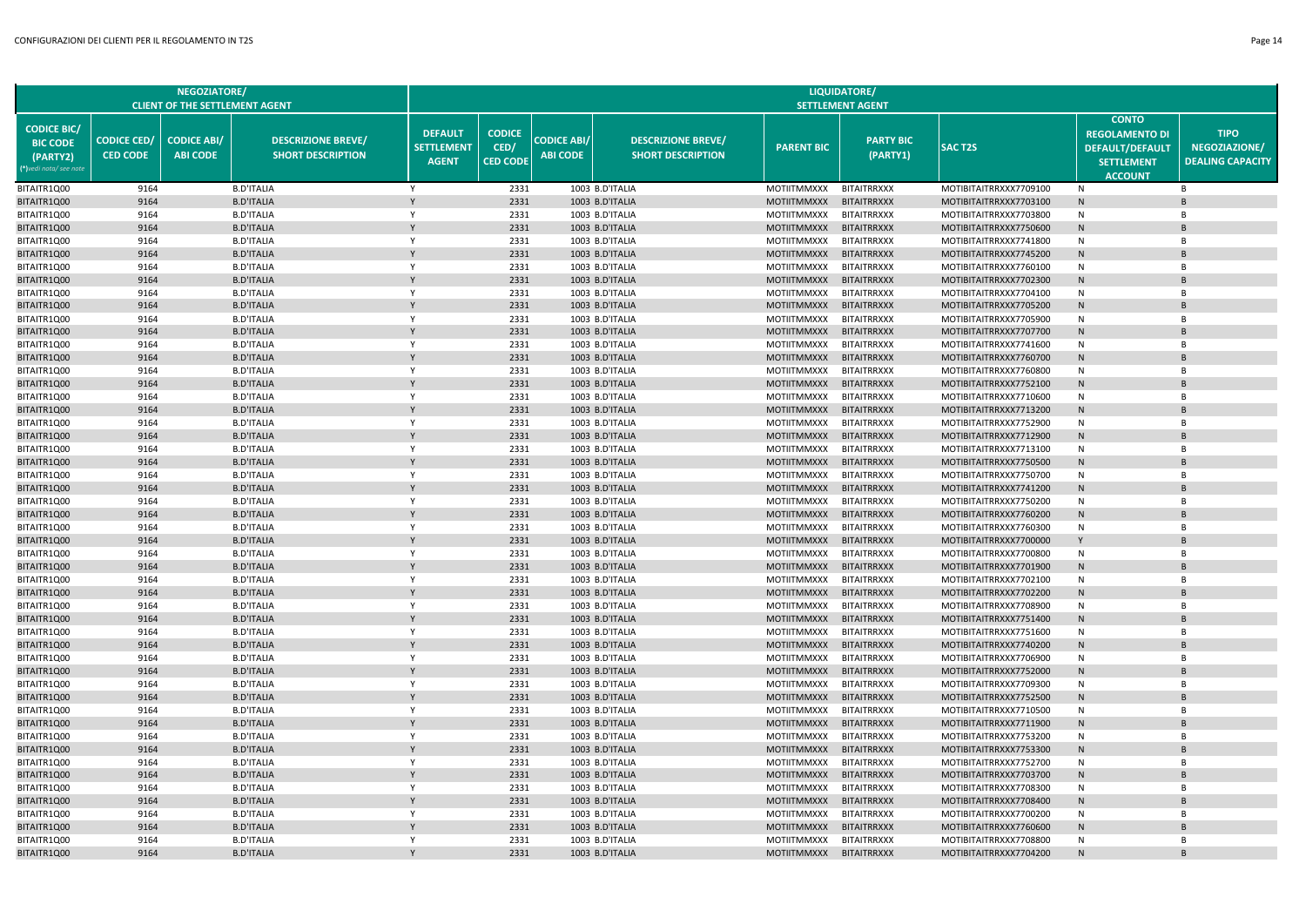**NEGOZIATORE/**

|                                                                             | CLIENT OF THE SETTLEMENT AGENT        |                                       |                                                       |                                                     | SETTLEMENT AGENT                         |                                       |                                                       |                    |                              |                        |                                                                                                        |                                                         |  |
|-----------------------------------------------------------------------------|---------------------------------------|---------------------------------------|-------------------------------------------------------|-----------------------------------------------------|------------------------------------------|---------------------------------------|-------------------------------------------------------|--------------------|------------------------------|------------------------|--------------------------------------------------------------------------------------------------------|---------------------------------------------------------|--|
| <b>CODICE BIC/</b><br><b>BIC CODE</b><br>(PARTY2)<br>(*)vedi nota/ see note | <b>CODICE CED/</b><br><b>CED CODE</b> | <b>CODICE ABI/</b><br><b>ABI CODE</b> | <b>DESCRIZIONE BREVE/</b><br><b>SHORT DESCRIPTION</b> | <b>DEFAULT</b><br><b>SETTLEMENT</b><br><b>AGENT</b> | <b>CODICE</b><br>CED/<br><b>CED CODE</b> | <b>CODICE ABI/</b><br><b>ABI CODE</b> | <b>DESCRIZIONE BREVE/</b><br><b>SHORT DESCRIPTION</b> | <b>PARENT BIC</b>  | <b>PARTY BIC</b><br>(PARTY1) | <b>SAC T2S</b>         | <b>CONTO</b><br><b>REGOLAMENTO DI</b><br><b>DEFAULT/DEFAULT</b><br><b>SETTLEMENT</b><br><b>ACCOUNT</b> | <b>TIPO</b><br>NEGOZIAZIONE/<br><b>DEALING CAPACITY</b> |  |
| BITAITR1Q00                                                                 | 9164                                  |                                       | <b>B.D'ITALIA</b>                                     | Y                                                   | 2331                                     |                                       | 1003 B.D'ITALIA                                       | <b>MOTIITMMXXX</b> | <b>BITAITRRXXX</b>           | MOTIBITAITRRXXX7709100 | N                                                                                                      | $\overline{B}$                                          |  |
| BITAITR1Q00                                                                 | 9164                                  |                                       | <b>B.D'ITALIA</b>                                     | $\mathsf{Y}$                                        | 2331                                     |                                       | 1003 B.D'ITALIA                                       | <b>MOTIITMMXXX</b> | <b>BITAITRRXXX</b>           | MOTIBITAITRRXXX7703100 | $\mathsf{N}$                                                                                           | <b>B</b>                                                |  |
| BITAITR1Q00                                                                 | 9164                                  |                                       | <b>B.D'ITALIA</b>                                     | Y                                                   | 2331                                     |                                       | 1003 B.D'ITALIA                                       | <b>MOTIITMMXXX</b> | <b>BITAITRRXXX</b>           | MOTIBITAITRRXXX7703800 | N                                                                                                      | $\overline{B}$                                          |  |
| BITAITR1Q00                                                                 | 9164                                  |                                       | <b>B.D'ITALIA</b>                                     |                                                     | 2331                                     |                                       | 1003 B.D'ITALIA                                       | <b>MOTIITMMXXX</b> | <b>BITAITRRXXX</b>           | MOTIBITAITRRXXX7750600 | $\mathsf{N}$                                                                                           |                                                         |  |
| BITAITR1Q00                                                                 | 9164                                  |                                       | <b>B.D'ITALIA</b>                                     | Y                                                   | 2331                                     |                                       | 1003 B.D'ITALIA                                       | MOTIITMMXXX        | <b>BITAITRRXXX</b>           | MOTIBITAITRRXXX7741800 | N                                                                                                      | $\overline{B}$                                          |  |
| BITAITR1Q00                                                                 | 9164                                  |                                       | <b>B.D'ITALIA</b>                                     |                                                     | 2331                                     |                                       | 1003 B.D'ITALIA                                       | <b>MOTIITMMXXX</b> | <b>BITAITRRXXX</b>           | MOTIBITAITRRXXX7745200 | $\mathsf{N}$                                                                                           |                                                         |  |
| BITAITR1Q00                                                                 | 9164                                  |                                       | <b>B.D'ITALIA</b>                                     | Y                                                   | 2331                                     |                                       | 1003 B.D'ITALIA                                       | <b>MOTIITMMXXX</b> | <b>BITAITRRXXX</b>           | MOTIBITAITRRXXX7760100 | N                                                                                                      | $\overline{B}$                                          |  |
| BITAITR1Q00                                                                 | 9164                                  |                                       | <b>B.D'ITALIA</b>                                     |                                                     | 2331                                     |                                       | 1003 B.D'ITALIA                                       | <b>MOTIITMMXXX</b> | <b>BITAITRRXXX</b>           | MOTIBITAITRRXXX7702300 | N                                                                                                      | <b>B</b>                                                |  |
| BITAITR1Q00                                                                 | 9164                                  |                                       | <b>B.D'ITALIA</b>                                     | $\mathsf{v}$                                        | 2331                                     |                                       | 1003 B.D'ITALIA                                       | <b>MOTIITMMXXX</b> | <b>BITAITRRXXX</b>           | MOTIBITAITRRXXX7704100 | N                                                                                                      | <b>R</b>                                                |  |
| BITAITR1Q00                                                                 | 9164                                  |                                       | <b>B.D'ITALIA</b>                                     | Y                                                   | 2331                                     |                                       | 1003 B.D'ITALIA                                       | <b>MOTIITMMXXX</b> | <b>BITAITRRXXX</b>           | MOTIBITAITRRXXX7705200 | $\mathsf{N}$                                                                                           | $\overline{B}$                                          |  |
| BITAITR1Q00                                                                 | 9164                                  |                                       | <b>B.D'ITALIA</b>                                     | Y                                                   | 2331                                     |                                       | 1003 B.D'ITALIA                                       | <b>MOTIITMMXXX</b> | <b>BITAITRRXXX</b>           | MOTIBITAITRRXXX7705900 | N                                                                                                      | B                                                       |  |
| BITAITR1Q00                                                                 | 9164                                  |                                       | <b>B.D'ITALIA</b>                                     | Y                                                   | 2331                                     |                                       | 1003 B.D'ITALIA                                       | <b>MOTIITMMXXX</b> | <b>BITAITRRXXX</b>           | MOTIBITAITRRXXX7707700 | N                                                                                                      | B                                                       |  |
| BITAITR1Q00                                                                 | 9164                                  |                                       | <b>B.D'ITALIA</b>                                     | Y                                                   | 2331                                     |                                       | 1003 B.D'ITALIA                                       | <b>MOTIITMMXXX</b> | <b>BITAITRRXXX</b>           | MOTIBITAITRRXXX7741600 | N                                                                                                      | B                                                       |  |
| BITAITR1Q00                                                                 | 9164                                  |                                       | <b>B.D'ITALIA</b>                                     | $\mathsf{v}$                                        | 2331                                     |                                       | 1003 B.D'ITALIA                                       | <b>MOTIITMMXXX</b> | <b>BITAITRRXXX</b>           | MOTIBITAITRRXXX7760700 | $\mathsf{N}$                                                                                           |                                                         |  |
| BITAITR1Q00                                                                 | 9164                                  |                                       | <b>B.D'ITALIA</b>                                     | Y                                                   | 2331                                     |                                       | 1003 B.D'ITALIA                                       | <b>MOTIITMMXXX</b> | <b>BITAITRRXXX</b>           | MOTIBITAITRRXXX7760800 | N                                                                                                      | <b>B</b>                                                |  |
| BITAITR1Q00                                                                 | 9164                                  |                                       | <b>B.D'ITALIA</b>                                     |                                                     | 2331                                     |                                       | 1003 B.D'ITALIA                                       | <b>MOTIITMMXXX</b> | <b>BITAITRRXXX</b>           | MOTIBITAITRRXXX7752100 | $\mathsf{N}$                                                                                           |                                                         |  |
| BITAITR1Q00                                                                 | 9164                                  |                                       | <b>B.D'ITALIA</b>                                     | Y                                                   | 2331                                     |                                       | 1003 B.D'ITALIA                                       | <b>MOTIITMMXXX</b> | <b>BITAITRRXXX</b>           | MOTIBITAITRRXXX7710600 | N                                                                                                      | $\overline{B}$                                          |  |
| BITAITR1Q00                                                                 | 9164                                  |                                       | <b>B.D'ITALIA</b>                                     |                                                     | 2331                                     |                                       | 1003 B.D'ITALIA                                       | <b>MOTIITMMXXX</b> | <b>BITAITRRXXX</b>           | MOTIBITAITRRXXX7713200 | $\mathsf{N}$                                                                                           |                                                         |  |
| BITAITR1Q00                                                                 | 9164                                  |                                       | <b>B.D'ITALIA</b>                                     | Y                                                   | 2331                                     |                                       | 1003 B.D'ITALIA                                       | <b>MOTIITMMXXX</b> | <b>BITAITRRXXX</b>           | MOTIBITAITRRXXX7752900 | N                                                                                                      | $\overline{B}$                                          |  |
| BITAITR1Q00                                                                 | 9164                                  |                                       | <b>B.D'ITALIA</b>                                     |                                                     | 2331                                     |                                       | 1003 B.D'ITALIA                                       | <b>MOTIITMMXXX</b> | <b>BITAITRRXXX</b>           | MOTIBITAITRRXXX7712900 | N                                                                                                      | <b>B</b>                                                |  |
| BITAITR1Q00                                                                 | 9164                                  |                                       | <b>B.D'ITALIA</b>                                     | Y                                                   | 2331                                     |                                       | 1003 B.D'ITALIA                                       | <b>MOTIITMMXXX</b> | <b>BITAITRRXXX</b>           | MOTIBITAITRRXXX7713100 | N                                                                                                      | <b>B</b>                                                |  |
| BITAITR1Q00                                                                 | 9164                                  |                                       | <b>B.D'ITALIA</b>                                     | $\mathsf{v}$                                        | 2331                                     |                                       | 1003 B.D'ITALIA                                       | <b>MOTIITMMXXX</b> | <b>BITAITRRXXX</b>           | MOTIBITAITRRXXX7750500 | N                                                                                                      | $\overline{B}$                                          |  |
| BITAITR1Q00                                                                 | 9164                                  |                                       | <b>B.D'ITALIA</b>                                     | Y                                                   | 2331                                     |                                       | 1003 B.D'ITALIA                                       | <b>MOTIITMMXXX</b> | <b>BITAITRRXXX</b>           | MOTIBITAITRRXXX7750700 | N                                                                                                      | $\overline{B}$                                          |  |
| BITAITR1Q00                                                                 | 9164                                  |                                       | <b>B.D'ITALIA</b>                                     | Y                                                   | 2331                                     |                                       | 1003 B.D'ITALIA                                       | <b>MOTIITMMXXX</b> | <b>BITAITRRXXX</b>           | MOTIBITAITRRXXX7741200 | N                                                                                                      | <b>B</b>                                                |  |
| BITAITR1Q00                                                                 | 9164                                  |                                       | <b>B.D'ITALIA</b>                                     | Y                                                   | 2331                                     |                                       | 1003 B.D'ITALIA                                       | <b>MOTIITMMXXX</b> | <b>BITAITRRXXX</b>           | MOTIBITAITRRXXX7750200 | N                                                                                                      | B                                                       |  |
| BITAITR1Q00                                                                 | 9164                                  |                                       | <b>B.D'ITALIA</b>                                     |                                                     | 2331                                     |                                       | 1003 B.D'ITALIA                                       | <b>MOTIITMMXXX</b> | <b>BITAITRRXXX</b>           | MOTIBITAITRRXXX7760200 | $\mathsf{N}$                                                                                           | <b>B</b>                                                |  |
| BITAITR1Q00                                                                 | 9164                                  |                                       | <b>B.D'ITALIA</b>                                     | Y                                                   | 2331                                     |                                       | 1003 B.D'ITALIA                                       | MOTIITMMXXX        | <b>BITAITRRXXX</b>           | MOTIBITAITRRXXX7760300 | N                                                                                                      | <b>B</b>                                                |  |
| BITAITR1Q00                                                                 | 9164                                  |                                       | <b>B.D'ITALIA</b>                                     |                                                     | 2331                                     |                                       | 1003 B.D'ITALIA                                       | <b>MOTIITMMXXX</b> | <b>BITAITRRXXX</b>           | MOTIBITAITRRXXX7700000 | Y                                                                                                      |                                                         |  |
| BITAITR1Q00                                                                 | 9164                                  |                                       | <b>B.D'ITALIA</b>                                     | Y                                                   | 2331                                     |                                       | 1003 B.D'ITALIA                                       | <b>MOTIITMMXXX</b> | <b>BITAITRRXXX</b>           | MOTIBITAITRRXXX7700800 | N                                                                                                      | $\overline{B}$                                          |  |
| BITAITR1Q00                                                                 | 9164                                  |                                       | <b>B.D'ITALIA</b>                                     |                                                     | 2331                                     |                                       | 1003 B.D'ITALIA                                       | <b>MOTIITMMXXX</b> | <b>BITAITRRXXX</b>           | MOTIBITAITRRXXX7701900 | N                                                                                                      |                                                         |  |
| BITAITR1Q00                                                                 | 9164                                  |                                       | <b>B.D'ITALIA</b>                                     | Y                                                   | 2331                                     |                                       | 1003 B.D'ITALIA                                       | <b>MOTIITMMXXX</b> | <b>BITAITRRXXX</b>           | MOTIBITAITRRXXX7702100 | N                                                                                                      | <b>B</b>                                                |  |
| BITAITR1Q00                                                                 | 9164                                  |                                       | <b>B.D'ITALIA</b>                                     |                                                     | 2331                                     |                                       | 1003 B.D'ITALIA                                       | <b>MOTIITMMXXX</b> | <b>BITAITRRXXX</b>           | MOTIBITAITRRXXX7702200 | N                                                                                                      | <b>B</b>                                                |  |
| BITAITR1Q00                                                                 | 9164                                  |                                       | <b>B.D'ITALIA</b>                                     | Y                                                   | 2331                                     |                                       | 1003 B.D'ITALIA                                       | <b>MOTIITMMXXX</b> | <b>BITAITRRXXX</b>           | MOTIBITAITRRXXX7708900 | N                                                                                                      | $\overline{B}$                                          |  |
| BITAITR1Q00                                                                 | 9164                                  |                                       | <b>B.D'ITALIA</b>                                     | Y                                                   | 2331                                     |                                       | 1003 B.D'ITALIA                                       | <b>MOTIITMMXXX</b> | <b>BITAITRRXXX</b>           | MOTIBITAITRRXXX7751400 | N                                                                                                      | <b>B</b>                                                |  |
| BITAITR1Q00                                                                 | 9164                                  |                                       | <b>B.D'ITALIA</b>                                     | Y                                                   | 2331                                     |                                       | 1003 B.D'ITALIA                                       | <b>MOTIITMMXXX</b> | <b>BITAITRRXXX</b>           | MOTIBITAITRRXXX7751600 | N                                                                                                      | B                                                       |  |
| BITAITR1Q00                                                                 | 9164                                  |                                       | <b>B.D'ITALIA</b>                                     | Y                                                   | 2331                                     |                                       | 1003 B.D'ITALIA                                       | <b>MOTIITMMXXX</b> | <b>BITAITRRXXX</b>           | MOTIBITAITRRXXX7740200 | N                                                                                                      | <b>B</b>                                                |  |
| BITAITR1Q00                                                                 | 9164                                  |                                       | <b>B.D'ITALIA</b>                                     | Y                                                   | 2331                                     |                                       | 1003 B.D'ITALIA                                       | <b>MOTIITMMXXX</b> | <b>BITAITRRXXX</b>           | MOTIBITAITRRXXX7706900 | N                                                                                                      | B                                                       |  |
| BITAITR1Q00                                                                 | 9164                                  |                                       | <b>B.D'ITALIA</b>                                     |                                                     | 2331                                     |                                       | 1003 B.D'ITALIA                                       | <b>MOTIITMMXXX</b> | <b>BITAITRRXXX</b>           | MOTIBITAITRRXXX7752000 | N                                                                                                      |                                                         |  |
| BITAITR1Q00                                                                 | 9164                                  |                                       | <b>B.D'ITALIA</b>                                     | Y                                                   | 2331                                     |                                       | 1003 B.D'ITALIA                                       | MOTIITMMXXX        | <b>BITAITRRXXX</b>           | MOTIBITAITRRXXX7709300 | N                                                                                                      | <b>B</b>                                                |  |
| BITAITR1Q00                                                                 | 9164                                  |                                       | <b>B.D'ITALIA</b>                                     |                                                     | 2331                                     |                                       | 1003 B.D'ITALIA                                       | <b>MOTIITMMXXX</b> | <b>BITAITRRXXX</b>           | MOTIBITAITRRXXX7752500 | $\mathsf{N}$                                                                                           | <b>B</b>                                                |  |
| BITAITR1Q00                                                                 | 9164                                  |                                       | <b>B.D'ITALIA</b>                                     | Y                                                   | 2331                                     |                                       | 1003 B.D'ITALIA                                       | <b>MOTIITMMXXX</b> | <b>BITAITRRXXX</b>           | MOTIBITAITRRXXX7710500 | N                                                                                                      | $\overline{B}$                                          |  |
| BITAITR1Q00                                                                 | 9164                                  |                                       | <b>B.D'ITALIA</b>                                     |                                                     | 2331                                     |                                       | 1003 B.D'ITALIA                                       | <b>MOTIITMMXXX</b> | <b>BITAITRRXXX</b>           | MOTIBITAITRRXXX7711900 | N                                                                                                      |                                                         |  |
| BITAITR1Q00                                                                 | 9164                                  |                                       | <b>B.D'ITALIA</b>                                     | Y                                                   | 2331                                     |                                       | 1003 B.D'ITALIA                                       | <b>MOTIITMMXXX</b> | <b>BITAITRRXXX</b>           | MOTIBITAITRRXXX7753200 | N                                                                                                      | <b>B</b>                                                |  |
| BITAITR1Q00                                                                 | 9164                                  |                                       | <b>B.D'ITALIA</b>                                     |                                                     | 2331                                     |                                       | 1003 B.D'ITALIA                                       | <b>MOTIITMMXXX</b> | <b>BITAITRRXXX</b>           | MOTIBITAITRRXXX7753300 | $\mathsf{N}$                                                                                           | <b>B</b>                                                |  |
| BITAITR1Q00                                                                 | 9164                                  |                                       | <b>B.D'ITALIA</b>                                     | Y                                                   | 2331                                     |                                       | 1003 B.D'ITALIA                                       | <b>MOTIITMMXXX</b> | <b>BITAITRRXXX</b>           | MOTIBITAITRRXXX7752700 | N                                                                                                      | $\overline{B}$                                          |  |
| BITAITR1Q00                                                                 | 9164                                  |                                       | <b>B.D'ITALIA</b>                                     | <b>V</b>                                            | 2331                                     |                                       | 1003 B.D'ITALIA                                       | <b>MOTIITMMXXX</b> | <b>BITAITRRXXX</b>           | MOTIBITAITRRXXX7703700 | N                                                                                                      | $\overline{B}$                                          |  |
| BITAITR1Q00                                                                 | 9164                                  |                                       | <b>B.D'ITALIA</b>                                     | Y                                                   | 2331                                     |                                       | 1003 B.D'ITALIA                                       | <b>MOTIITMMXXX</b> | <b>BITAITRRXXX</b>           | MOTIBITAITRRXXX7708300 | N                                                                                                      | $\overline{B}$                                          |  |
| BITAITR1Q00                                                                 | 9164                                  |                                       | <b>B.D'ITALIA</b>                                     | Y                                                   | 2331                                     |                                       | 1003 B.D'ITALIA                                       | <b>MOTIITMMXXX</b> | <b>BITAITRRXXX</b>           | MOTIBITAITRRXXX7708400 | N                                                                                                      | <b>B</b>                                                |  |
| BITAITR1Q00                                                                 | 9164                                  |                                       | <b>B.D'ITALIA</b>                                     | Y                                                   | 2331                                     |                                       | 1003 B.D'ITALIA                                       | <b>MOTIITMMXXX</b> | <b>BITAITRRXXX</b>           | MOTIBITAITRRXXX7700200 | N                                                                                                      | B                                                       |  |
| BITAITR1Q00                                                                 | 9164                                  |                                       | <b>B.D'ITALIA</b>                                     |                                                     | 2331                                     |                                       | 1003 B.D'ITALIA                                       | <b>MOTIITMMXXX</b> | <b>BITAITRRXXX</b>           | MOTIBITAITRRXXX7760600 | N                                                                                                      |                                                         |  |
| BITAITR1Q00                                                                 | 9164                                  |                                       | <b>B.D'ITALIA</b>                                     | $\mathsf{v}$                                        | 2331                                     |                                       | 1003 B.D'ITALIA                                       | MOTIITMMXXX        | <b>BITAITRRXXX</b>           | MOTIBITAITRRXXX7708800 | N                                                                                                      | <b>B</b>                                                |  |
| BITAITR1Q00                                                                 | 9164                                  |                                       | <b>B.D'ITALIA</b>                                     |                                                     | 2331                                     |                                       | 1003 B.D'ITALIA                                       | <b>MOTIITMMXXX</b> | <b>BITAITRRXXX</b>           | MOTIBITAITRRXXX7704200 | N                                                                                                      |                                                         |  |

**LIQUIDATORE/**